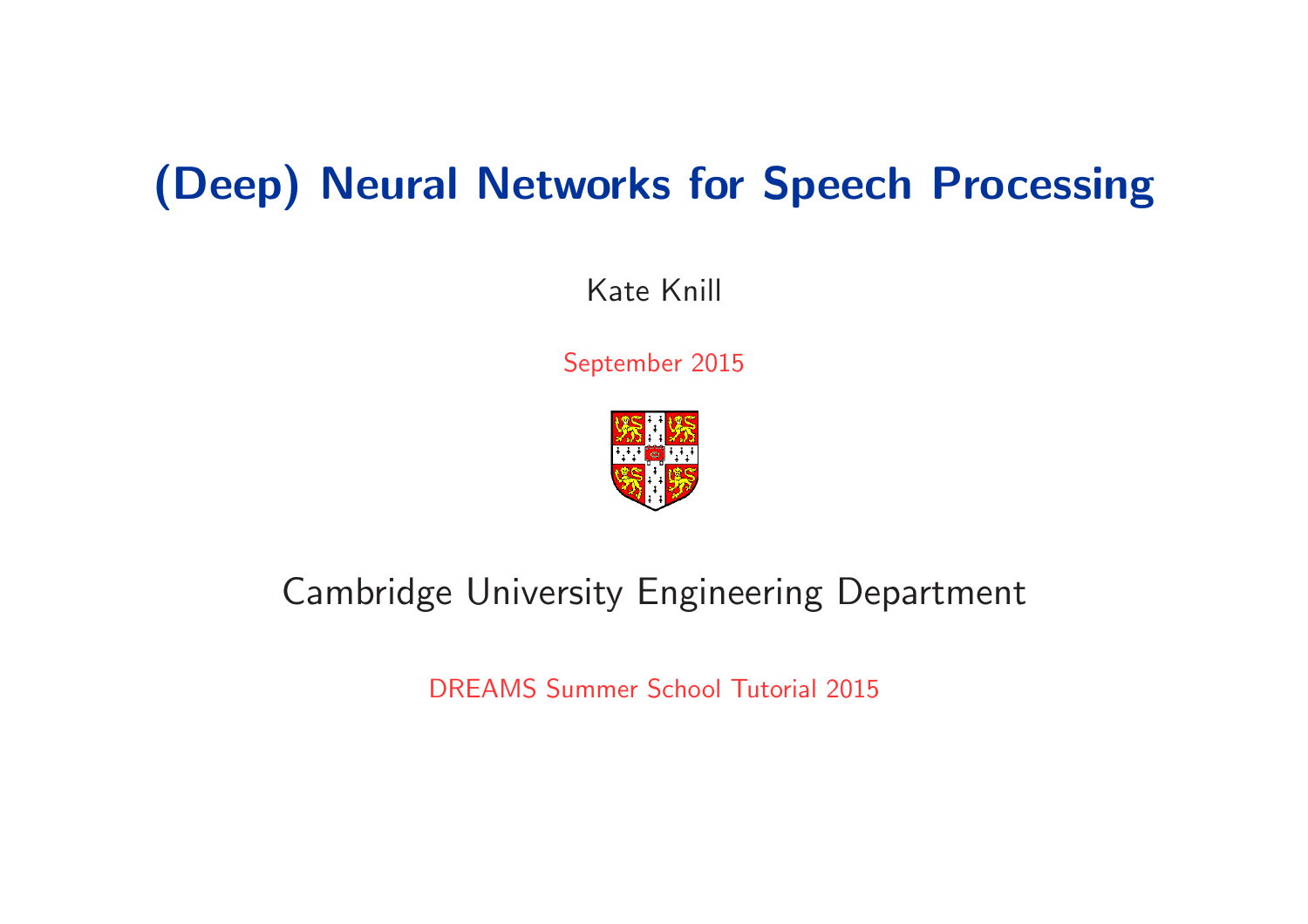# (Deep) Neural Networks for Speech Processing

Kate Knill

September 2015



## Cambridge University Engineering Department

DREAMS Summer School Tutorial 2015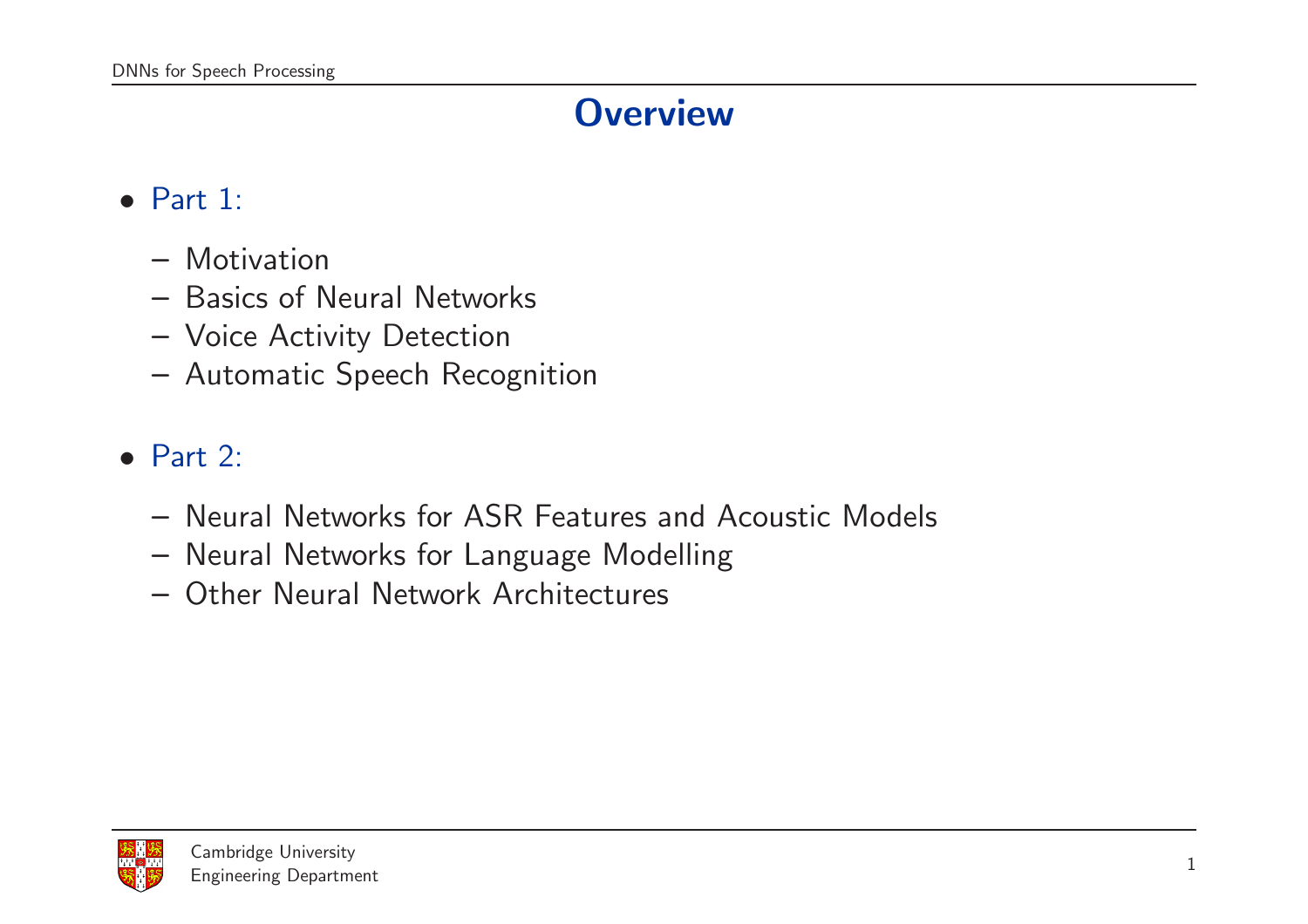## **Overview**

#### $\bullet$  Part 1:

- Motivation
- Basics of Neural Networks
- Voice Activity Detection
- Automatic Speech Recognition

#### • Part 2:

- Neural Networks for ASR Features and Acoustic Models
- Neural Networks for Language Modelling
- Other Neural Network Architectures

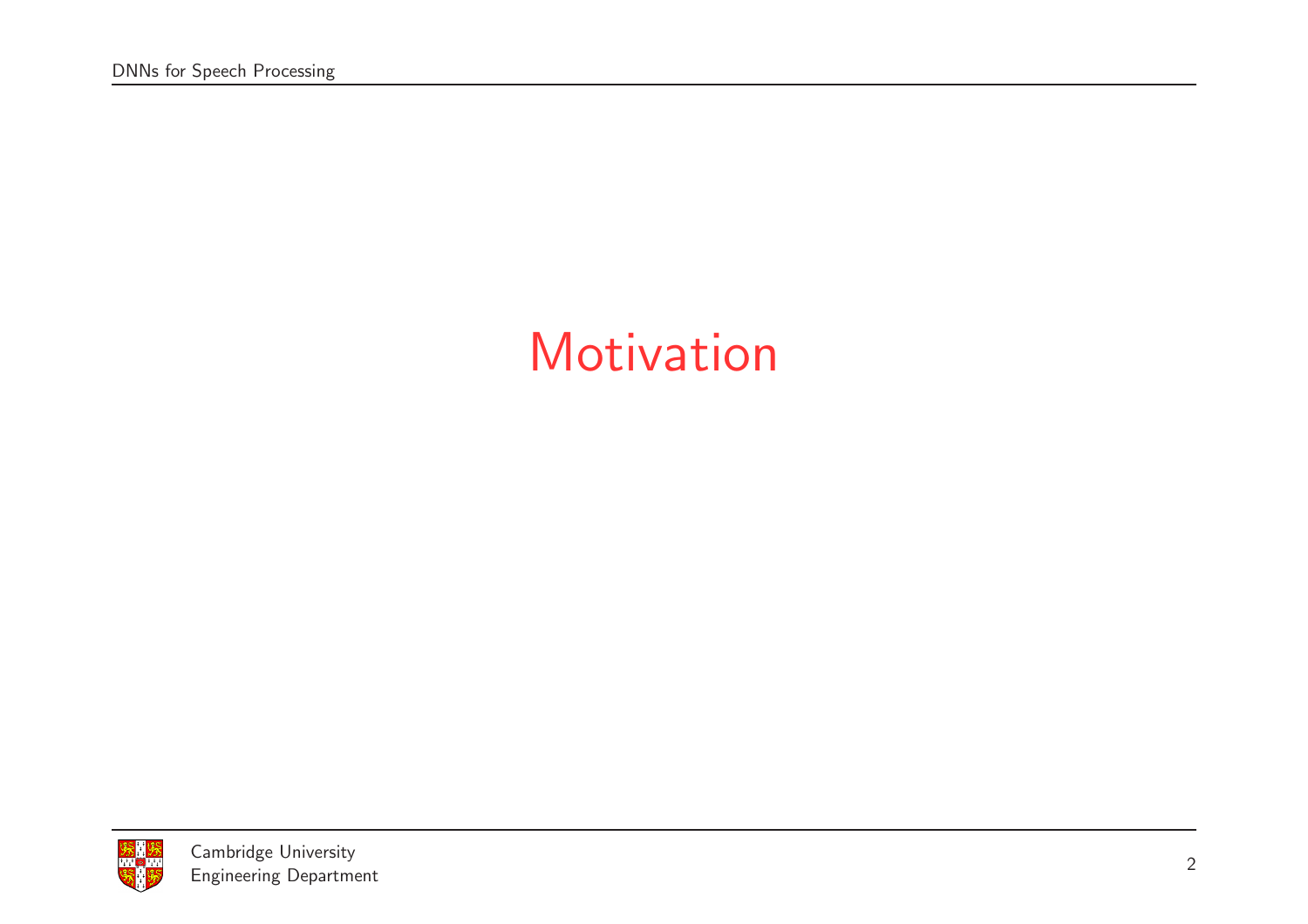# **Motivation**

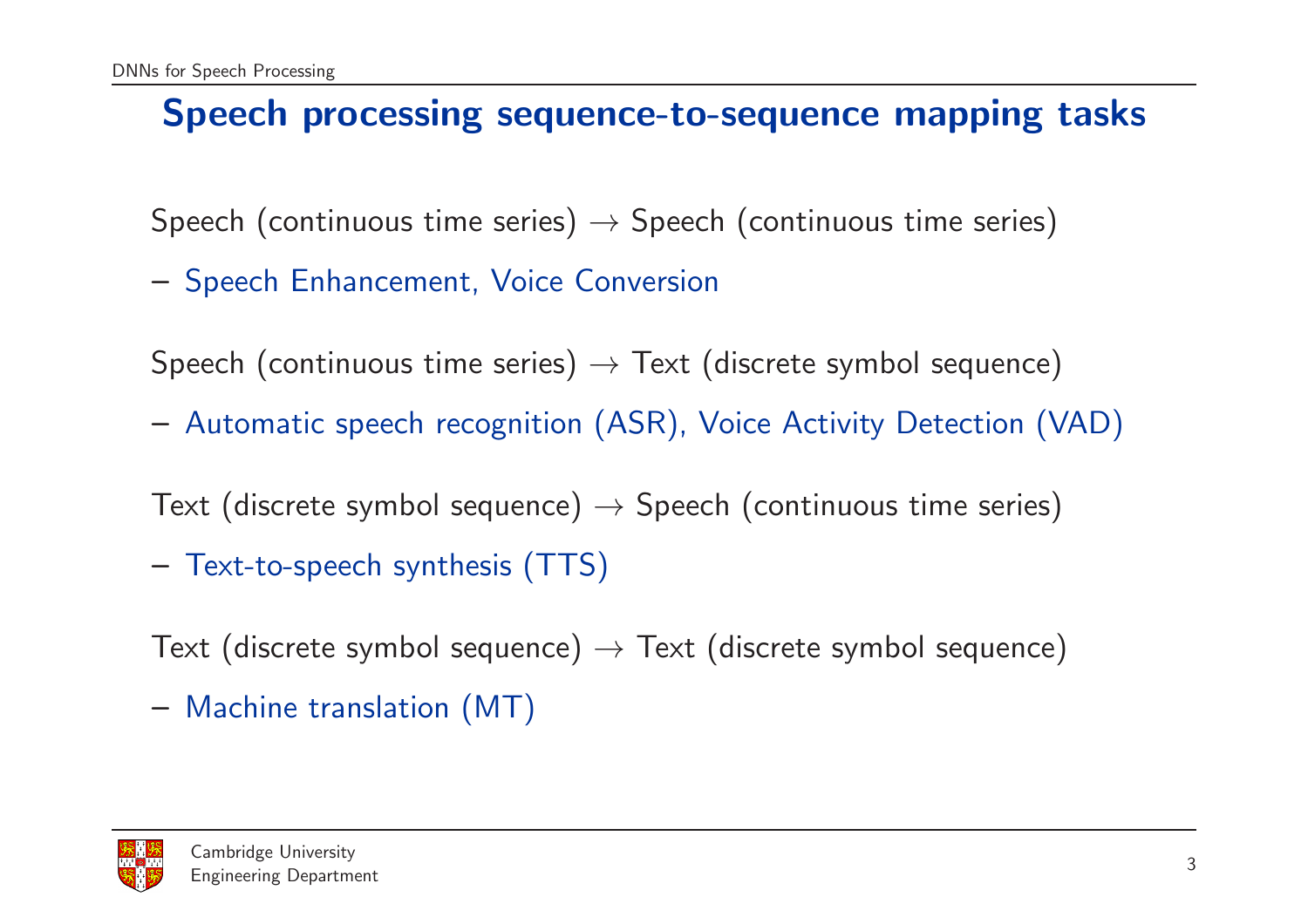#### Speech processing sequence-to-sequence mapping tasks

Speech (continuous time series)  $\rightarrow$  Speech (continuous time series)

– Speech Enhancement, Voice Conversion

Speech (continuous time series)  $\rightarrow$  Text (discrete symbol sequence)

– Automatic speech recognition (ASR), Voice Activity Detection (VAD)

Text (discrete symbol sequence)  $\rightarrow$  Speech (continuous time series)

– Text-to-speech synthesis (TTS)

Text (discrete symbol sequence)  $\rightarrow$  Text (discrete symbol sequence)

– Machine translation (MT)

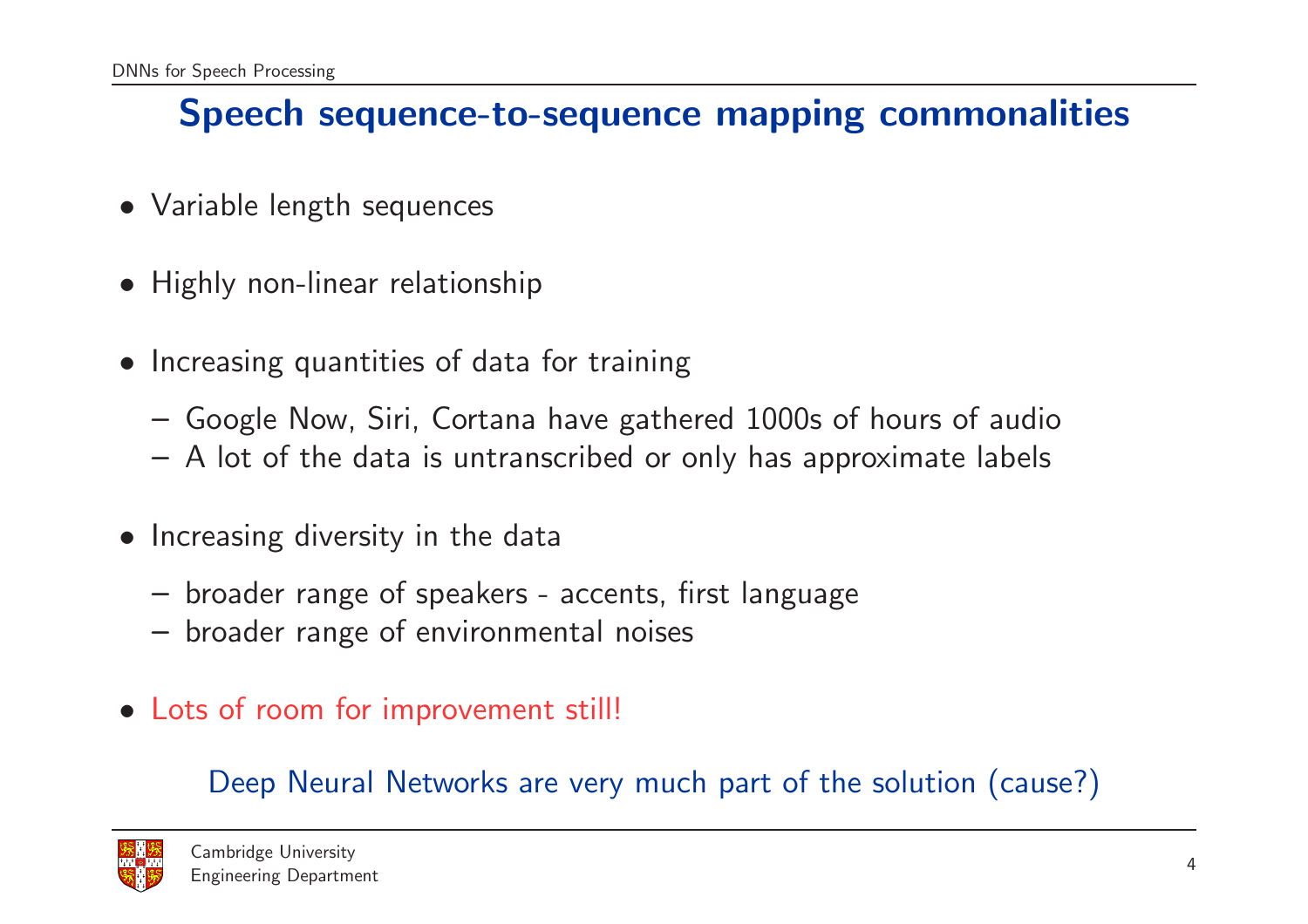#### Speech sequence-to-sequence mapping commonalities

- Variable length sequences
- Highly non-linear relationship
- Increasing quantities of data for training
	- Google Now, Siri, Cortana have gathered 1000s of hours of audi o
	- A lot of the data is untranscribed or only has approximate labels
- Increasing diversity in the data
	- broader range of speakers accents, first language
	- broader range of environmental noises
- Lots of room for improvement still!

Deep Neural Networks are very much part of the solution (cause?)

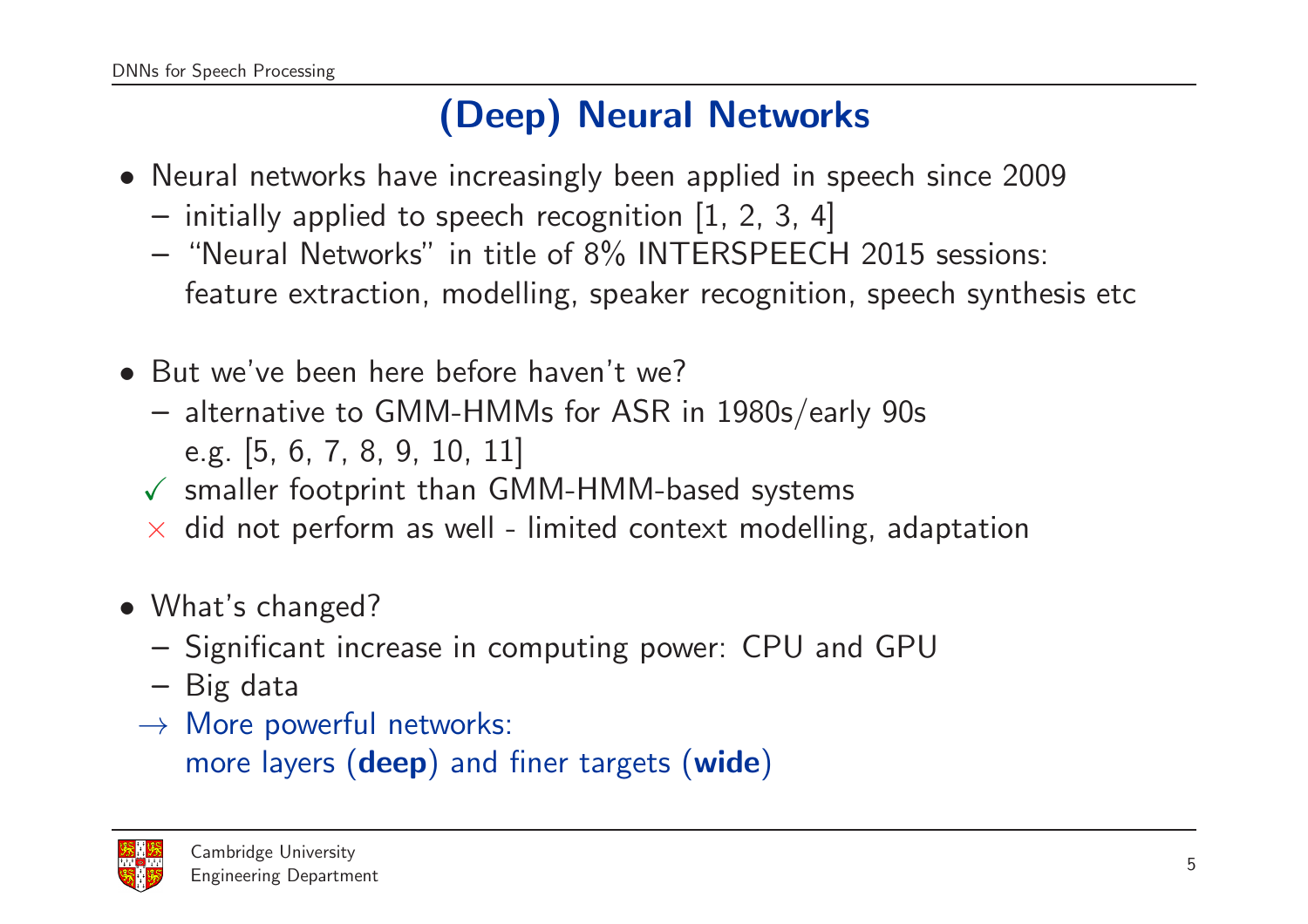## (Deep) Neural Networks

- Neural networks have increasingly been applied in speech since 2009
	- $-$  initially applied to speech recognition [1, 2, 3, 4]
	- "Neural Networks" in title of 8% INTERSPEECH 2015 sessions: feature extraction, modelling, speaker recognition, speech synthesis etc
- But we've been here before haven't we?
	- alternative to GMM-HMMs for ASR in 1980s/early 90s e.g. [5, 6, 7, 8, 9, 10, 11]
	- $\checkmark$  smaller footprint than GMM-HMM-based systems
	- $\times$  did not perform as well limited context modelling, adaptation
- What's changed?
	- Significant increase in computing power: CPU and GPU
	- Big data
	- $\rightarrow$  More powerful networks: more layers (**deep**) and finer targets (w**ide**)

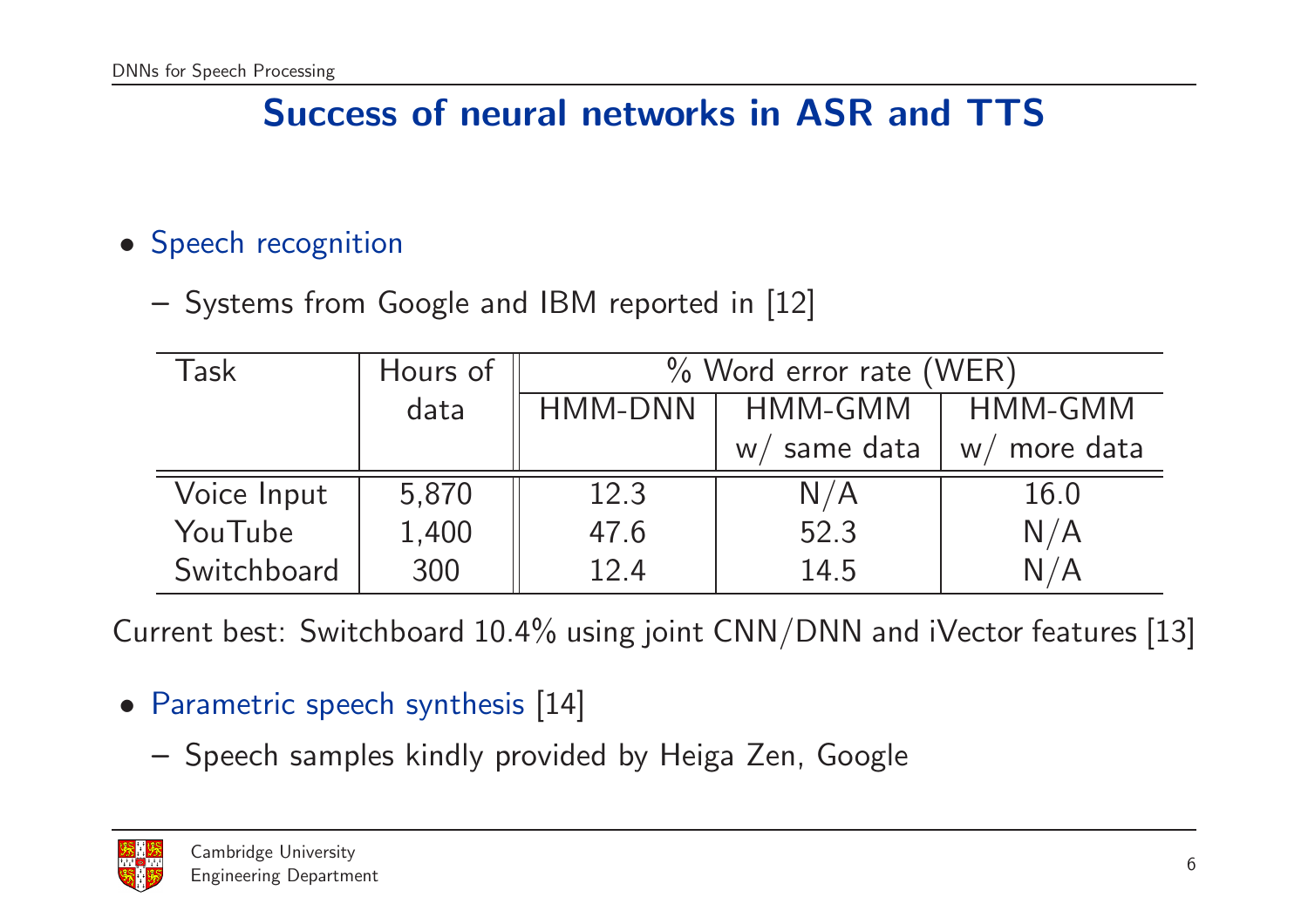### Success of neural networks in ASR and TTS

#### • Speech recognition

– Systems from Google and IBM reported in [12]

| Task        | Hours of | % Word error rate (WER) |                |                 |
|-------------|----------|-------------------------|----------------|-----------------|
|             | data     | HMM-DNN                 | HMM-GMM        | HMM-GMM         |
|             |          |                         | same data<br>W | more data<br>W/ |
| Voice Input | 5,870    | 12.3                    | N/A            | 16.0            |
| YouTube     | 1,400    | 47.6                    | 52.3           | N/A             |
| Switchboard | 300      | 12.4                    | 14.5           | N / A           |

Current best: Switchboard 10.4% using joint CNN/DNN and iVector features [13]

#### • Parametric speech synthesis [14]

– Speech samples kindly provided by Heiga Zen, Google

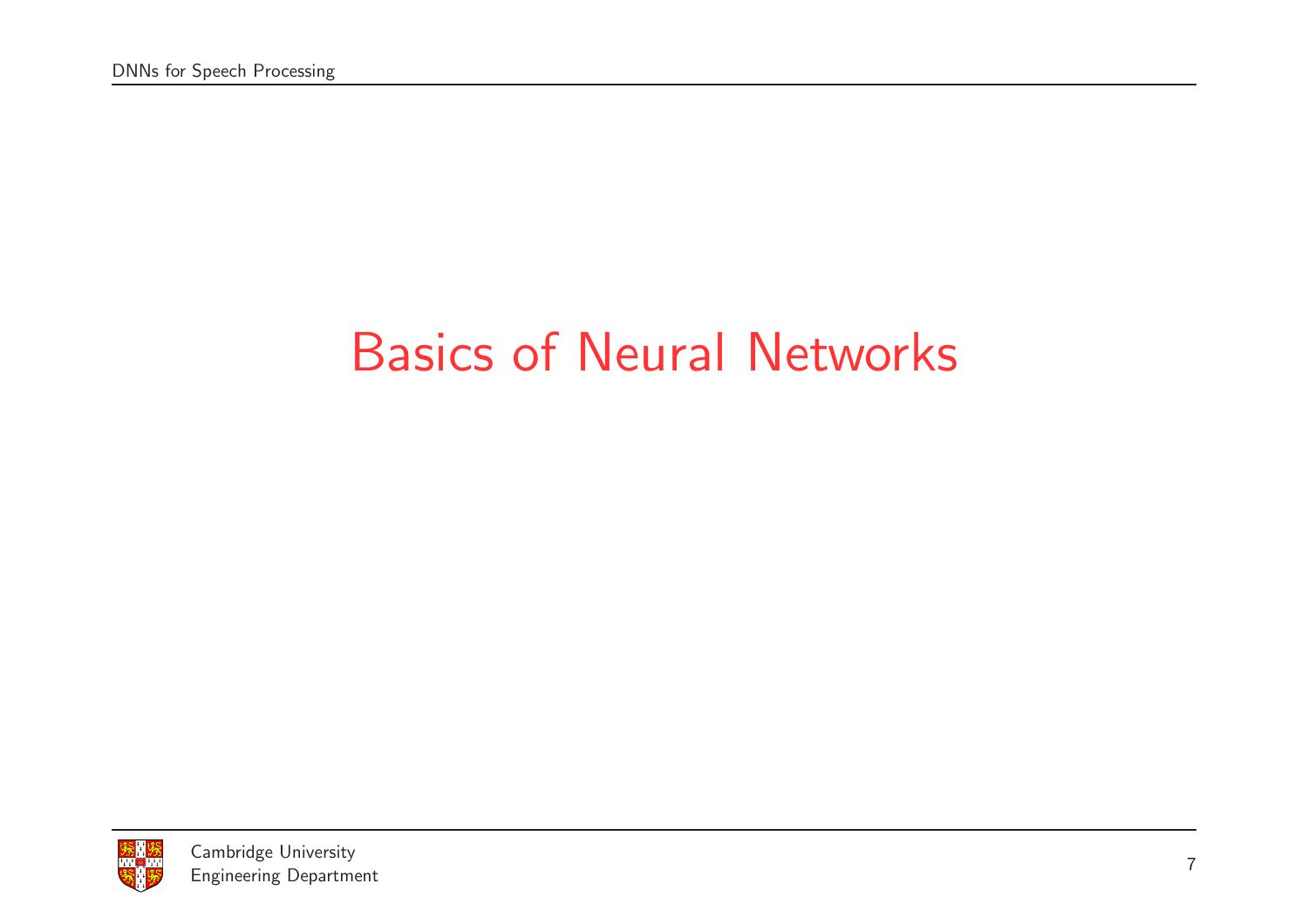# Basics of Neural Networks

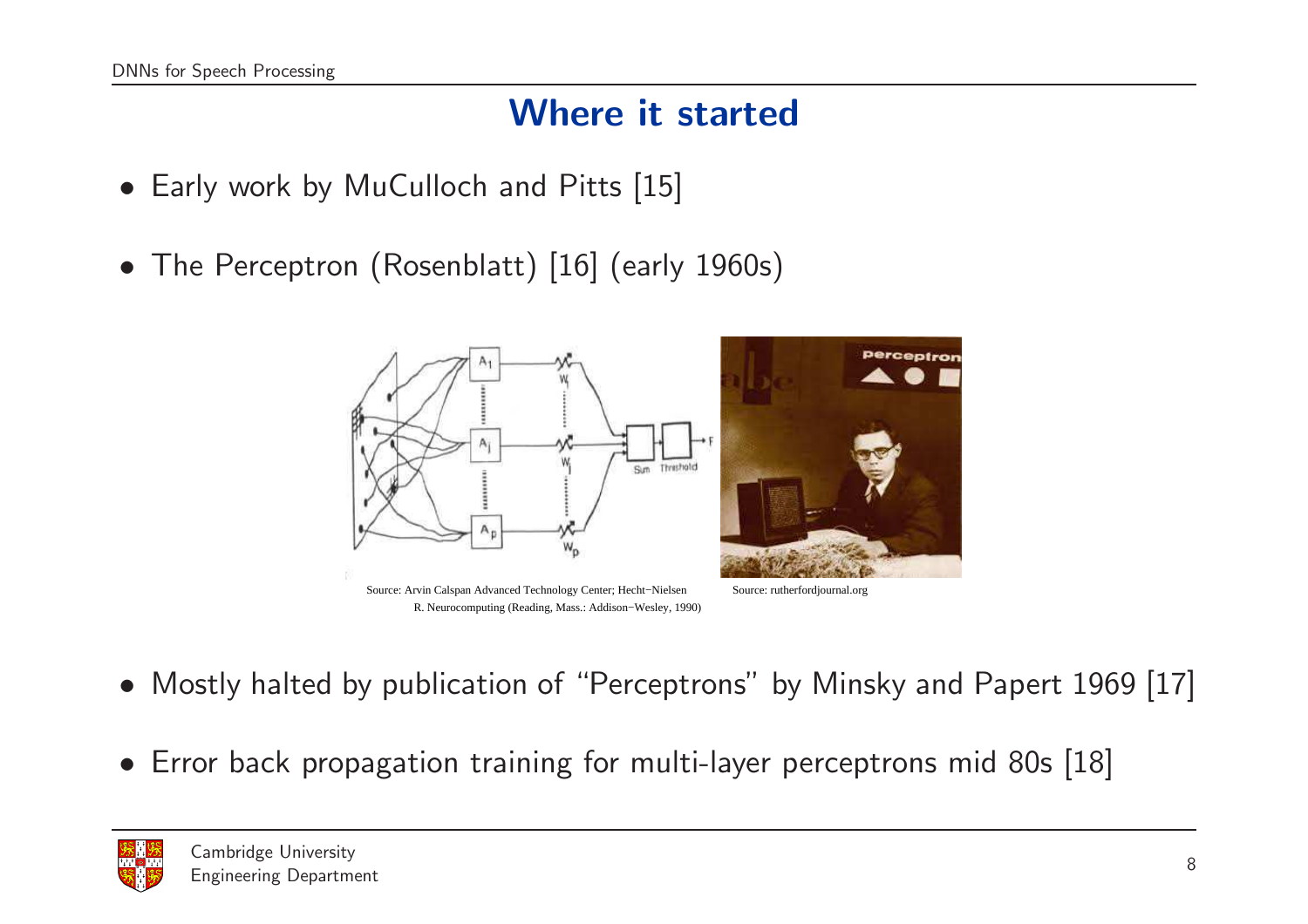#### Where it started

- Early work by MuCulloch and Pitts [15]
- The Perceptron (Rosenblatt) [16] (early 1960s)







Source: rutherfordjournal.org

- Mostly halted by publication of "Perceptrons" by Minsky and Papert 1969 [17]
- Error back propagation training for multi-layer perceptrons mid 80s [18]

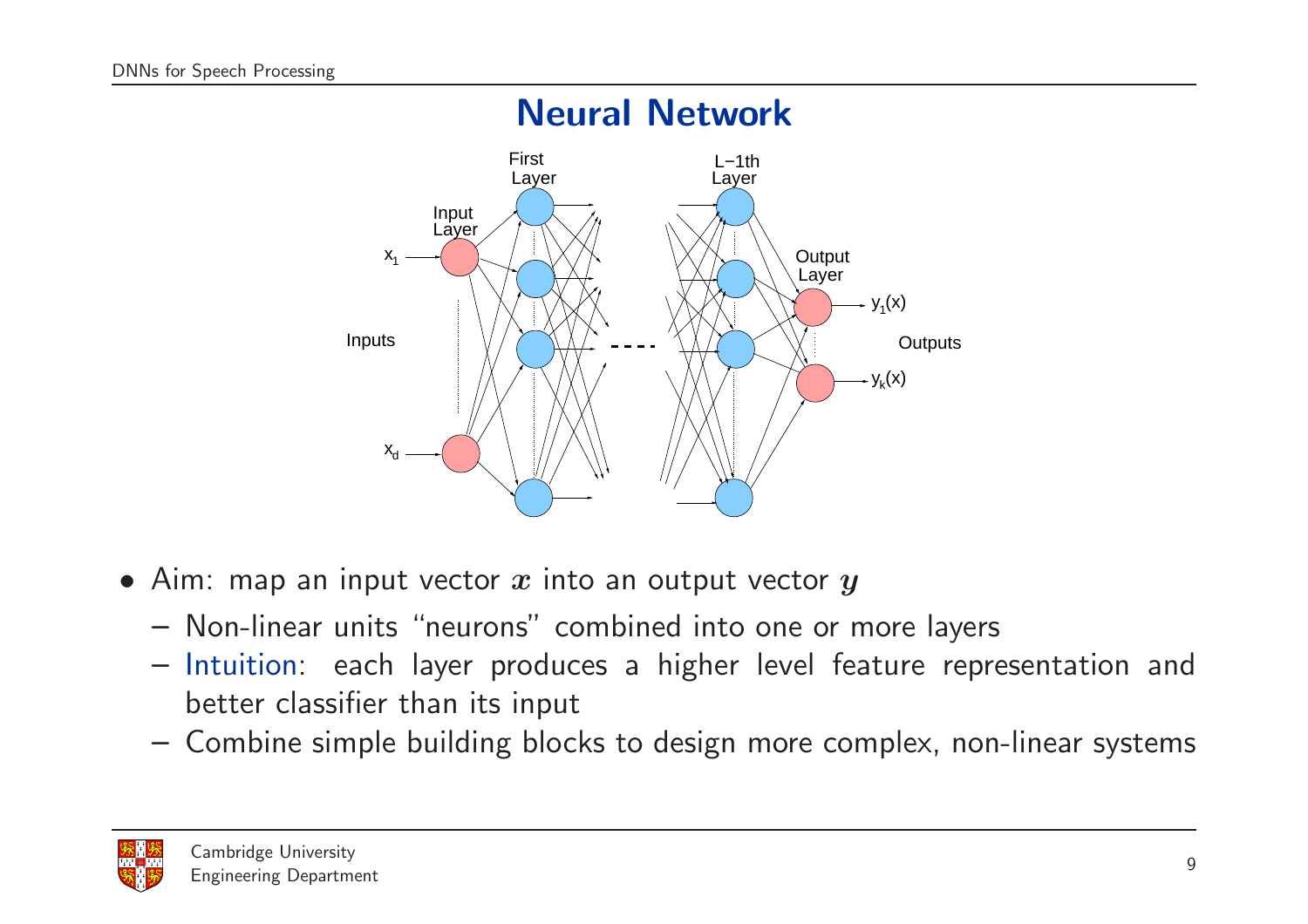

- Aim: map an input vector  $x$  into an output vector  $y$ 
	- Non-linear units "neurons" combined into one or more layers
	- Intuition: each layer produces <sup>a</sup> higher level feature representation and better classifier than its input
	- Combine simple building blocks to design more complex, non-linear systems

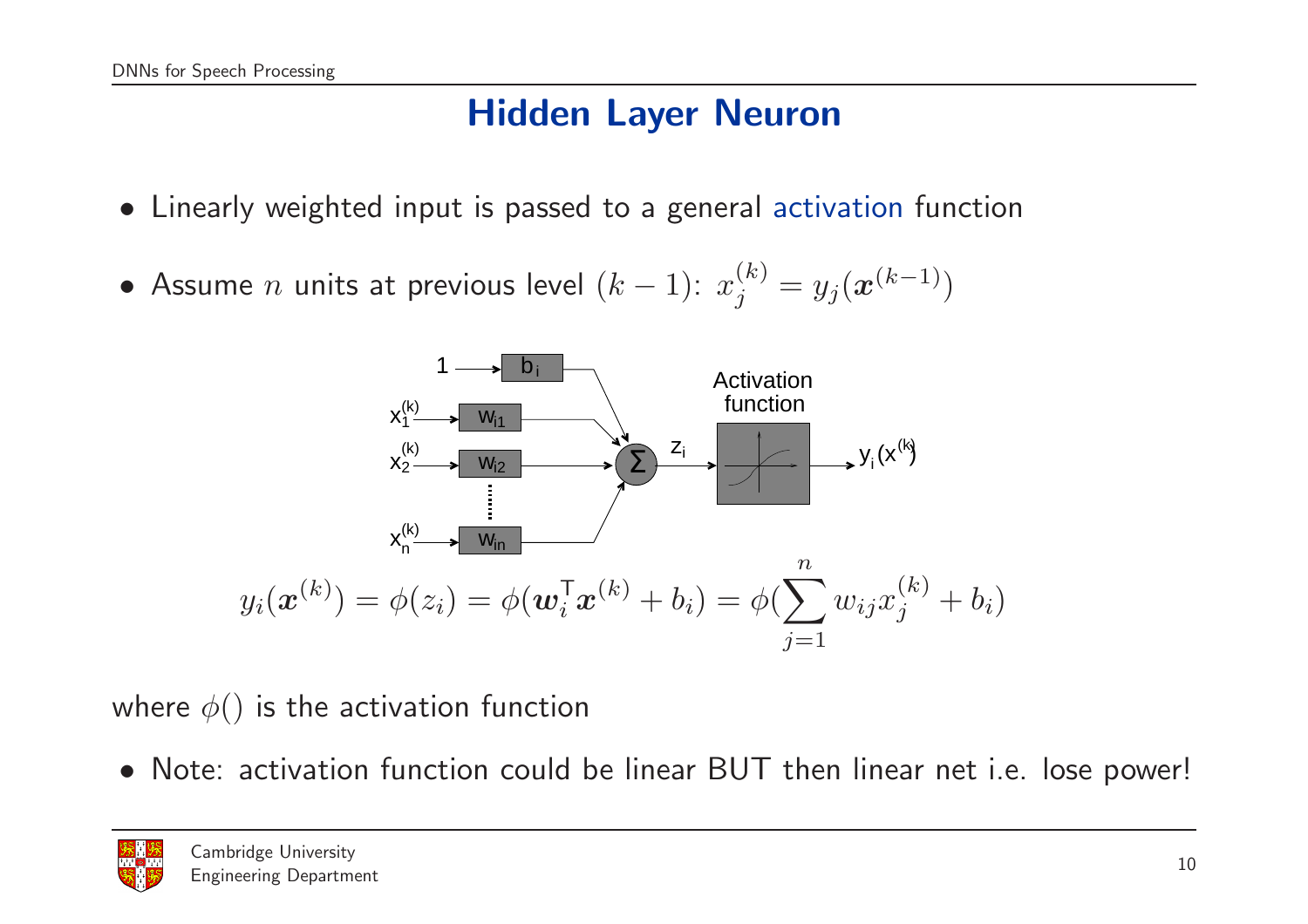#### Hidden Layer Neuron

- Linearly weighted input is passed to <sup>a</sup> general activation function
- Assume *n* units at previous level  $(k 1)$ :  $x_j^{(k)} = y_j(x^{(k-1)})$



where  $\phi()$  is the activation function

• Note: activation function could be linear BUT then linear net i.e. lose power!

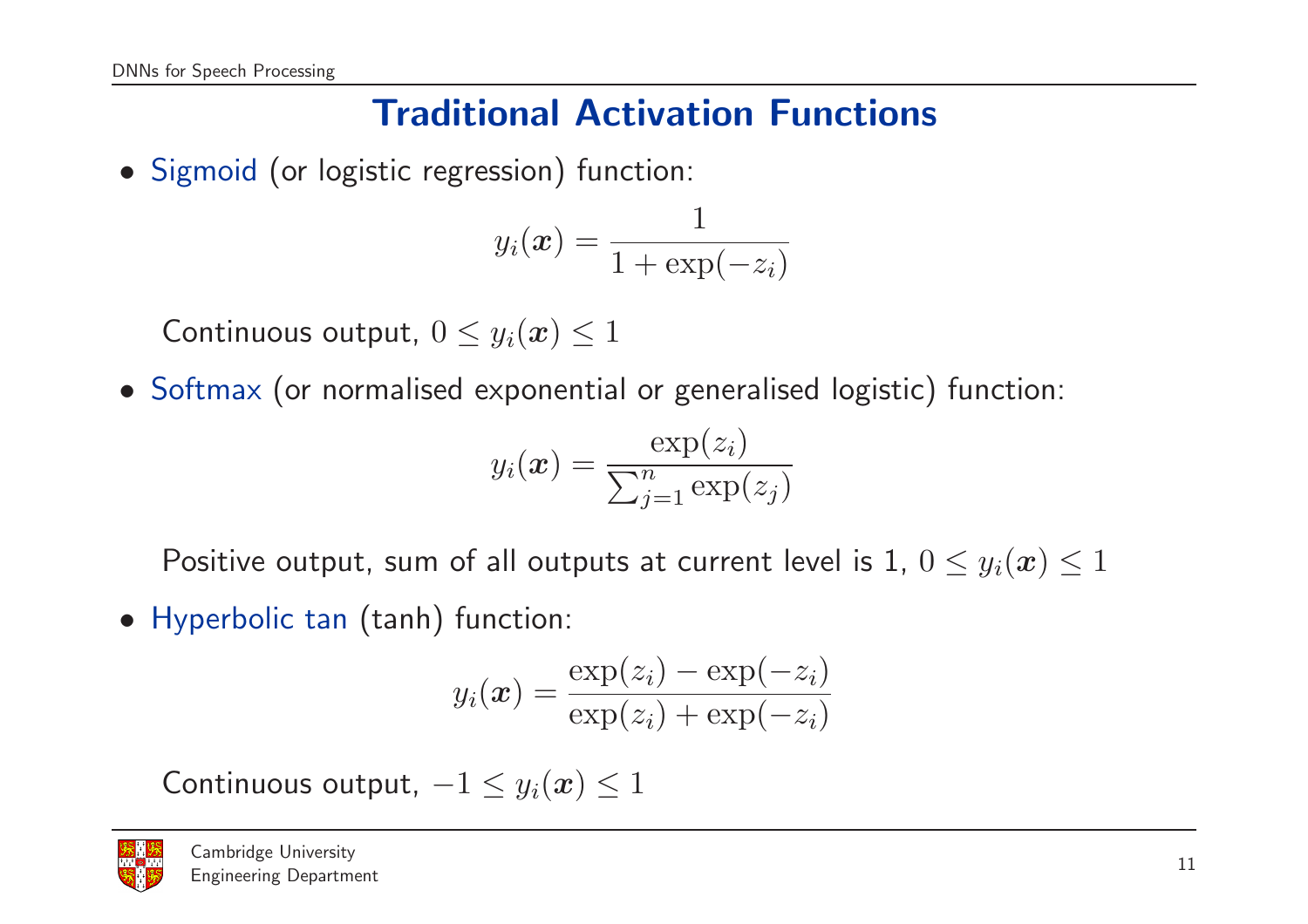## Traditional Activation Functions

• Sigmoid (or logistic regression) function:

$$
y_i(\boldsymbol{x}) = \frac{1}{1+\exp(-z_i)}
$$

Continuous output,  $0\leq y_i(\boldsymbol{x})\leq 1$ 

• Softmax (or normalised exponential or generalised logistic) function:

$$
y_i(\boldsymbol{x}) = \frac{\exp(z_i)}{\sum_{j=1}^n \exp(z_j)}
$$

Positive output, sum of all outputs at current level is 1,  $0\leq y_i(\boldsymbol{x})\leq 1$ 

• Hyperbolic tan (tanh) function:

$$
y_i(\boldsymbol{x}) = \frac{\exp(z_i) - \exp(-z_i)}{\exp(z_i) + \exp(-z_i)}
$$

Continuous output,  $-1\leq y_i(\boldsymbol{x})\leq 1$ 

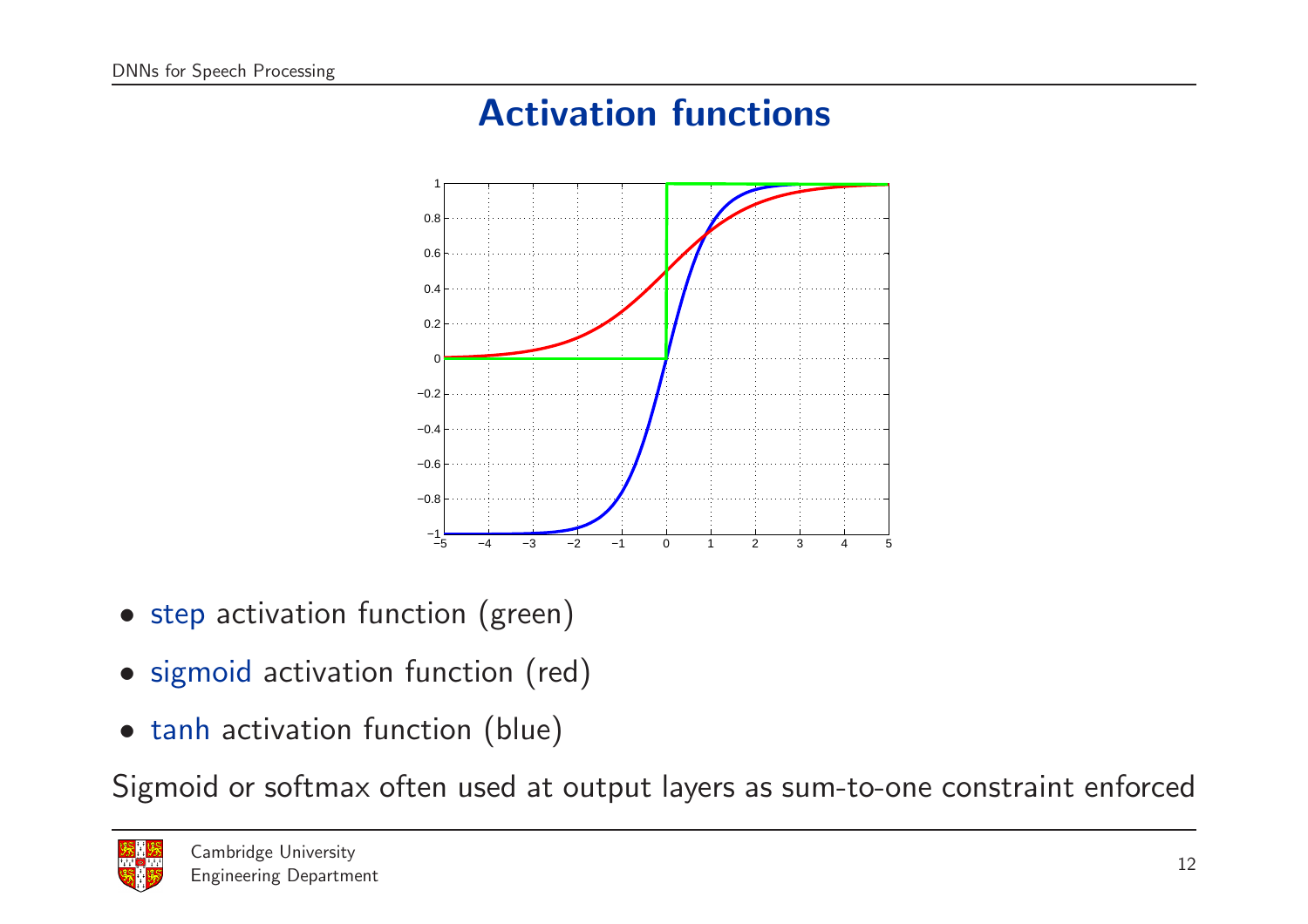## Activation functions



- step activation function (green)
- sigmoid activation function (red)
- tanh activation function (blue)

Sigmoid or softmax often used at output layers as sum-to-one constraint enforced

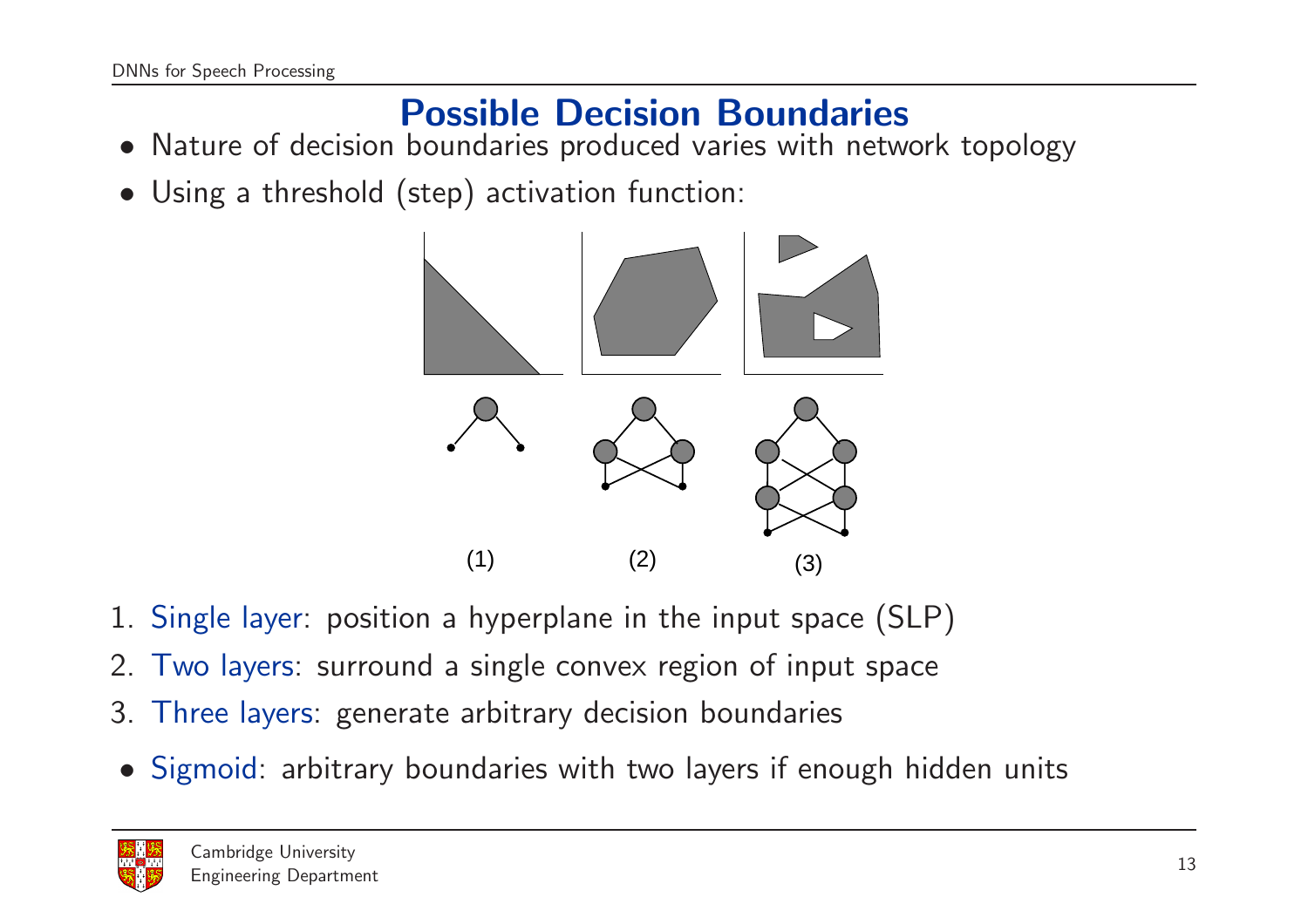## Possible Decision Boundaries

- Nature of decision boundaries produced varies with network topology
- Using <sup>a</sup> threshold (step) activation function:



- 1. Single layer: position <sup>a</sup> hyperplane in the input space (SLP)
- 2. Two layers: surround <sup>a</sup> single convex region of input space
- 3. Three layers: generate arbitrary decision boundaries
- Sigmoid: arbitrary boundaries with two layers if enough hidden unit s

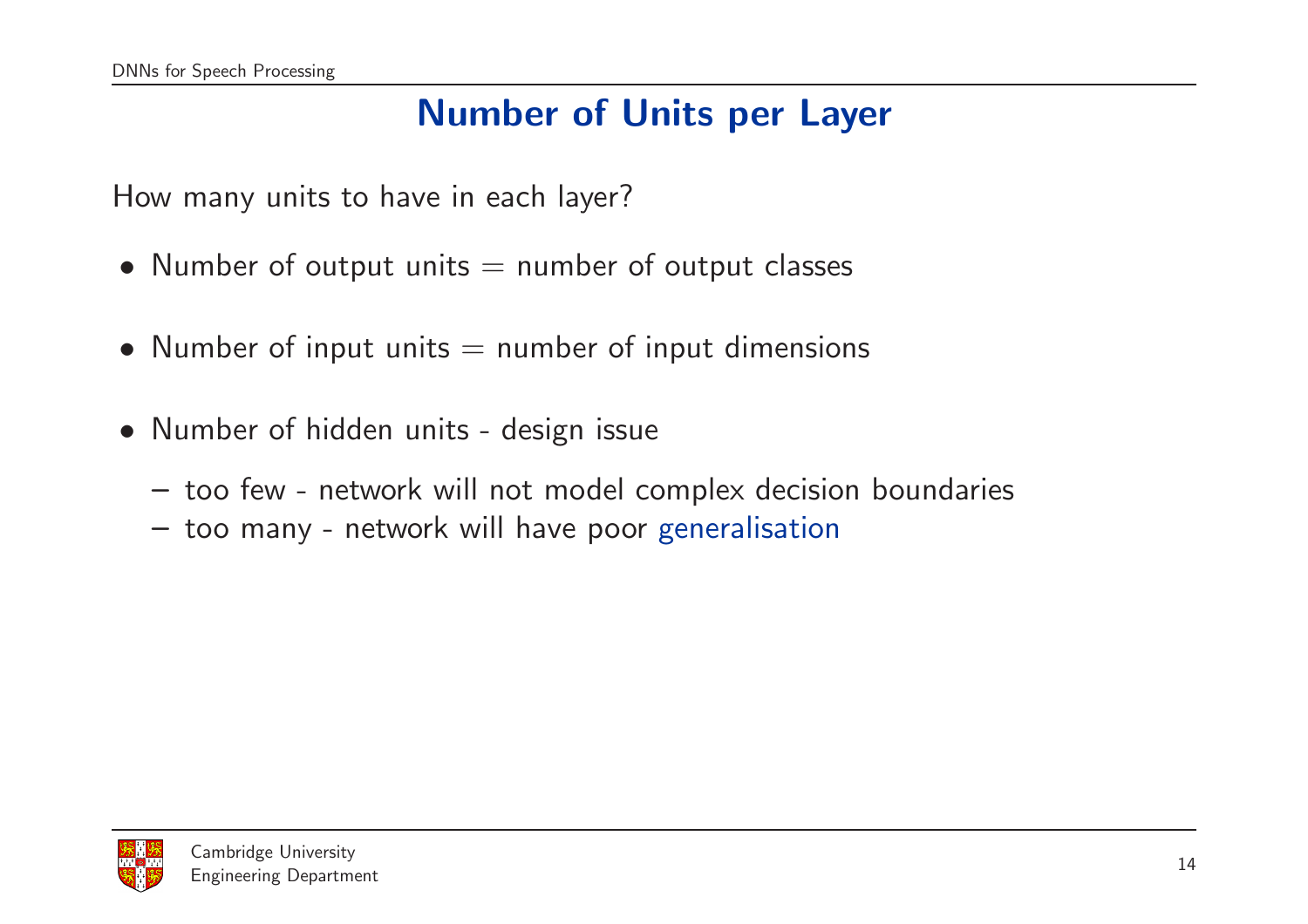## Number of Units per Layer

How many units to have in each layer?

- Number of output units  $=$  number of output classes
- Number of input units  $=$  number of input dimensions
- Number of hidden units design issue
	- too few network will not model complex decision boundaries
	- too many network will have poor generalisation

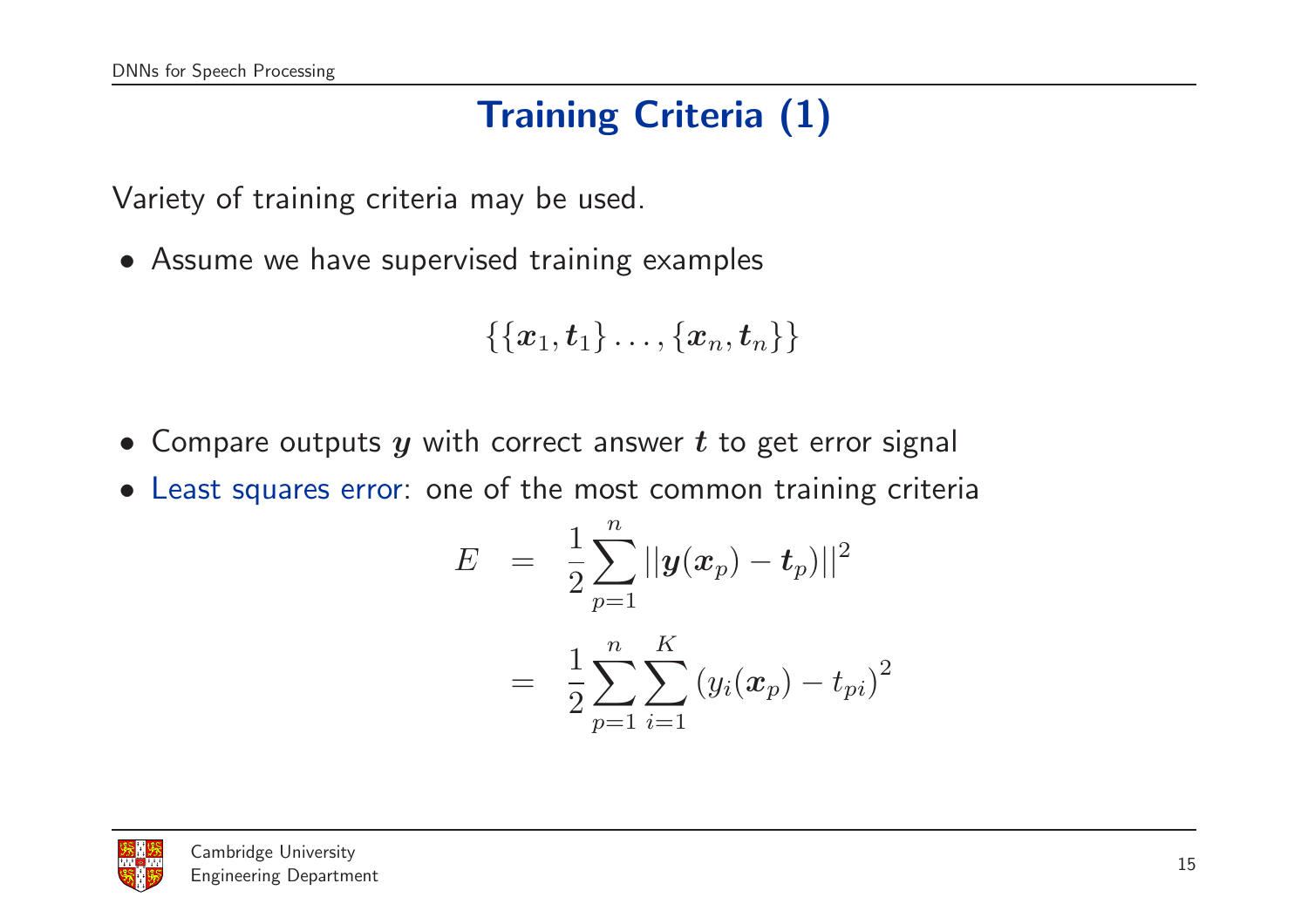# Training Criteria (1)

Variety of training criteria may be used.

• Assume we have supervised training examples

$$
\{\{\boldsymbol{x}_1,\boldsymbol{t}_1\}\dots,\{\boldsymbol{x}_n,\boldsymbol{t}_n\}\}
$$

- Compare outputs  $y$  with correct answer  $t$  to get error signal
- Least squares error: one of the most common training criteria

$$
E = \frac{1}{2} \sum_{p=1}^{n} ||y(x_p) - t_p)||^2
$$
  
= 
$$
\frac{1}{2} \sum_{p=1}^{n} \sum_{i=1}^{K} (y_i(x_p) - t_{pi})^2
$$

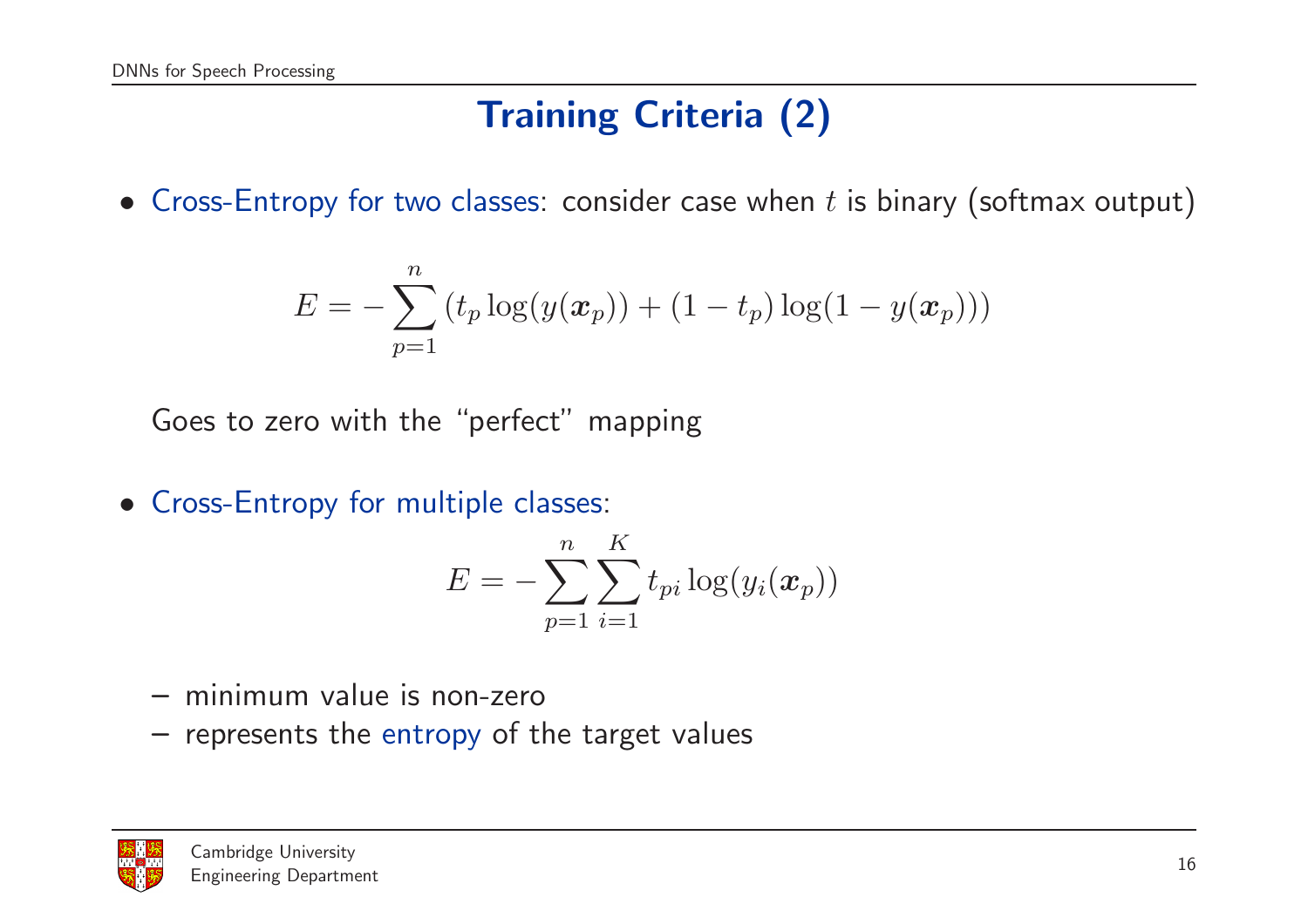## Training Criteria (2)

• Cross-Entropy for two classes: consider case when  $t$  is binary (softmax output)

$$
E = -\sum_{p=1}^{n} (t_p \log(y(\bm{x}_p)) + (1 - t_p) \log(1 - y(\bm{x}_p)))
$$

Goes to zero with the "perfect" mapping

• Cross-Entropy for multiple classes:

$$
E = -\sum_{p=1}^{n} \sum_{i=1}^{K} t_{pi} \log(y_i(\boldsymbol{x}_p))
$$

- minimum value is non-zero
- represents the entropy of the target values

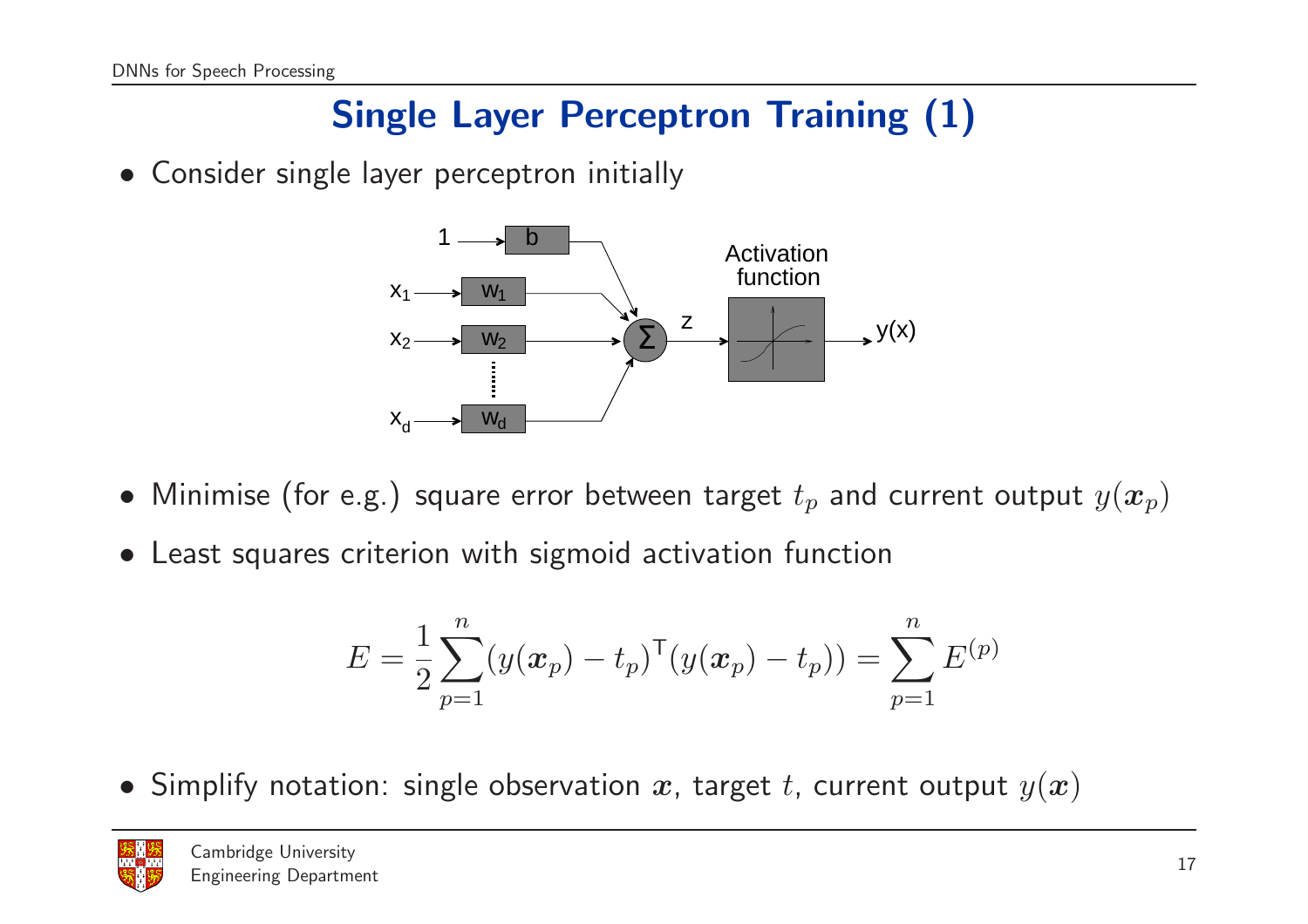## Single Layer Perceptron Training (1)

• Consider single layer perceptron initially



- $\bullet\,$  Minimise (for e.g.) square error between target  $t_p$  and current output  $y(\bm{x}_p)$
- Least squares criterion with sigmoid activation function

$$
E = \frac{1}{2} \sum_{p=1}^{n} (y(\boldsymbol{x}_p) - t_p)^{\mathsf{T}} (y(\boldsymbol{x}_p) - t_p)) = \sum_{p=1}^{n} E^{(p)}
$$

 $\bullet\,$  Simplify notation: single observation  $\bm{x}$ , target  $t$ , current output  $y(\bm{x})$ 

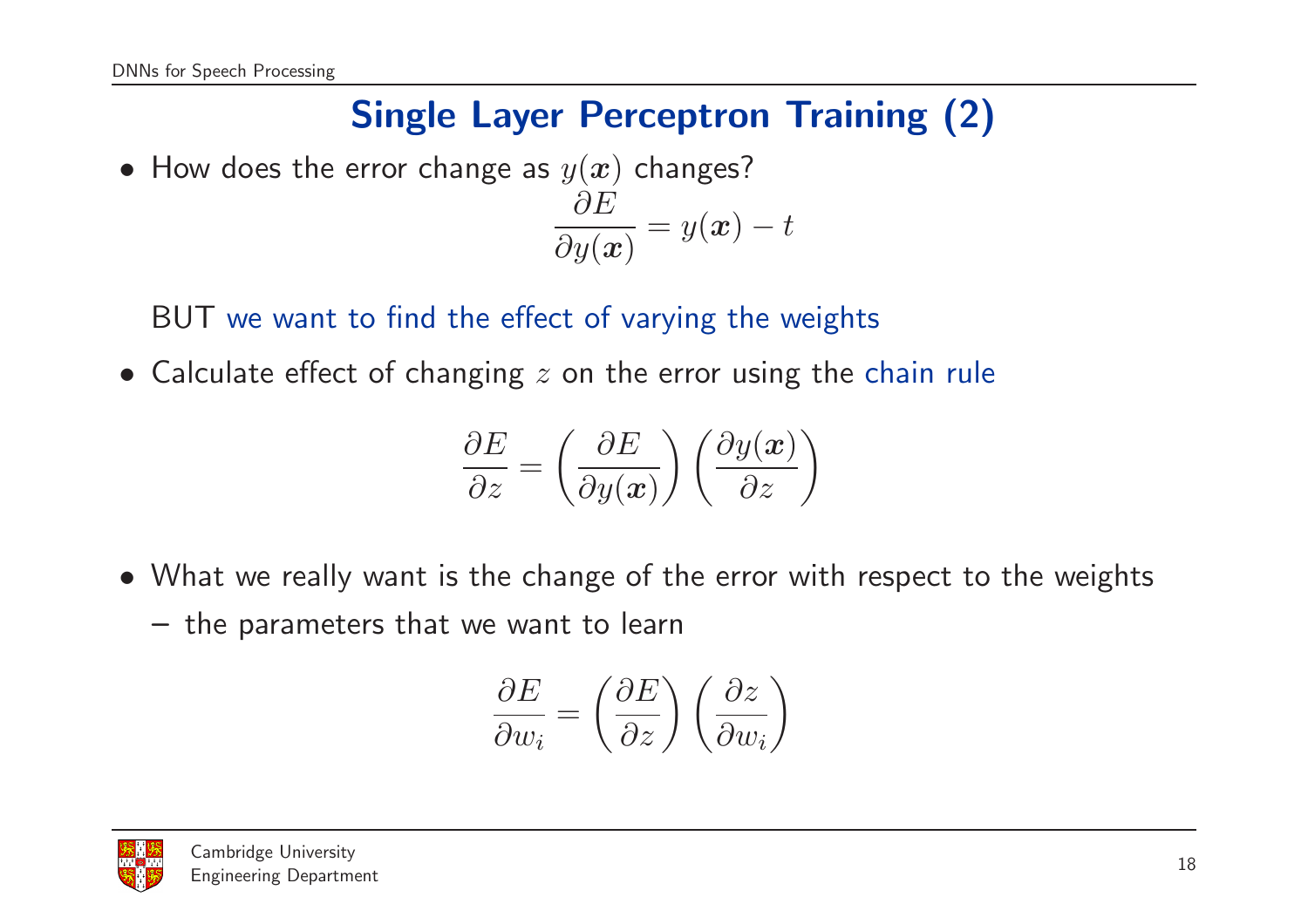## Single Layer Perceptron Training (2)

 $\bullet\,$  How does the error change as  $y(\bm{x})$  changes?  $\partial E$  $\partial y(\bm{x})$  $= y(\boldsymbol{x}) - t$ 

BUT we want to find the effect of varying the weights

 $\bullet\,$  Calculate effect of changing  $z$  on the error using the chain rule

$$
\frac{\partial E}{\partial z} = \left(\frac{\partial E}{\partial y(\boldsymbol{x})}\right) \left(\frac{\partial y(\boldsymbol{x})}{\partial z}\right)
$$

- What we really want is the change of the error with respect to the weights
	- the parameters that we want to learn

$$
\frac{\partial E}{\partial w_i} = \left(\frac{\partial E}{\partial z}\right) \left(\frac{\partial z}{\partial w_i}\right)
$$

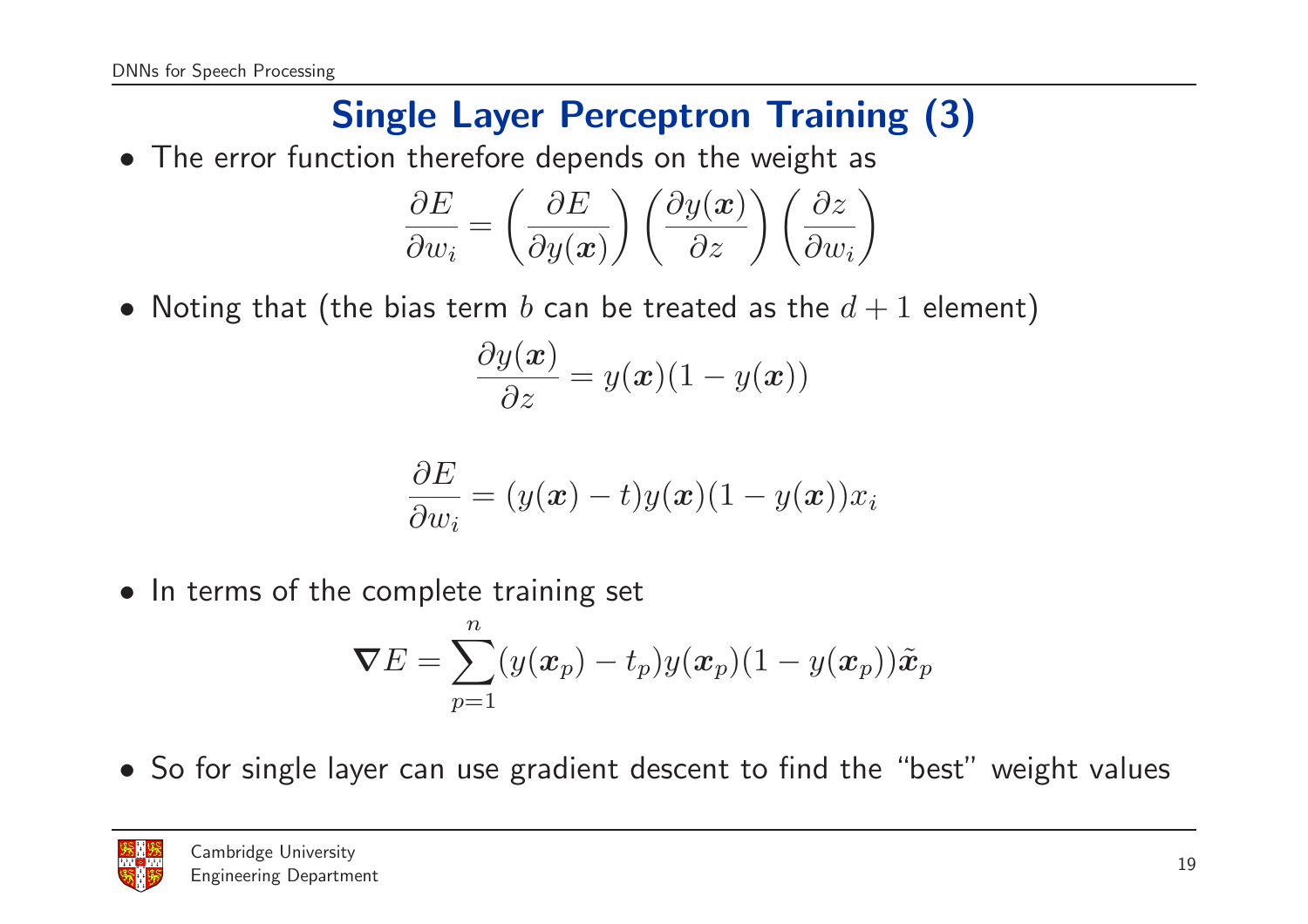## Single Layer Perceptron Training (3)

• The error function therefore depends on the weight as

$$
\frac{\partial E}{\partial w_i} = \left(\frac{\partial E}{\partial y(\boldsymbol{x})}\right) \left(\frac{\partial y(\boldsymbol{x})}{\partial z}\right) \left(\frac{\partial z}{\partial w_i}\right)
$$

 $\bullet\,$  Noting that (the bias term  $b$  can be treated as the  $d+1$  element)

$$
\frac{\partial y(\boldsymbol{x})}{\partial z} = y(\boldsymbol{x})(1 - y(\boldsymbol{x}))
$$

$$
\frac{\partial E}{\partial w_i} = (y(\boldsymbol{x}) - t)y(\boldsymbol{x})(1 - y(\boldsymbol{x}))x_i
$$

• In terms of the complete training set

$$
\boldsymbol{\nabla}E=\sum_{p=1}^n(y(\boldsymbol{x}_p)-t_p)y(\boldsymbol{x}_p)(1-y(\boldsymbol{x}_p))\tilde{\boldsymbol{x}}_p
$$

• So for single layer can use gradient descent to find the "best" weight values

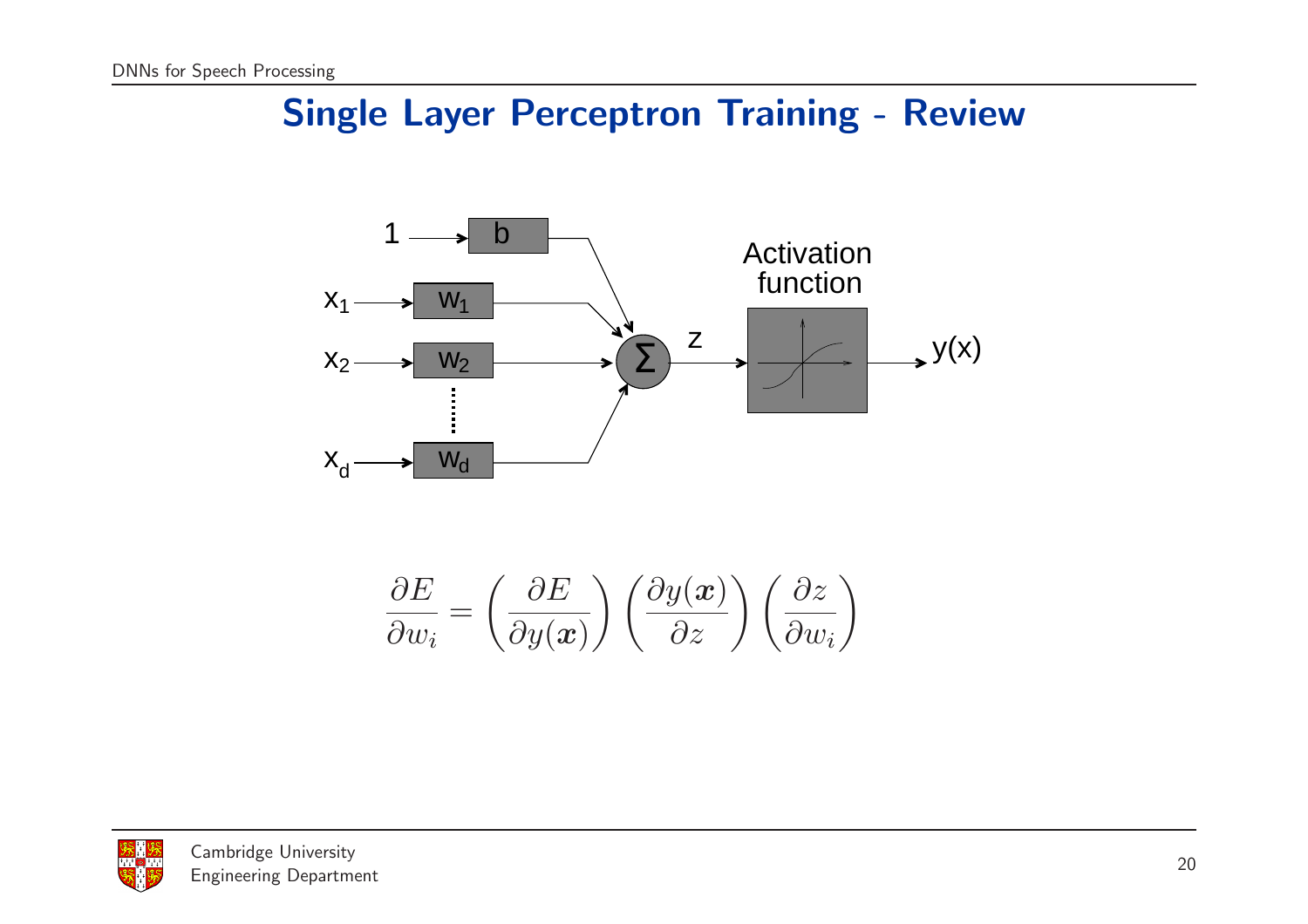#### Single Layer Perceptron Training - Review



$$
\frac{\partial E}{\partial w_i} = \left(\frac{\partial E}{\partial y(\boldsymbol{x})}\right) \left(\frac{\partial y(\boldsymbol{x})}{\partial z}\right) \left(\frac{\partial z}{\partial w_i}\right)
$$

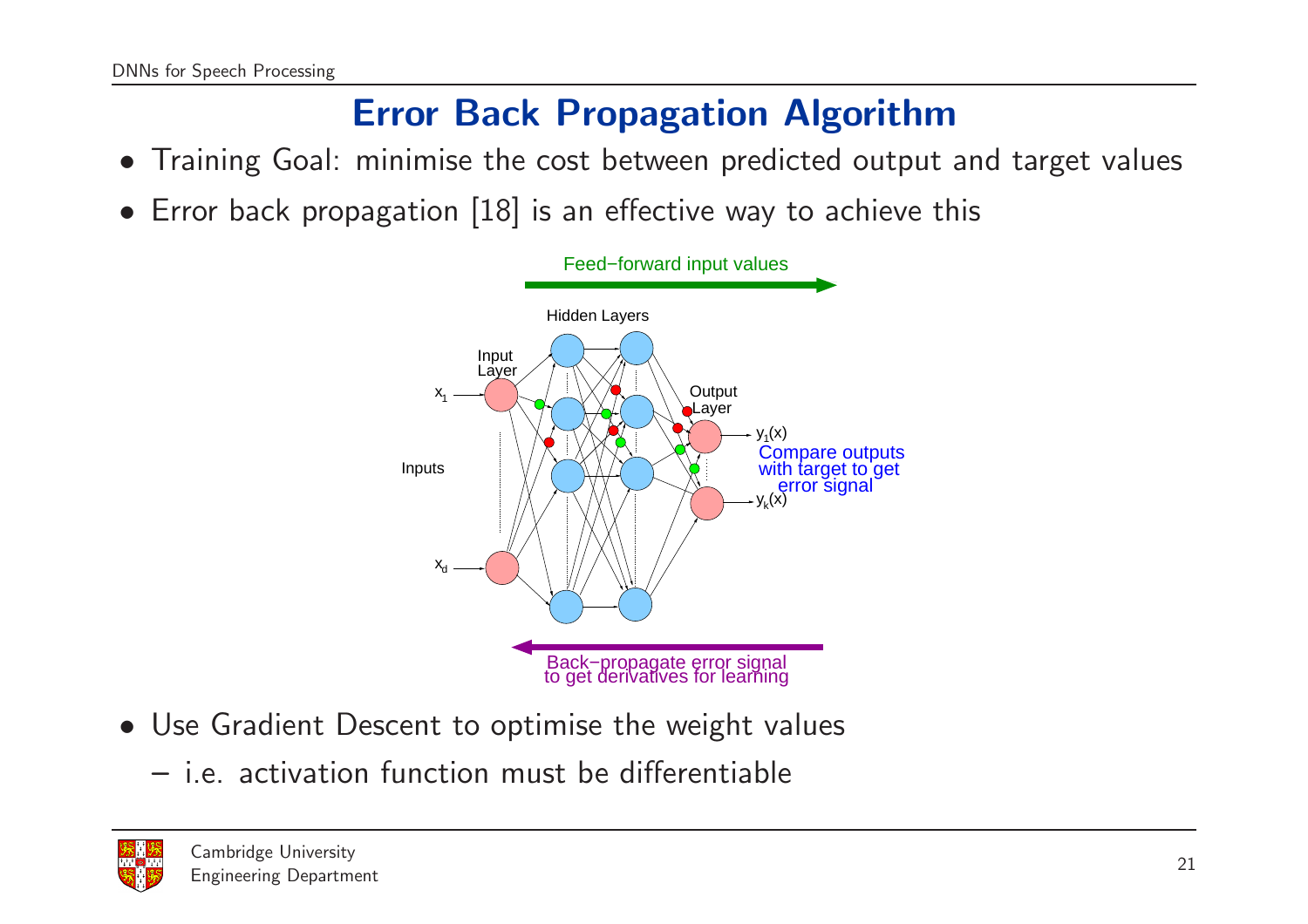## Error Back Propagation Algorithm

- Training Goal: minimise the cost between predicted output and target values
- Error back propagation [18] is an effective way to achieve thi s



- Use Gradient Descent to optimise the weight values
	- i.e. activation function must be differentiable

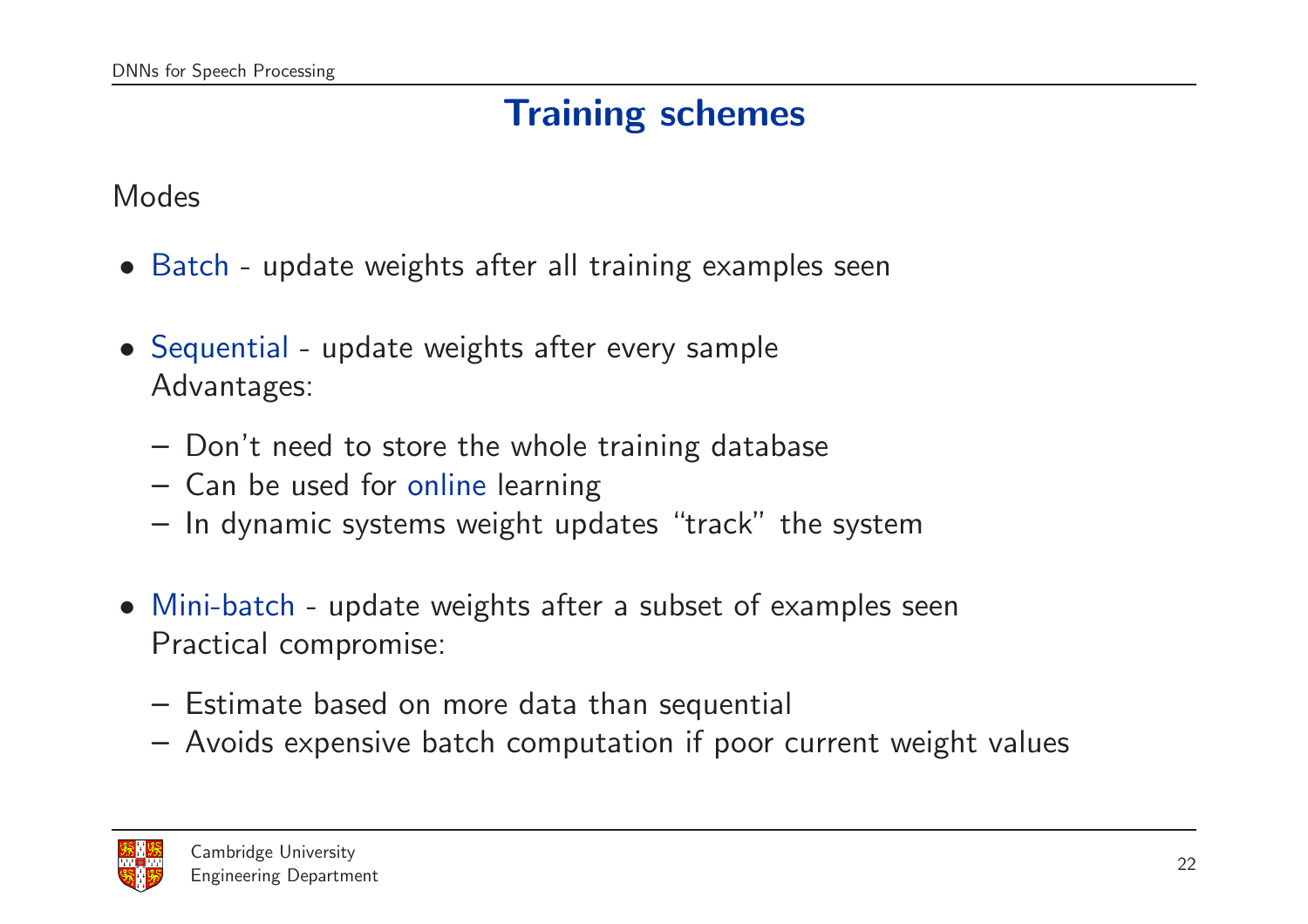## Training schemes

Modes

- Batch update weights after all training examples seen
- Sequential update weights after every sample Advantages:
	- Don't need to store the whole training database
	- Can be used for online learning
	- In dynamic systems weight updates "track" the system
- Mini-batch update weights after a subset of examples seen Practical compromise:
	- Estimate based on more data than sequential
	- Avoids expensive batch computation if poor current weight values

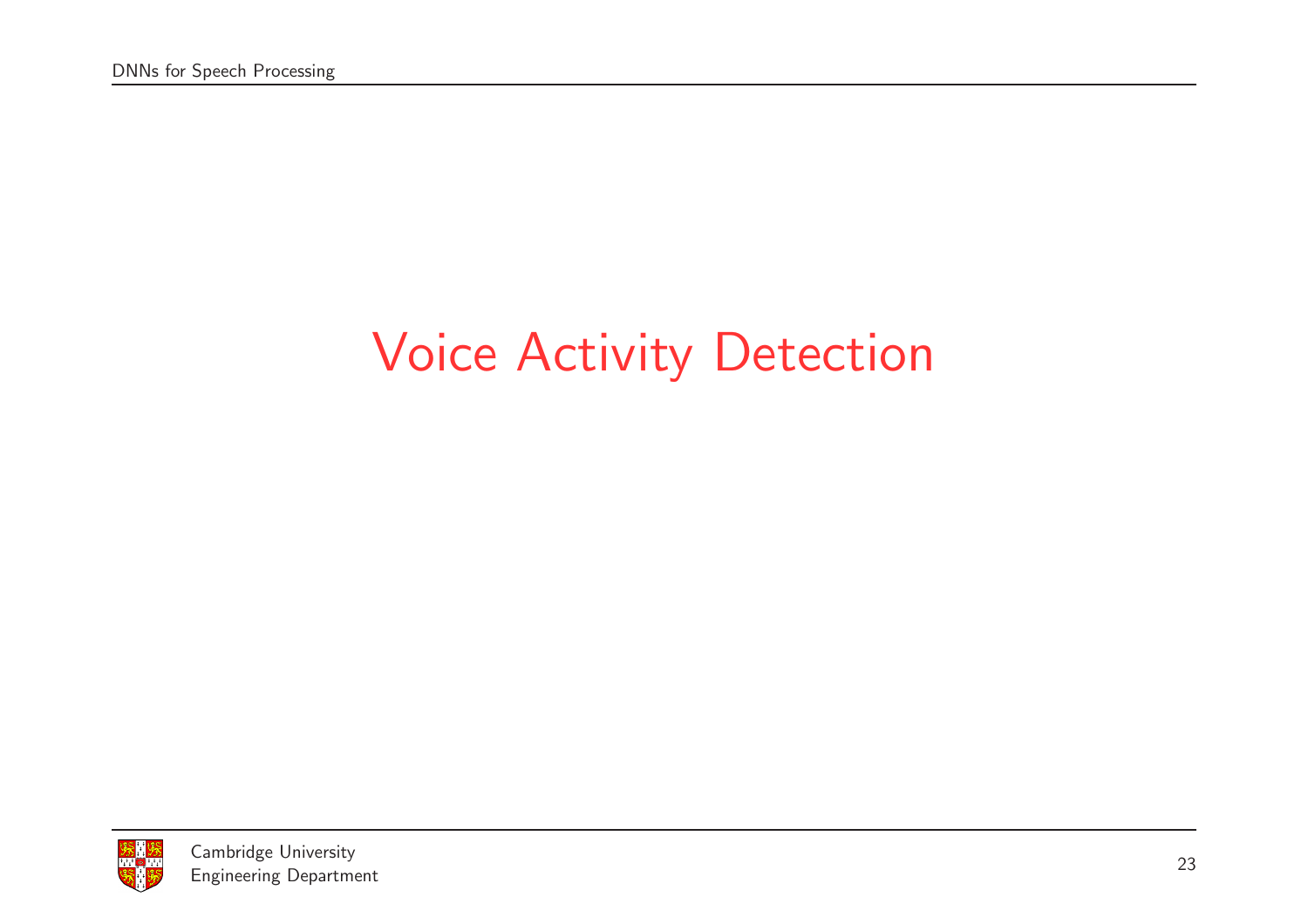# Voice Activity Detection

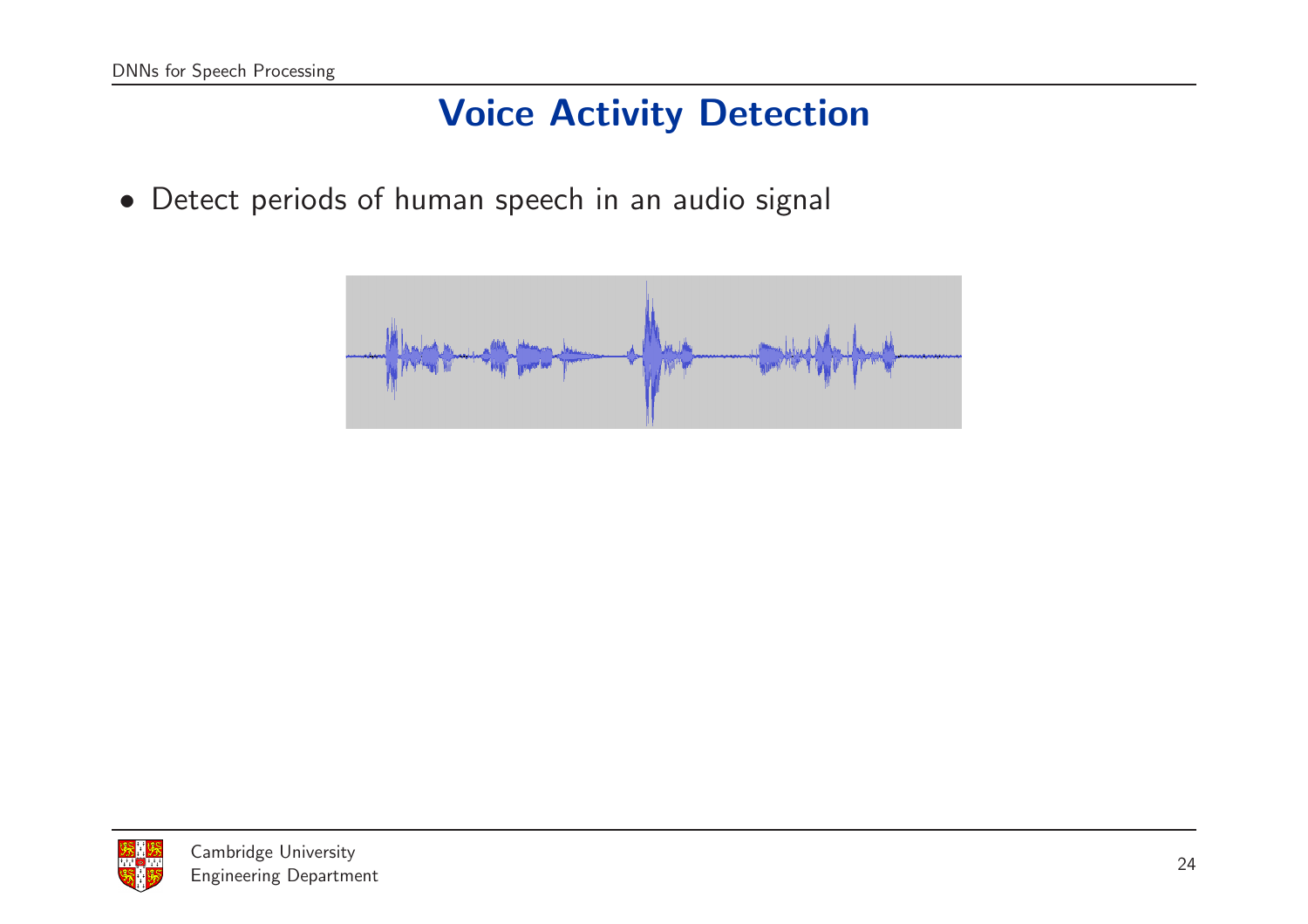### Voice Activity Detection

• Detect periods of human speech in an audio signal



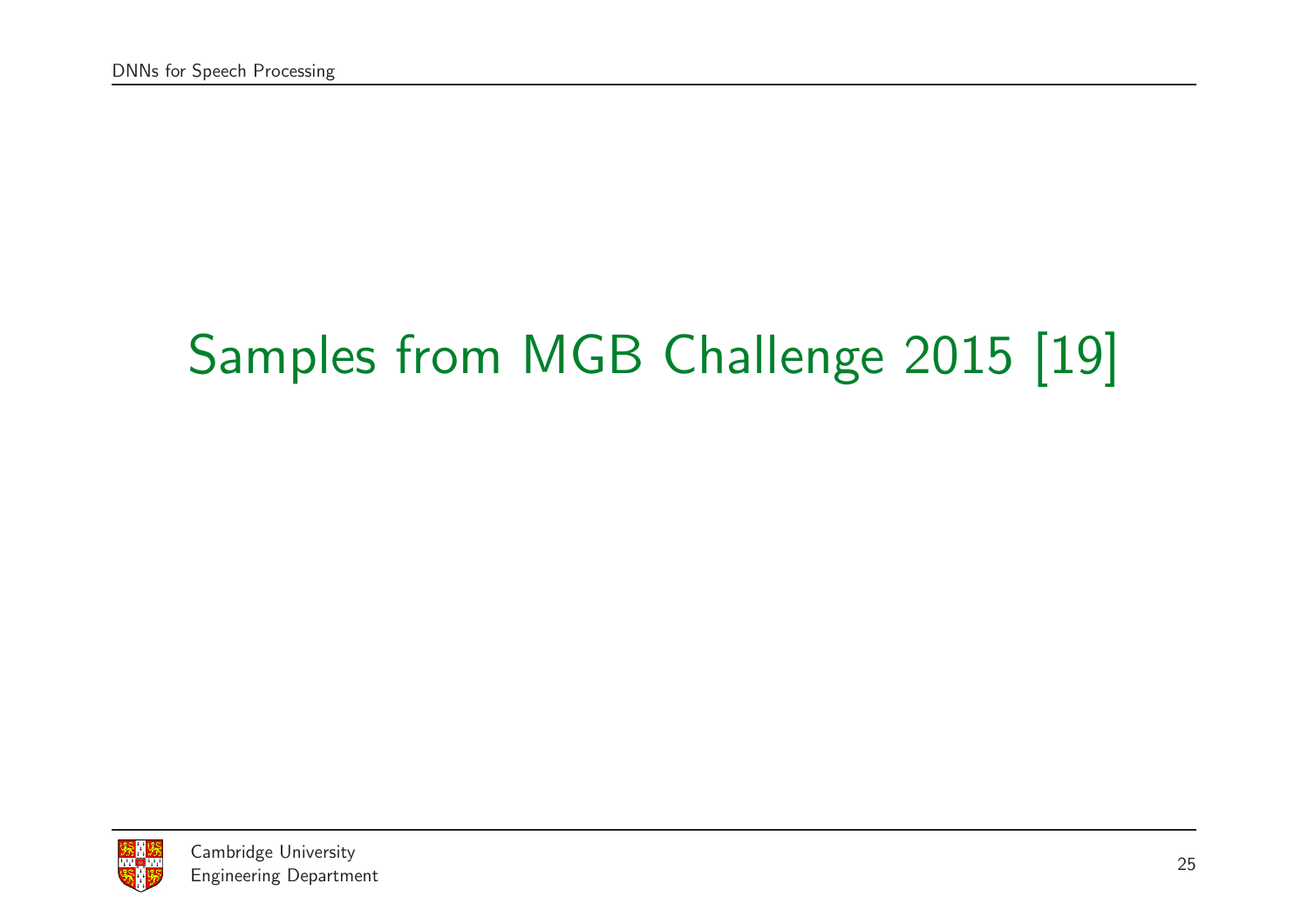# Samples from MGB Challenge <sup>2015</sup> [19]

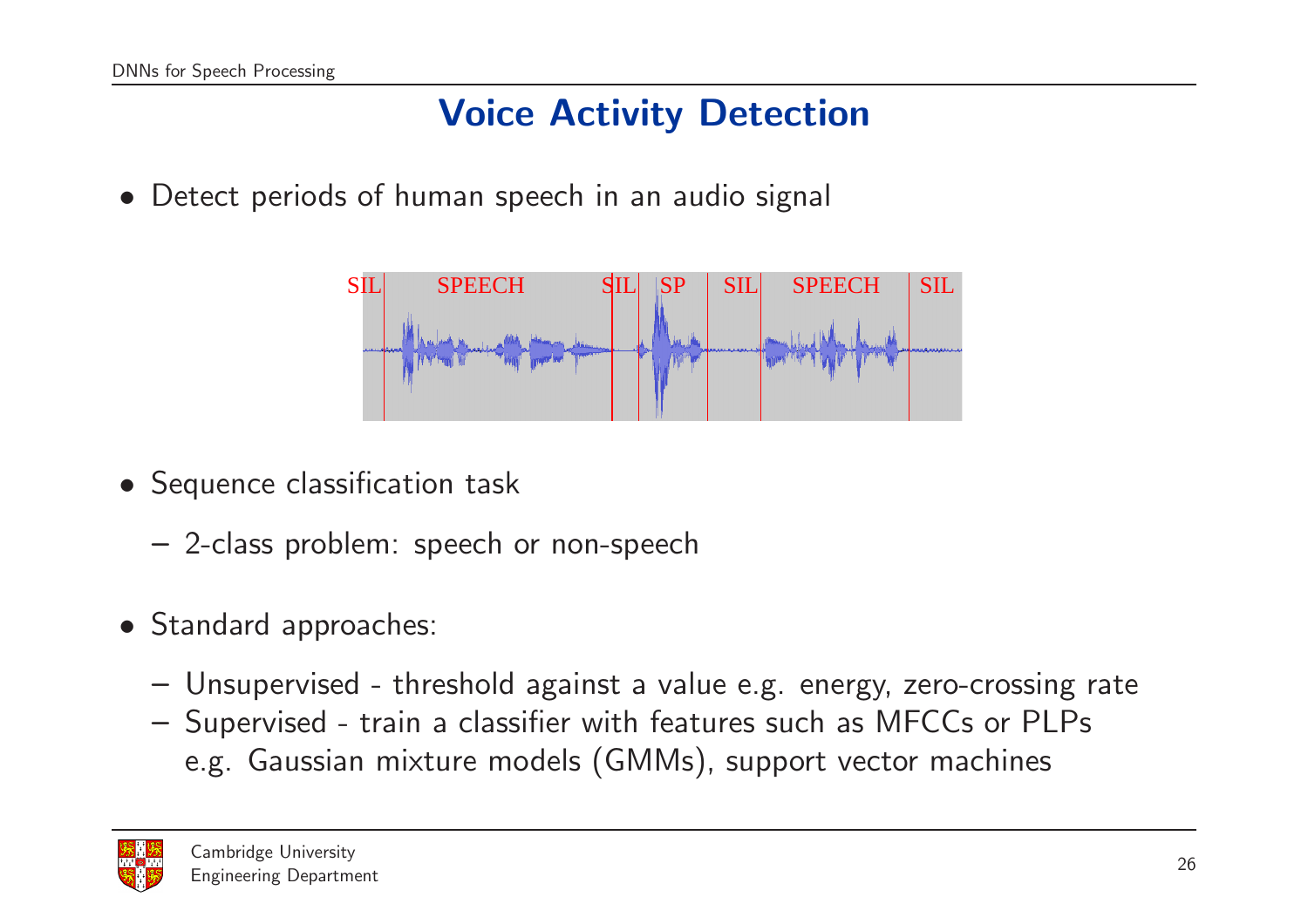## Voice Activity Detection

• Detect periods of human speech in an audio signal



- Sequence classification task
	- 2-class problem: speech or non-speech
- Standard approaches:
	- Unsupervised threshold against <sup>a</sup> value e.g. energy, zero-crossing rate
	- Supervised train <sup>a</sup> classifier with features such as MFCCs or PLPs e.g. Gaussian mixture models (GMMs), support vector machines

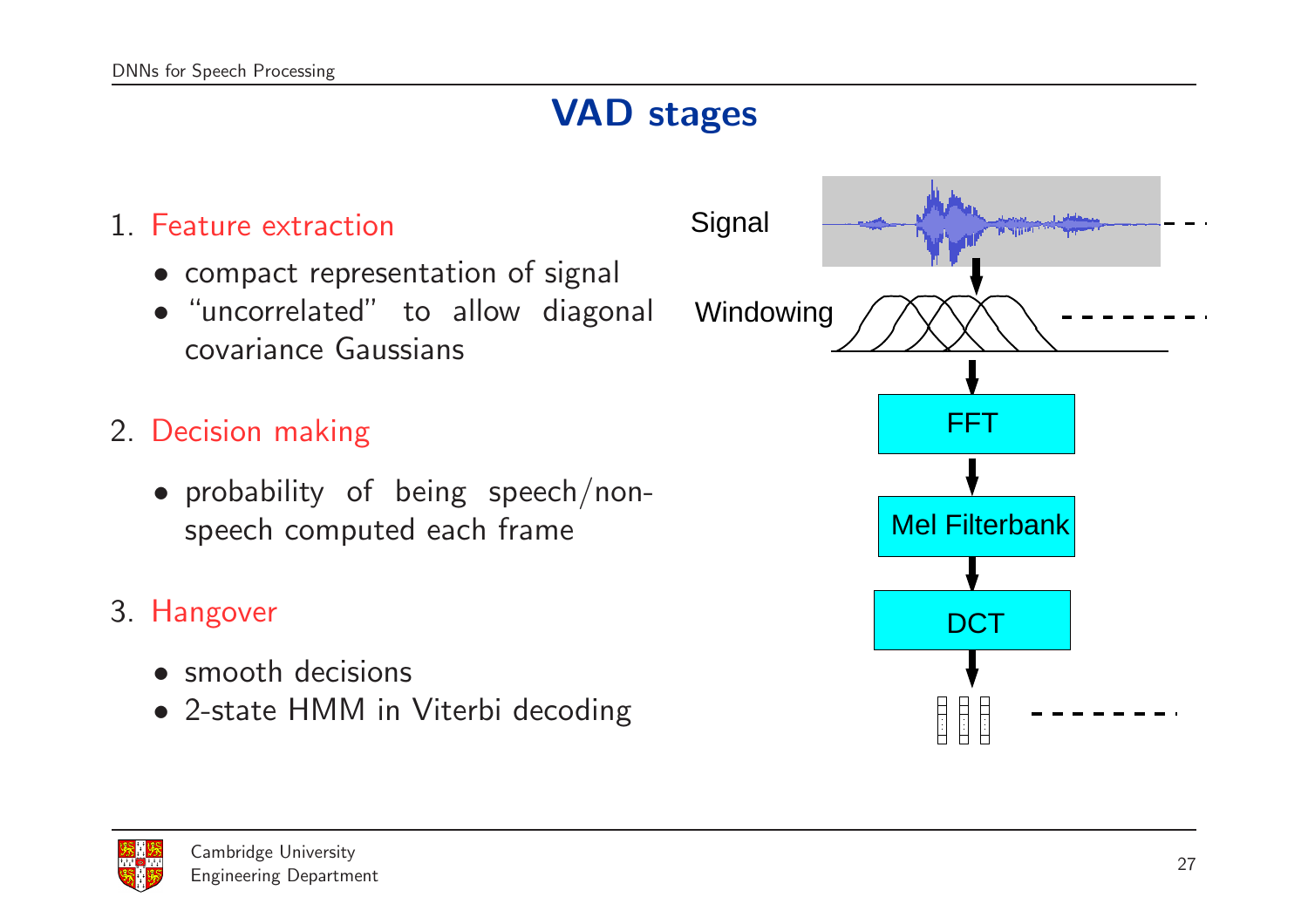## VAD stages

#### 1. Feature extraction • compact representation of signal • "uncorrelated" to allow diagonal covariance Gaussians 2. Decision making • probability of being speech/nonspeech computed each frame 3. Hangover Windowing **Signal** FFT Mel Filterbank **DCT**

- smooth decisions
- 2-state HMM in Viterbi decoding



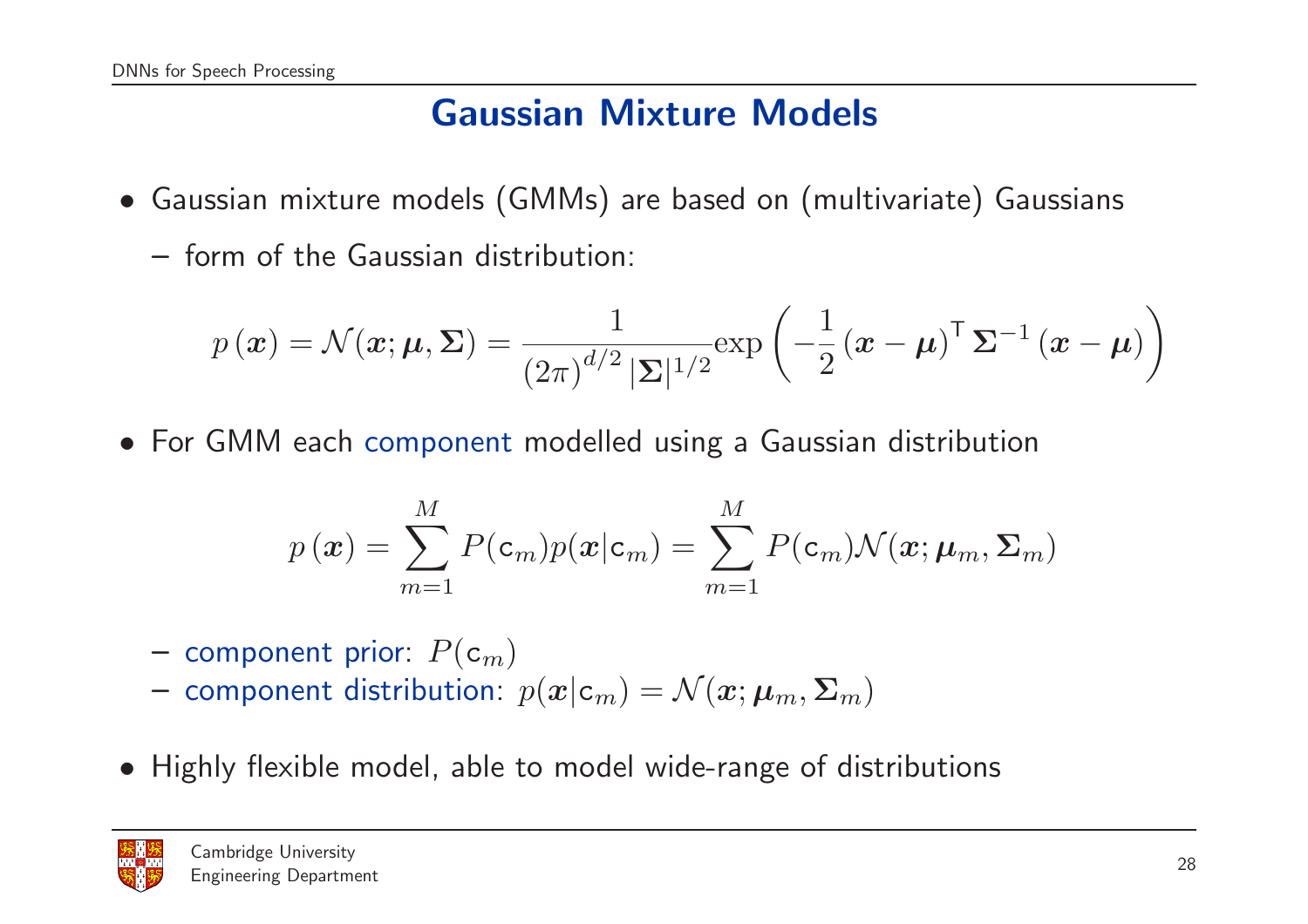## Gaussian Mixture Models

- Gaussian mixture models (GMMs) are based on (multivariate) Gaussians
	- form of the Gaussian distribution:

$$
p(\boldsymbol{x}) = \mathcal{N}(\boldsymbol{x}; \boldsymbol{\mu}, \boldsymbol{\Sigma}) = \frac{1}{(2\pi)^{d/2} |\boldsymbol{\Sigma}|^{1/2}} \exp\left(-\frac{1}{2} (\boldsymbol{x} - \boldsymbol{\mu})^{\top} \boldsymbol{\Sigma}^{-1} (\boldsymbol{x} - \boldsymbol{\mu})\right)
$$

• For GMM each component modelled using <sup>a</sup> Gaussian distribution

$$
p(\boldsymbol{x}) = \sum_{m=1}^{M} P(\mathbf{c}_m) p(\boldsymbol{x} | \mathbf{c}_m) = \sum_{m=1}^{M} P(\mathbf{c}_m) \mathcal{N}(\boldsymbol{x}; \boldsymbol{\mu}_m, \boldsymbol{\Sigma}_m)
$$

- $-$  component prior:  $P(\mathtt{c}_{m})$
- component distribution:  $p(\boldsymbol{x}|\textbf{c}_m) = \mathcal{N}(\boldsymbol{x};\boldsymbol{\mu}_m,\boldsymbol{\Sigma}_m)$
- Highly flexible model, able to model wide-range of distributions

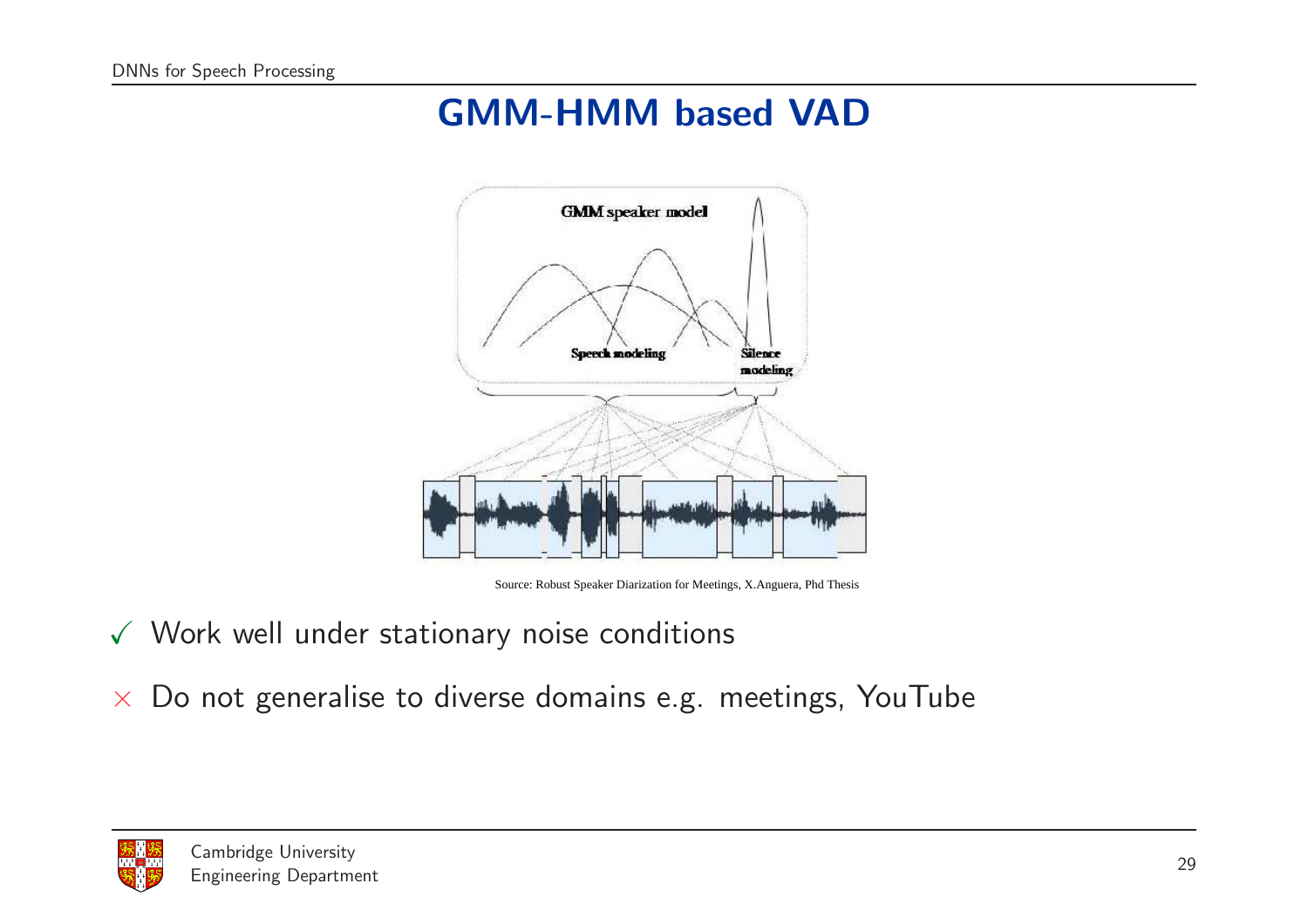## GMM-HMM based VAD



Source: Robust Speaker Diarization for Meetings, X.Anguera, Phd Thesis

- $\checkmark$  Work well under stationary noise conditions
- $\times$  Do not generalise to diverse domains e.g. meetings, YouTube

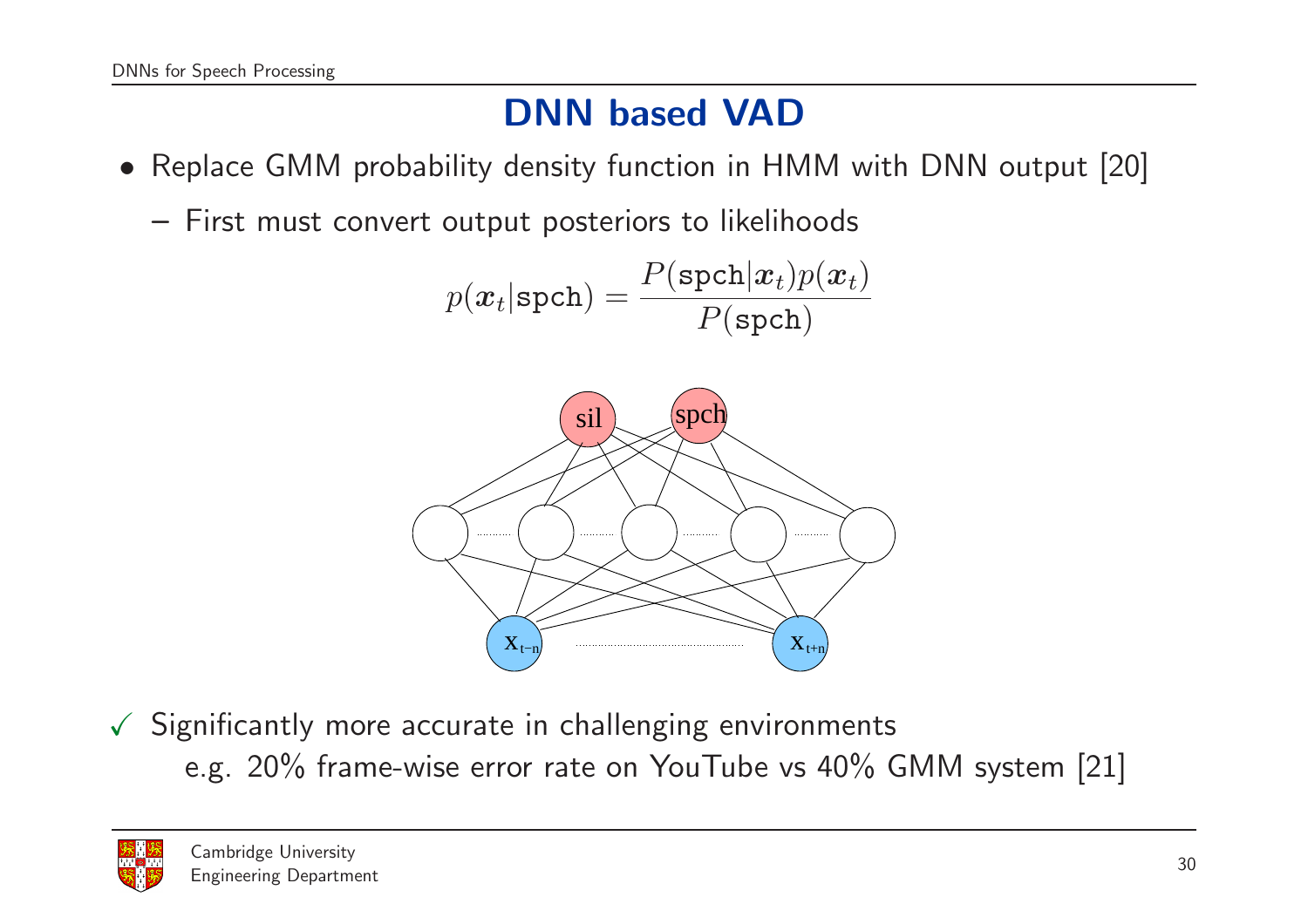## DNN based VAD

- Replace GMM probability density function in HMM with DNN output [20]
	- First must convert output posteriors to likelihoods

$$
p(\boldsymbol{x}_t | \texttt{spch}) = \frac{P(\texttt{spch}|\boldsymbol{x}_t) p(\boldsymbol{x}_t)}{P(\texttt{spch})}
$$



 $\checkmark$  Significantly more accurate in challenging environments e.g. 20% frame-wise error rate on YouTube vs 40% GMM system [21]

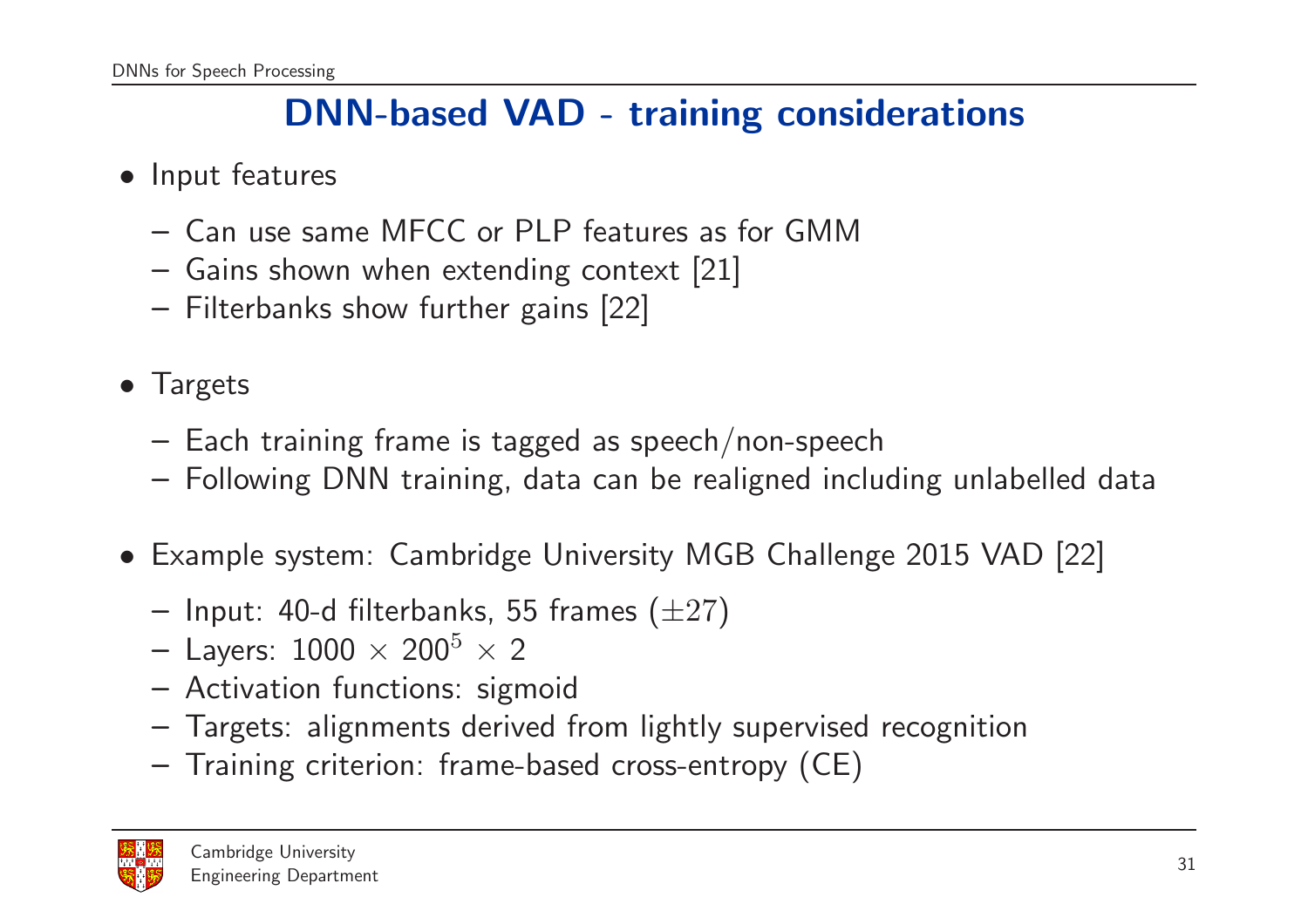#### DNN-based VAD - training considerations

- Input features
	- Can use same MFCC or PLP features as for GMM
	- Gains shown when extending context [21]
	- Filterbanks show further gains [22]
- Targets
	- Each training frame is tagged as speech/non-speech
	- Following DNN training, data can be realigned including unlabelled data
- Example system: Cambridge University MGB Challenge <sup>2015</sup> VAD [22]
	- $-$  Input: 40-d filterbanks, 55 frames  $(\pm 27)$
	- $-$  Layers:  $1000\,\times\,200^5\,\times\,2$
	- Activation functions: sigmoid
	- Targets: alignments derived from lightly supervised recognition
	- Training criterion: frame-based cross-entropy (CE)

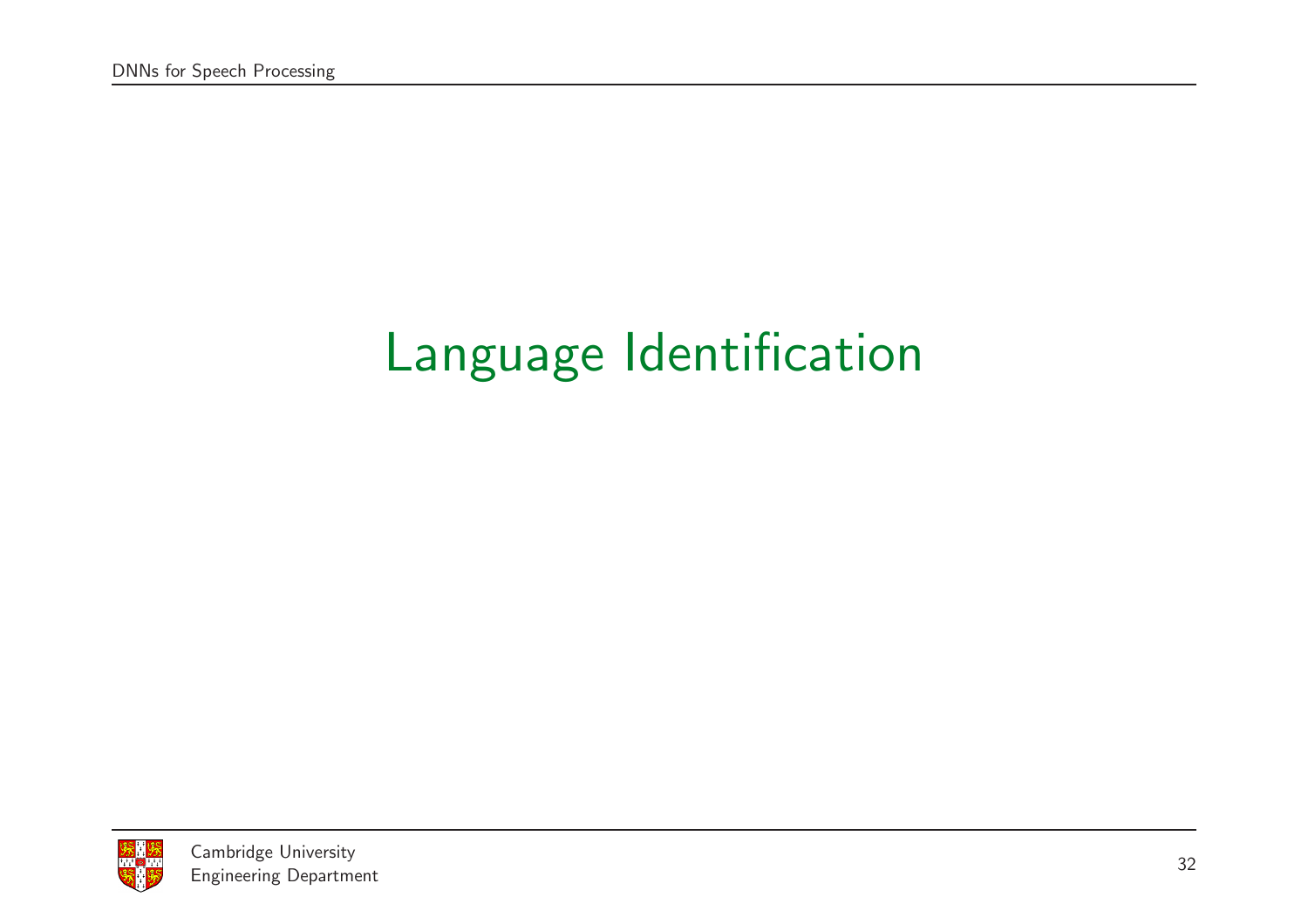# Language Identification

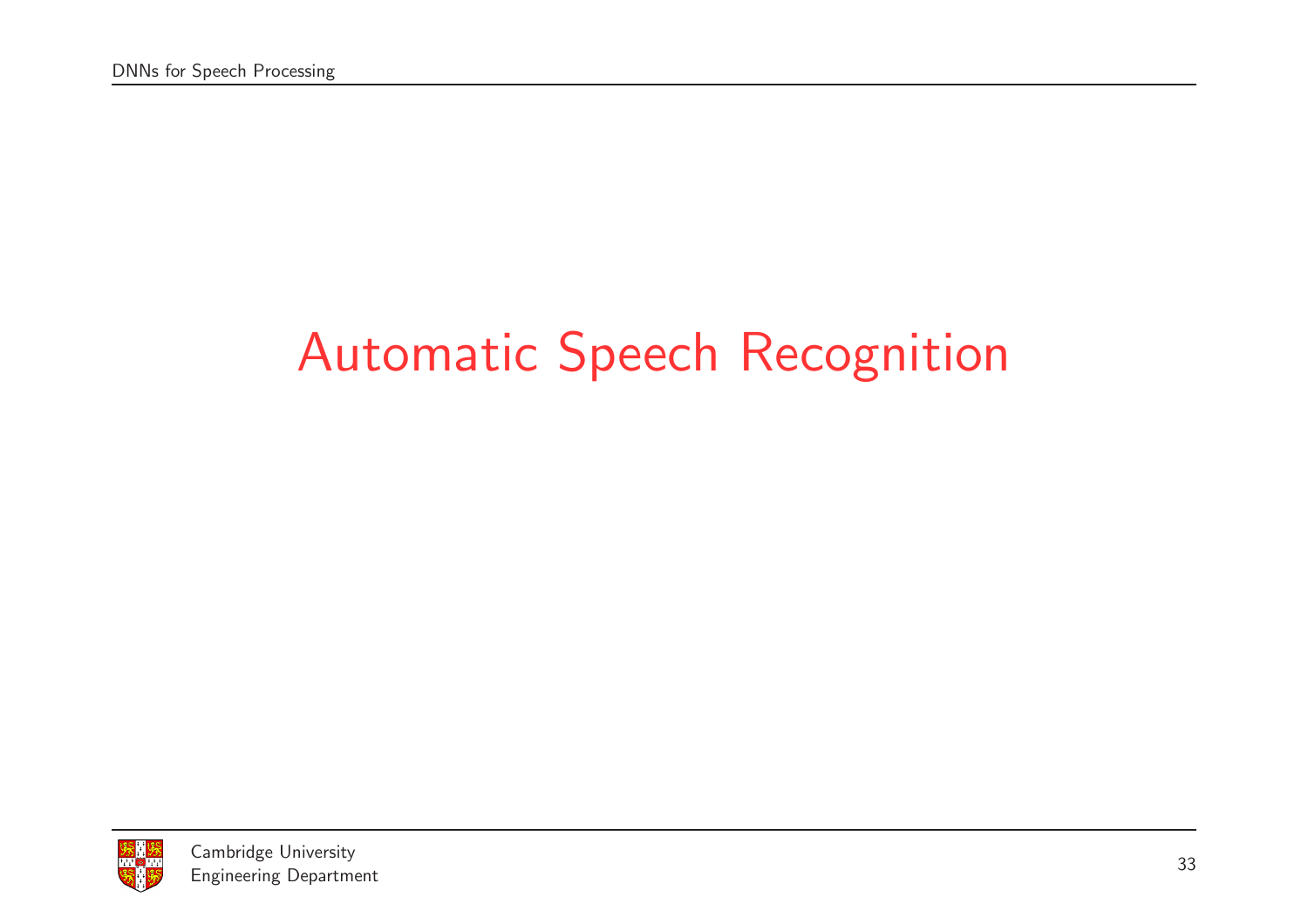# Automatic Speech Recognition

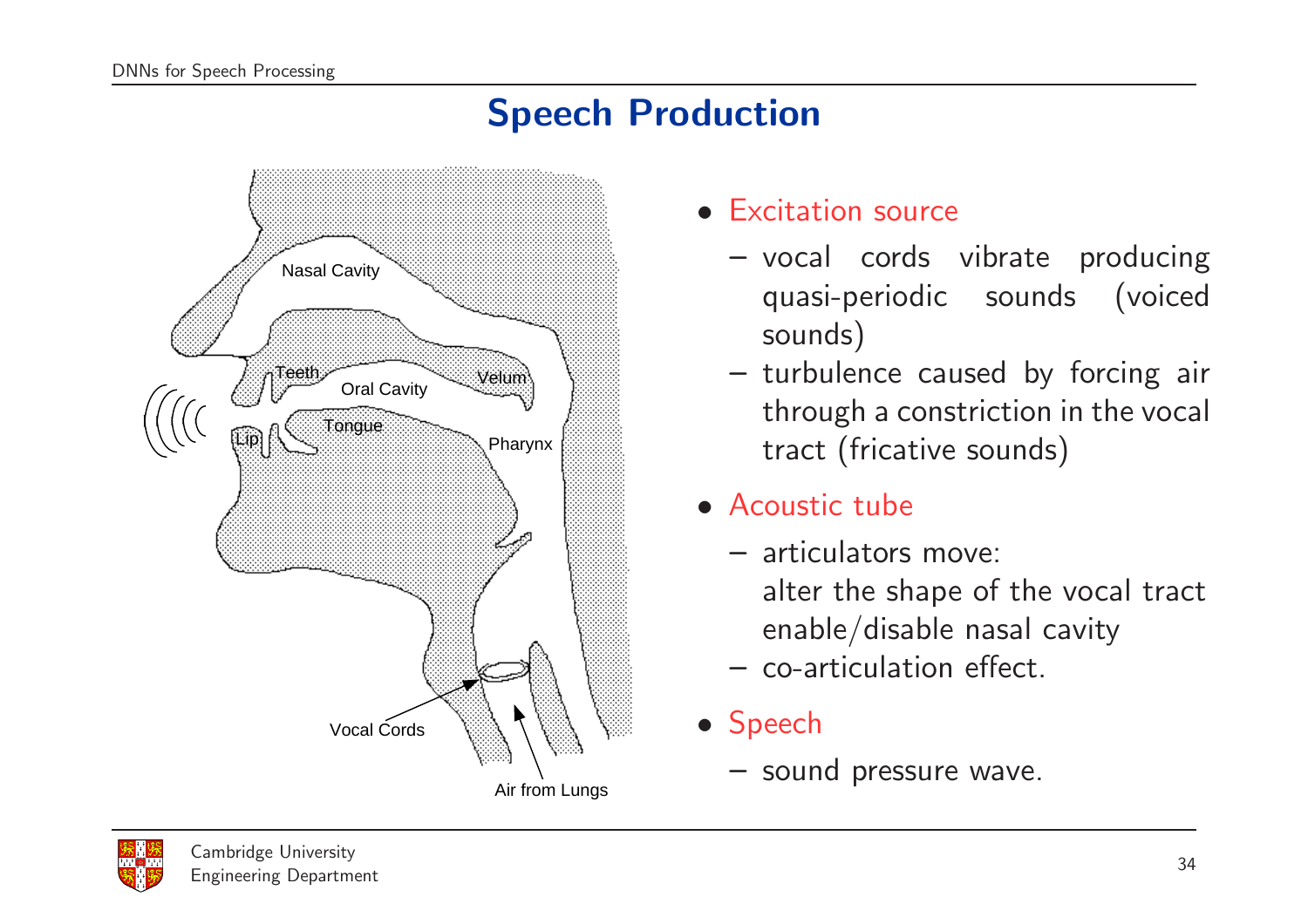## Speech Production



- Excitation source
	- vocal cords vibrate producing quasi-periodic sounds (voiced sounds)
	- turbulence caused by forcing air through <sup>a</sup> constriction in the vocal tract (fricative sounds)
- Acoustic tube
	- articulators move:
		- alter the shape of the vocal tract enable/disable nasal cavity
	- co-articulation effect.
- Speech
	- sound pressure wave.

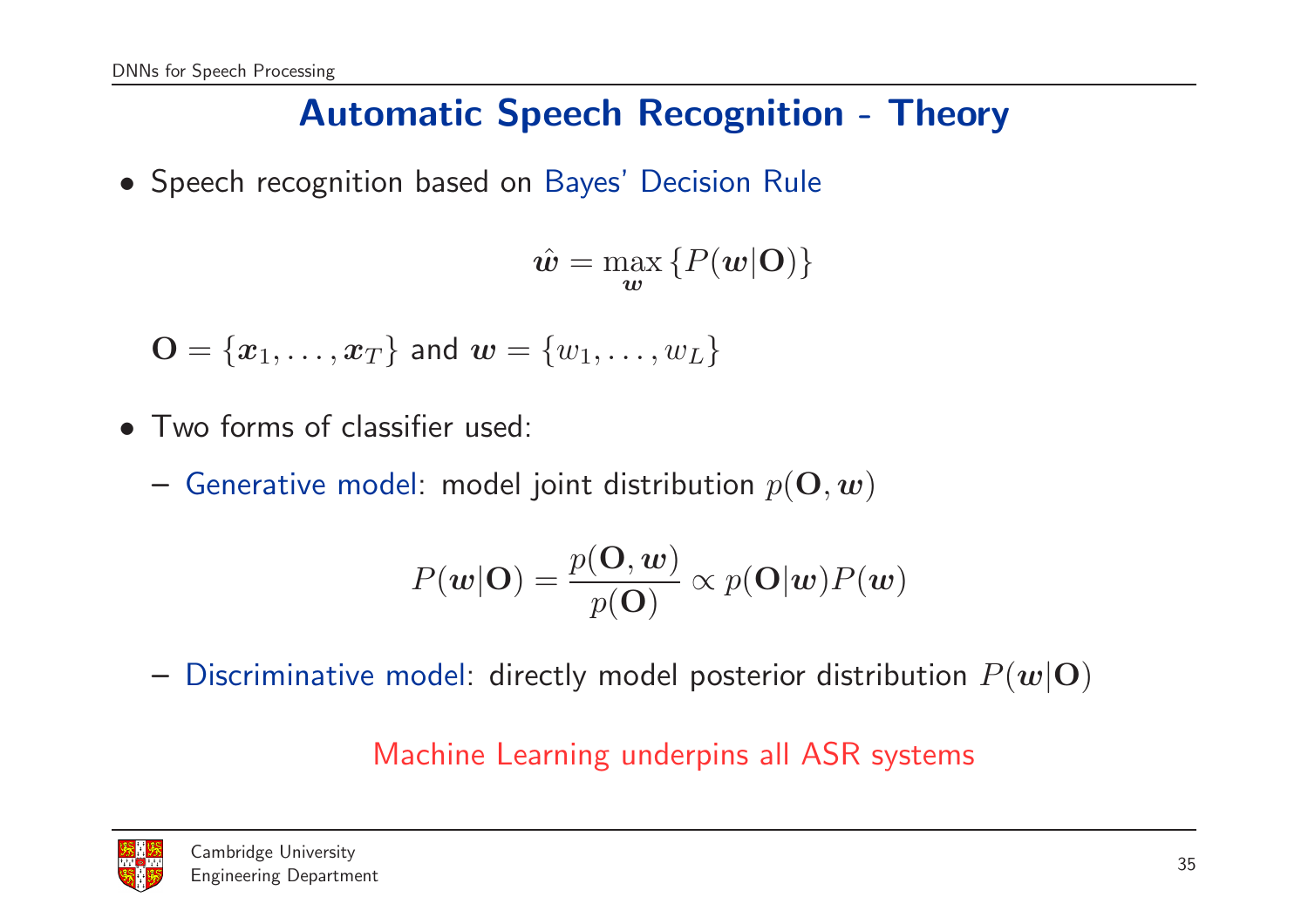## Automatic Speech Recognition - Theory

• Speech recognition based on Bayes' Decision Rule

$$
\hat{\boldsymbol{w}} = \max_{\boldsymbol{w}} \left\{ P(\boldsymbol{w}|\mathbf{O}) \right\}
$$

 $\mathbf{O} = \{x_1, \dots, x_T\}$  and  $\mathbf{w} = \{w_1, \dots, w_L\}$ 

- Two forms of classifier used:
	- $-$  Generative model: model joint distribution  $p(\mathbf{O}, \boldsymbol{w})$

$$
P(\mathbf{w}|\mathbf{O}) = \frac{p(\mathbf{O}, \mathbf{w})}{p(\mathbf{O})} \propto p(\mathbf{O}|\mathbf{w}) P(\mathbf{w})
$$

 $-$  Discriminative model: directly model posterior distribution  $P(\boldsymbol{w}|\mathbf{O})$ 

#### Machine Learning underpins all ASR systems

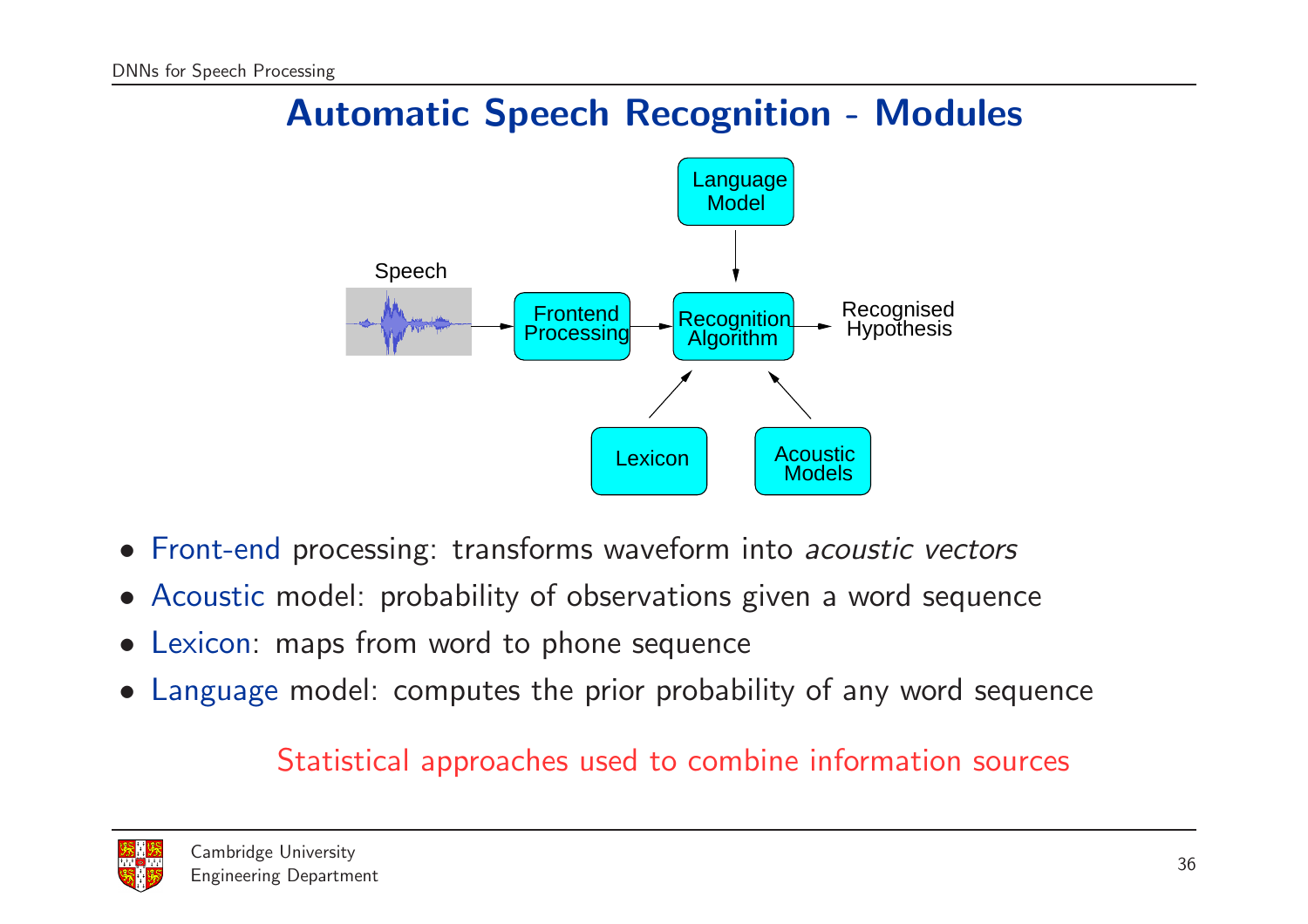## Automatic Speech Recognition - Modules



- Front-end processing: transforms waveform into *acoustic vectors*
- Acoustic model: probability of observations given <sup>a</sup> word sequence
- Lexicon: maps from word to phone sequence
- Language model: computes the prior probability of any word sequence

#### Statistical approaches used to combine information source s

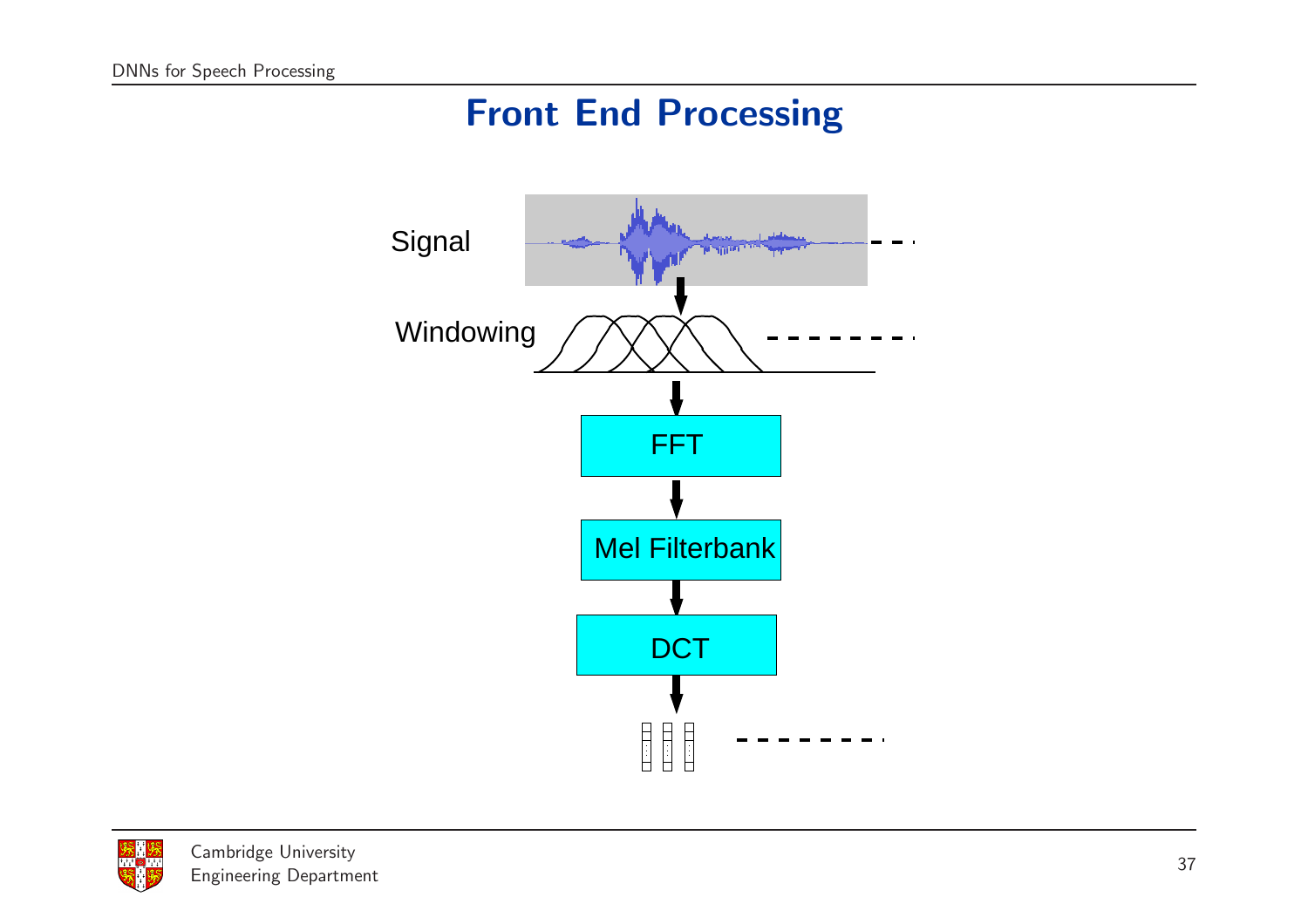## Front End Processing



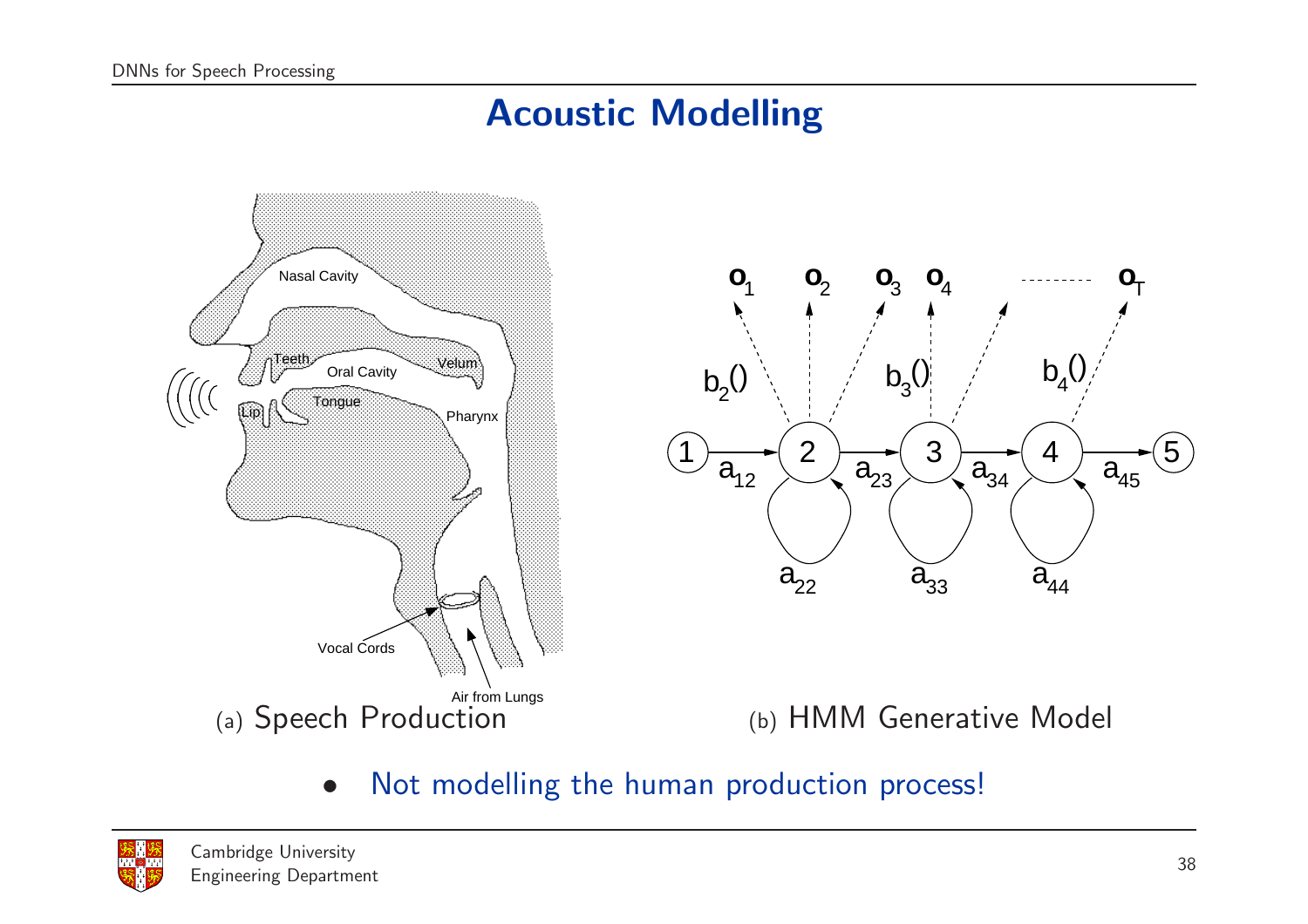## Acoustic Modelling



• Not modelling the human production process!

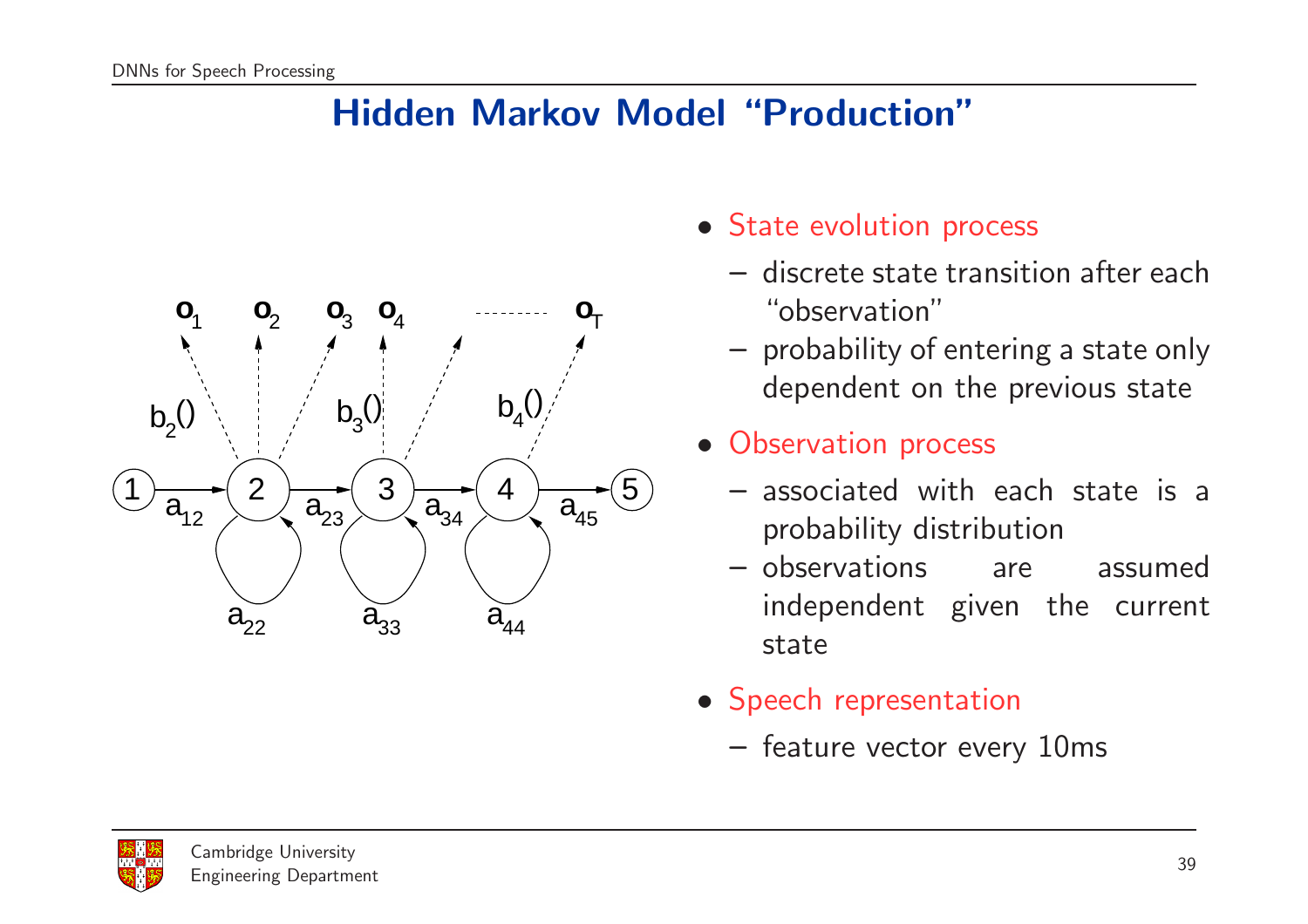### Hidden Markov Model "Production"



- State evolution process
	- discrete state transition after each "observation"
	- probability of entering <sup>a</sup> state only dependent on the previous state
- Observation process
	- associated with each state is <sup>a</sup> probability distribution
	- observations are assumed independent given the current state
- Speech representation
	- feature vector every 10ms

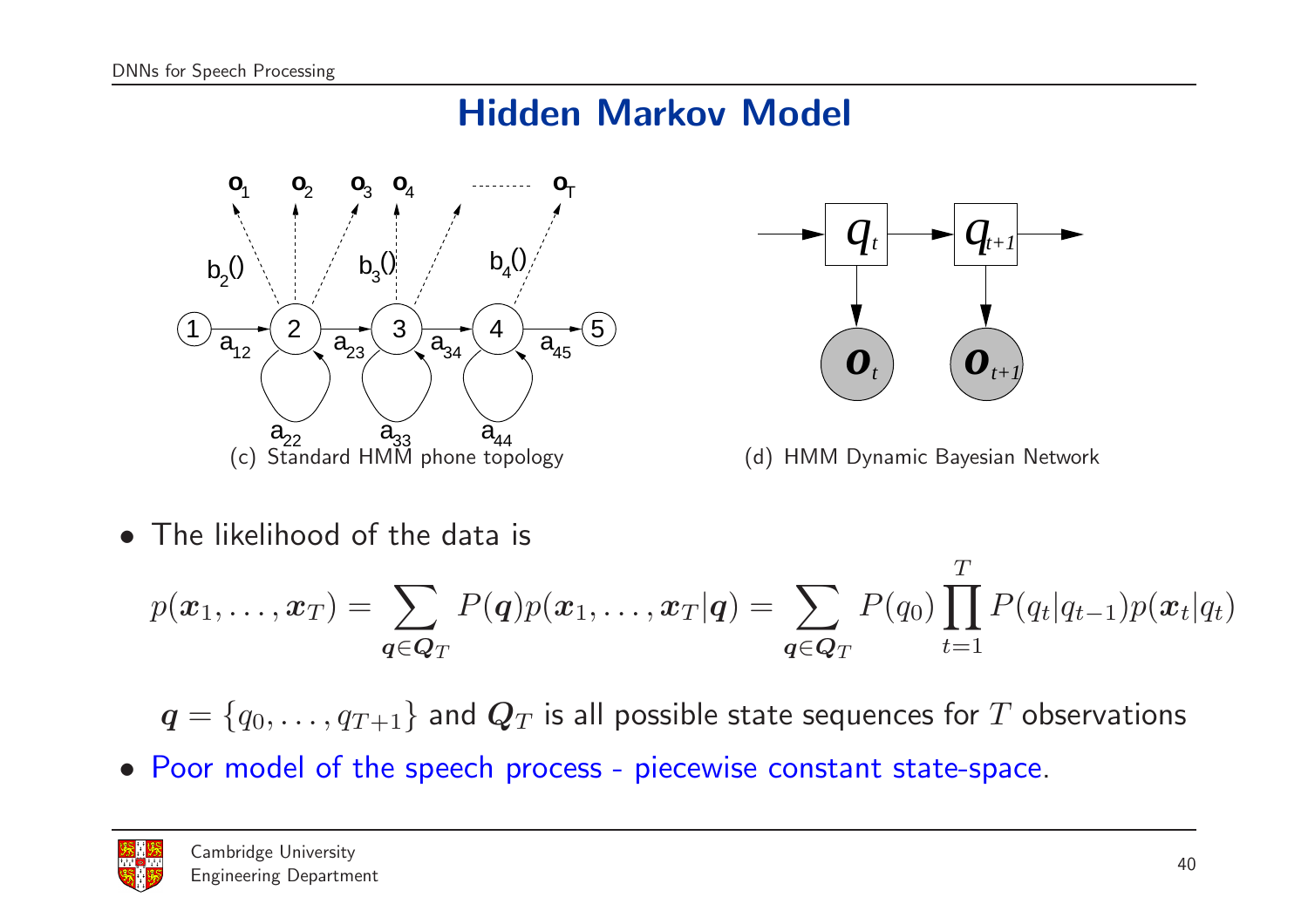## Hidden Markov Model





(d) HMM Dynamic Bayesian Network

• The likelihood of the data is

$$
p(\boldsymbol{x}_1,\ldots,\boldsymbol{x}_T) = \sum_{\boldsymbol{q}\in \boldsymbol{Q}_T} P(\boldsymbol{q}) p(\boldsymbol{x}_1,\ldots,\boldsymbol{x}_T|\boldsymbol{q}) = \sum_{\boldsymbol{q}\in \boldsymbol{Q}_T} P(q_0) \prod_{t=1}^T P(q_t|q_{t-1}) p(\boldsymbol{x}_t|q_t)
$$

 $q = \{q_0, \ldots, q_{T+1}\}\$ and  $\mathbf{Q}_T$  is all possible state sequences for  $T$  observations

• Poor model of the speech process - piecewise constant state-space.

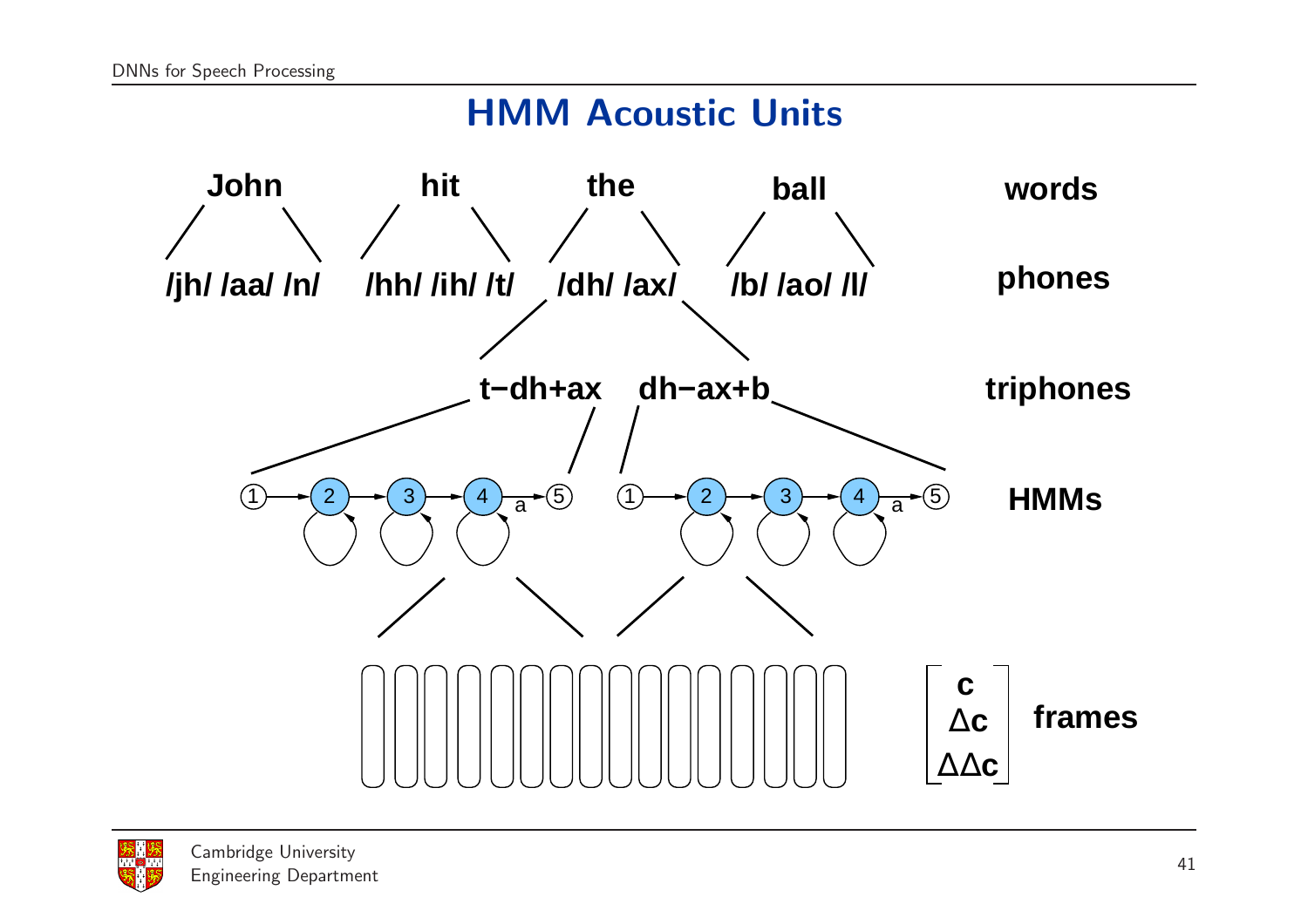#### HMM Acoustic Units



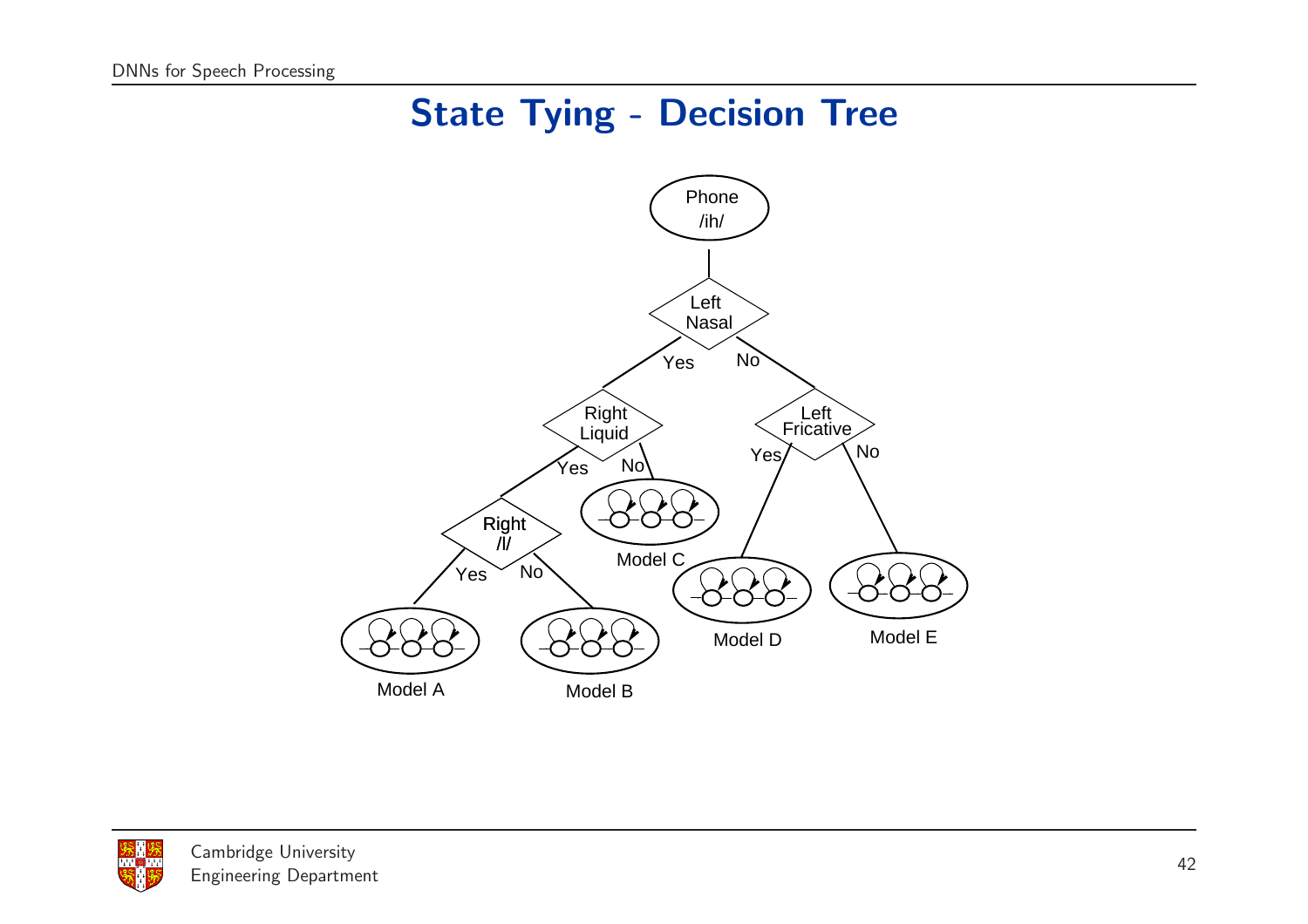## State Tying - Decision Tree



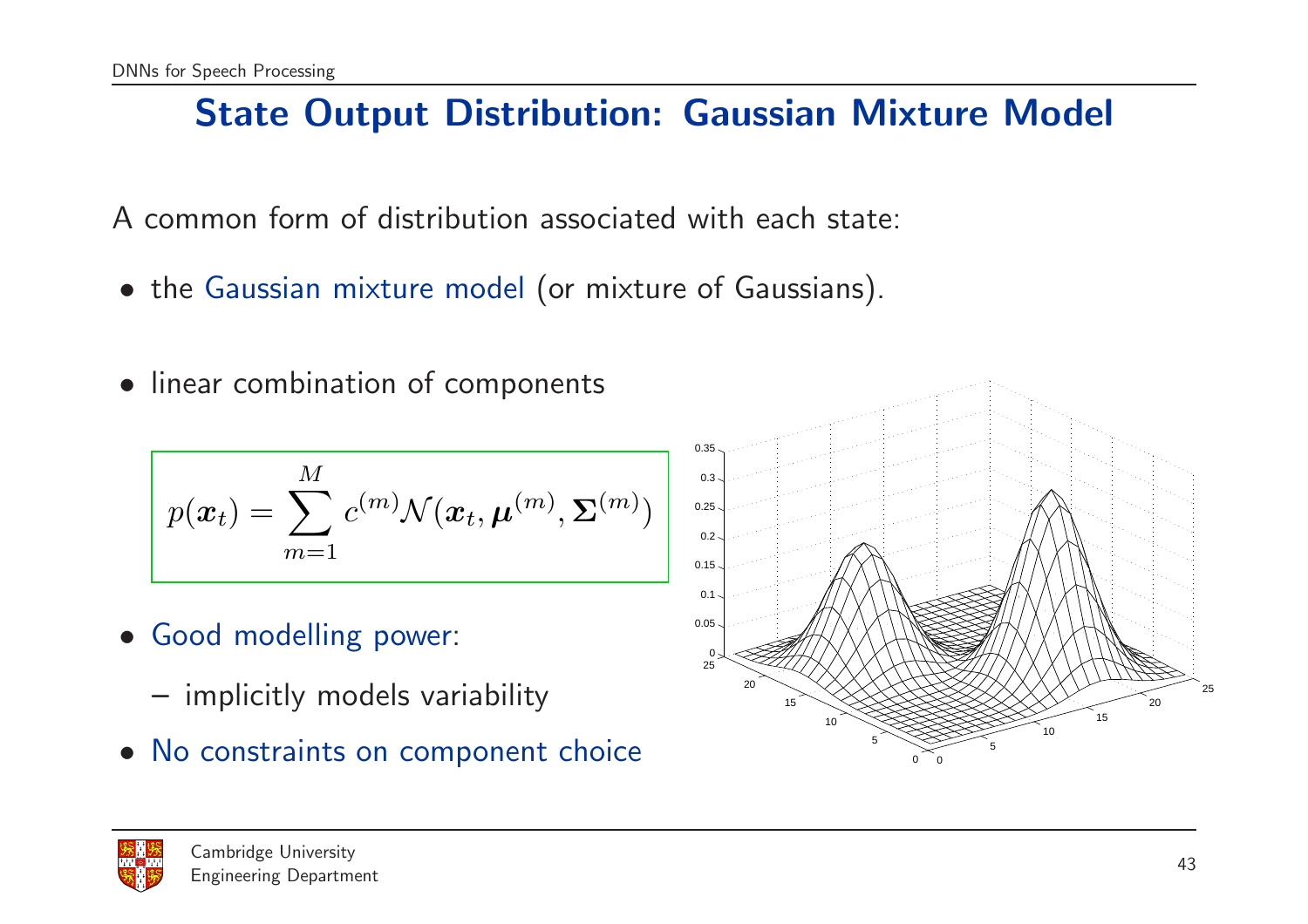## State Output Distribution: Gaussian Mixture Model

A common form of distribution associated with each state:

- the Gaussian mixture model (or mixture of Gaussians).
- linear combination of components

$$
p(\boldsymbol{x}_t) = \sum_{m=1}^M c^{(m)} \mathcal{N}(\boldsymbol{x}_t, \boldsymbol{\mu}^{(m)}, \boldsymbol{\Sigma}^{(m)})
$$

- Good modelling power:
	- implicitly models variability
- No constraints on component choice



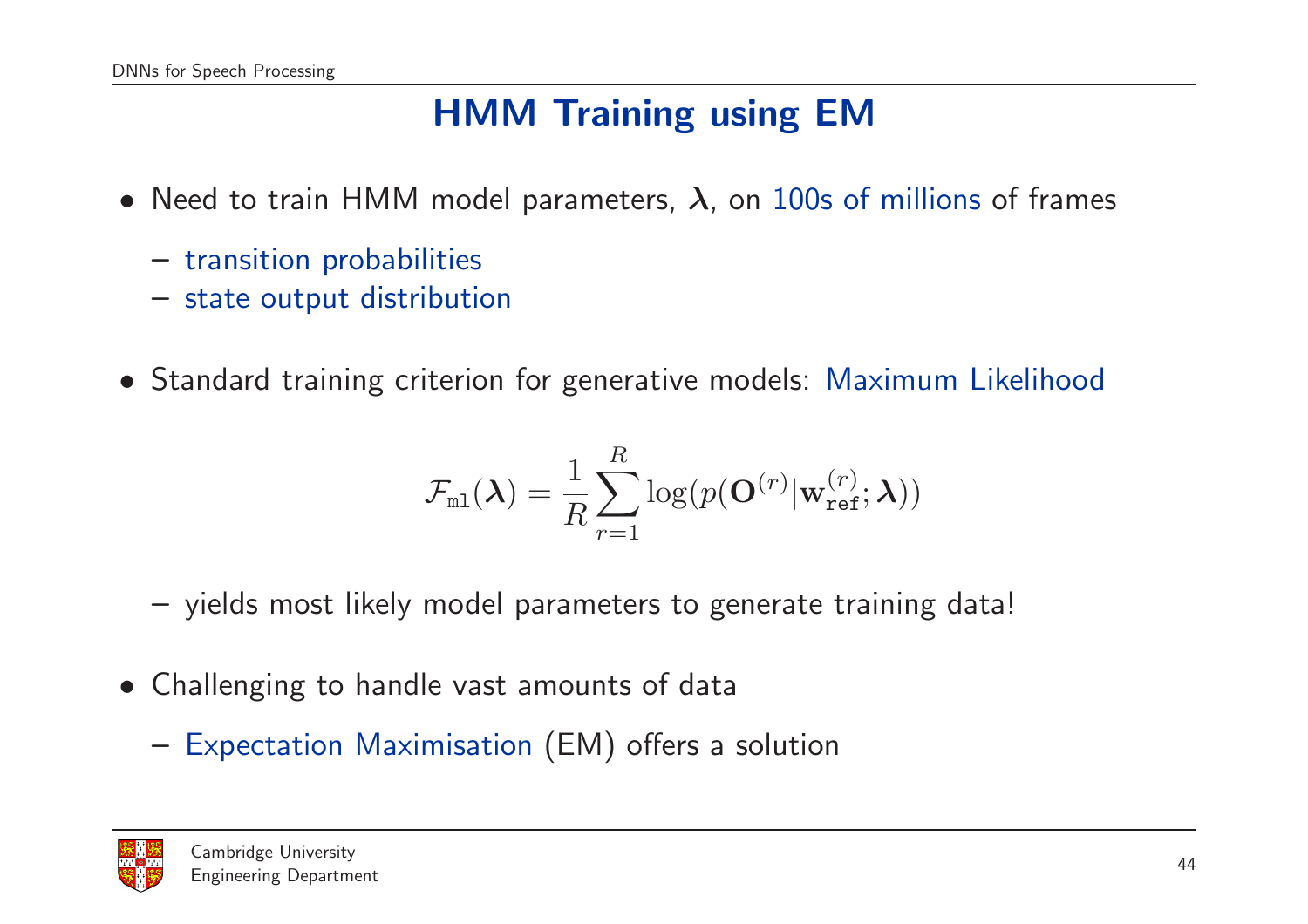## HMM Training using EM

- $\bullet\,$  Need to train HMM model parameters,  $\boldsymbol{\lambda},$  on 100s of millions of frames
	- transition probabilities
	- state output distribution
- Standard training criterion for generative models: Maximum Likelihood

$$
\mathcal{F}_{\texttt{ml}}(\boldsymbol{\lambda}) = \frac{1}{R}\sum_{r=1}^R \log(p(\mathbf{O}^{(r)}|\mathbf{w}_{\texttt{ref}}^{(r)}; \boldsymbol{\lambda}))
$$

- yields most likely model parameters to generate training data!
- Challenging to handle vast amounts of data
	- Expectation Maximisation (EM) offers <sup>a</sup> solution

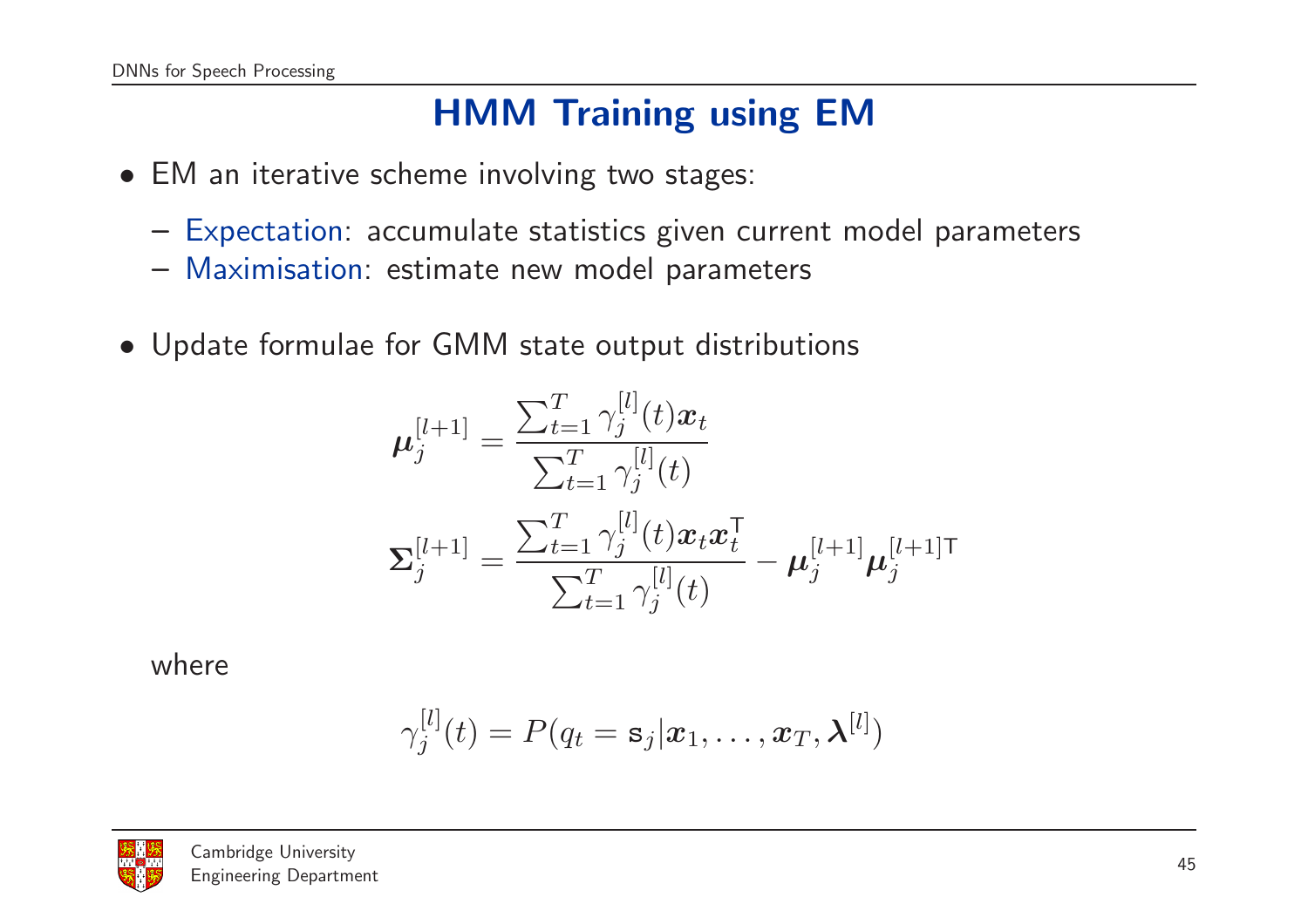## HMM Training using EM

- EM an iterative scheme involving two stages:
	- Expectation: accumulate statistics given current model parameters
	- Maximisation: estimate new model parameters
- Update formulae for GMM state output distributions

$$
\mu_j^{[l+1]} = \frac{\sum_{t=1}^T \gamma_j^{[l]}(t)\mathbf{x}_t}{\sum_{t=1}^T \gamma_j^{[l]}(t)} \n\Sigma_j^{[l+1]} = \frac{\sum_{t=1}^T \gamma_j^{[l]}(t)\mathbf{x}_t \mathbf{x}_t^{\mathsf{T}}}{\sum_{t=1}^T \gamma_j^{[l]}(t)} - \mu_j^{[l+1]} \mu_j^{[l+1]\mathsf{T}}
$$

where

$$
\gamma_j^{[l]}(t) = P(q_t = \mathbf{s}_j | \boldsymbol{x}_1, \dots, \boldsymbol{x}_T, \boldsymbol{\lambda}^{[l]})
$$

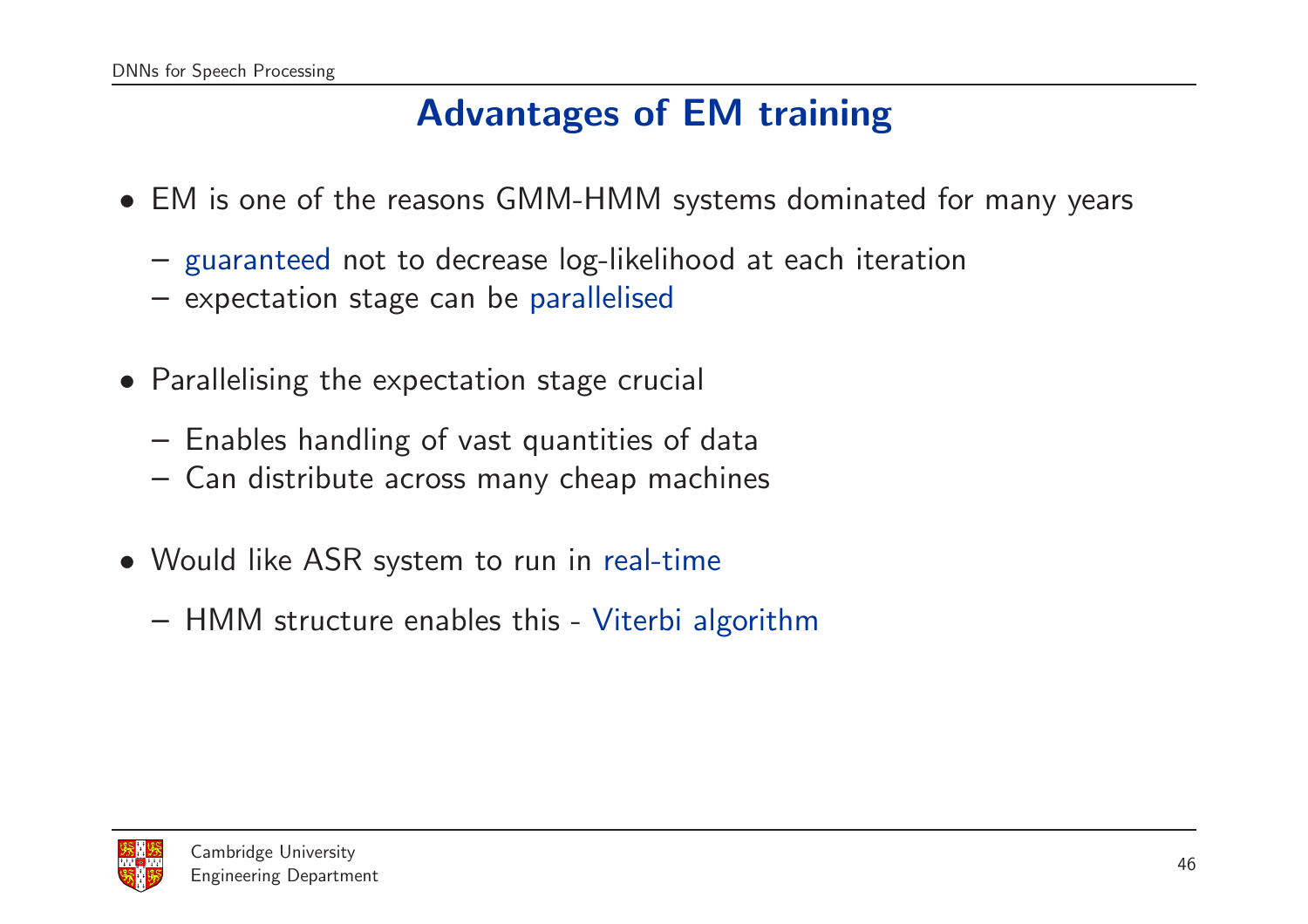## Advantages of EM training

- EM is one of the reasons GMM-HMM systems dominated for many years
	- guaranteed not to decrease log-likelihood at each iteration
	- expectation stage can be parallelised
- Parallelising the expectation stage crucial
	- Enables handling of vast quantities of data
	- Can distribute across many cheap machines
- Would like ASR system to run in real-time
	- HMM structure enables this Viterbi algorithm

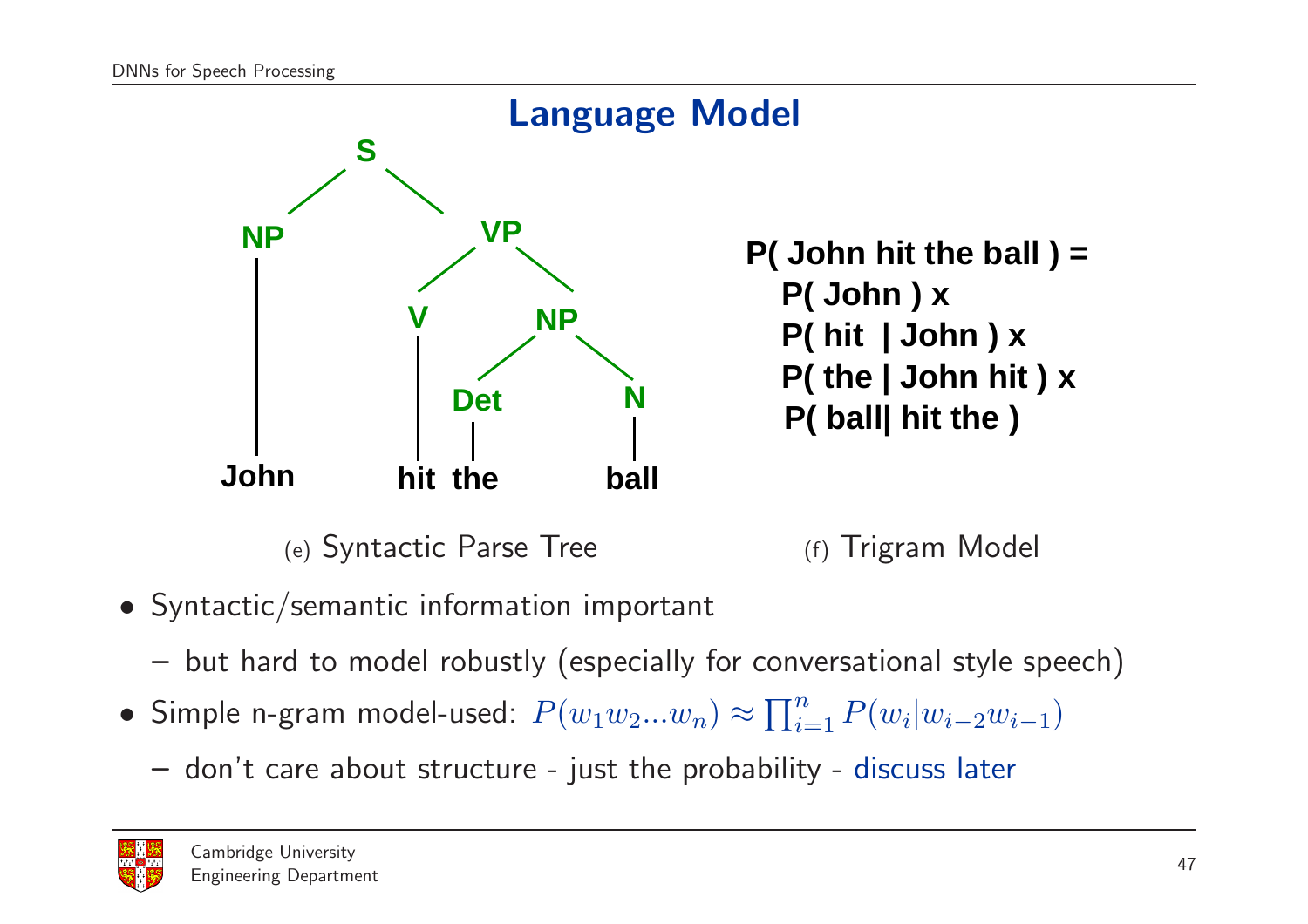

- Syntactic/semantic information important
	- but hard to model robustly (especially for conversational style speech)
- Simple n-gram model-used:  $P(w_1w_2...w_n) \approx \prod_{i=1}^n P(w_i|w_{i-2}w_{i-1})$ 
	- don't care about structure just the probability discuss later

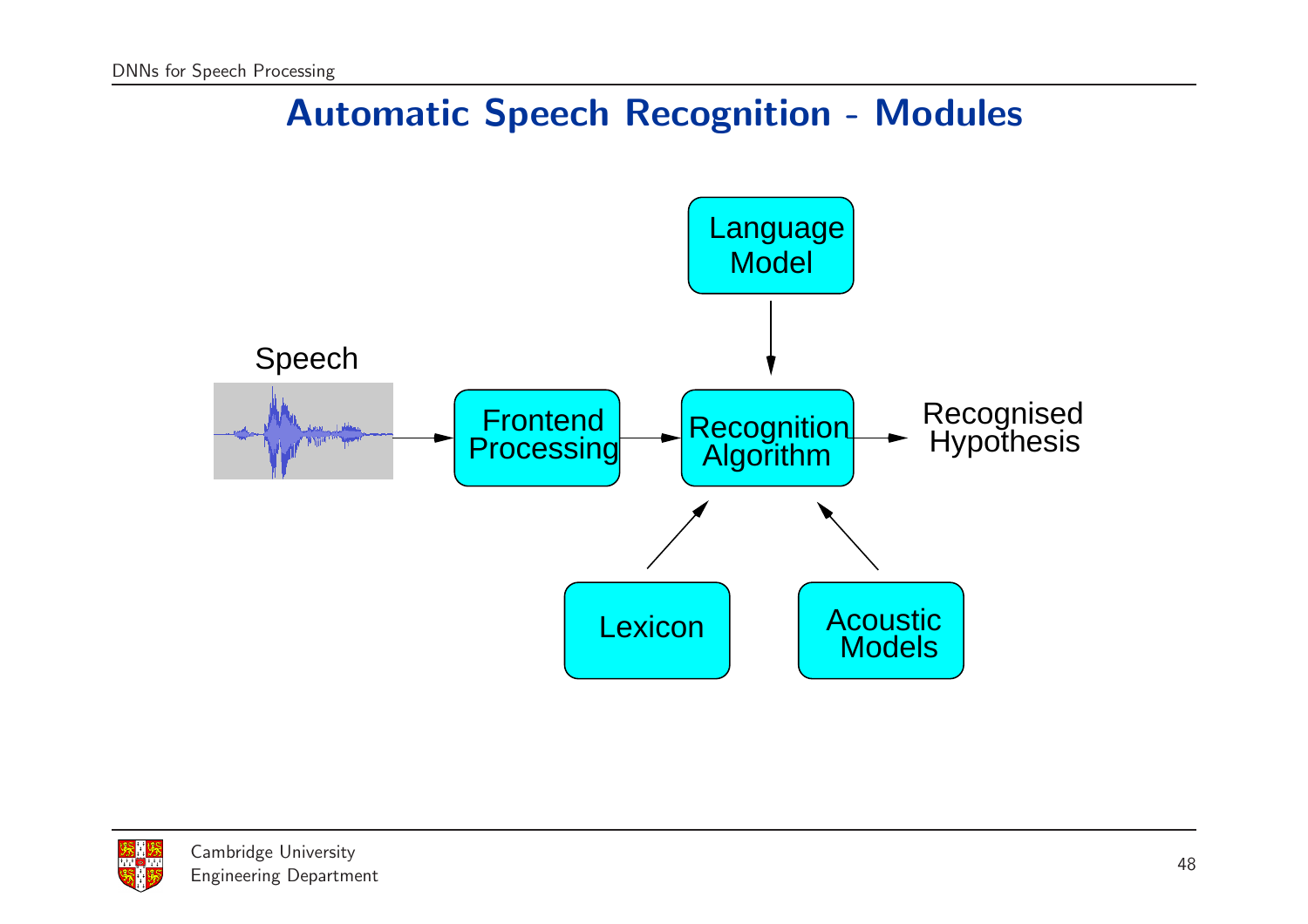## Automatic Speech Recognition - Modules



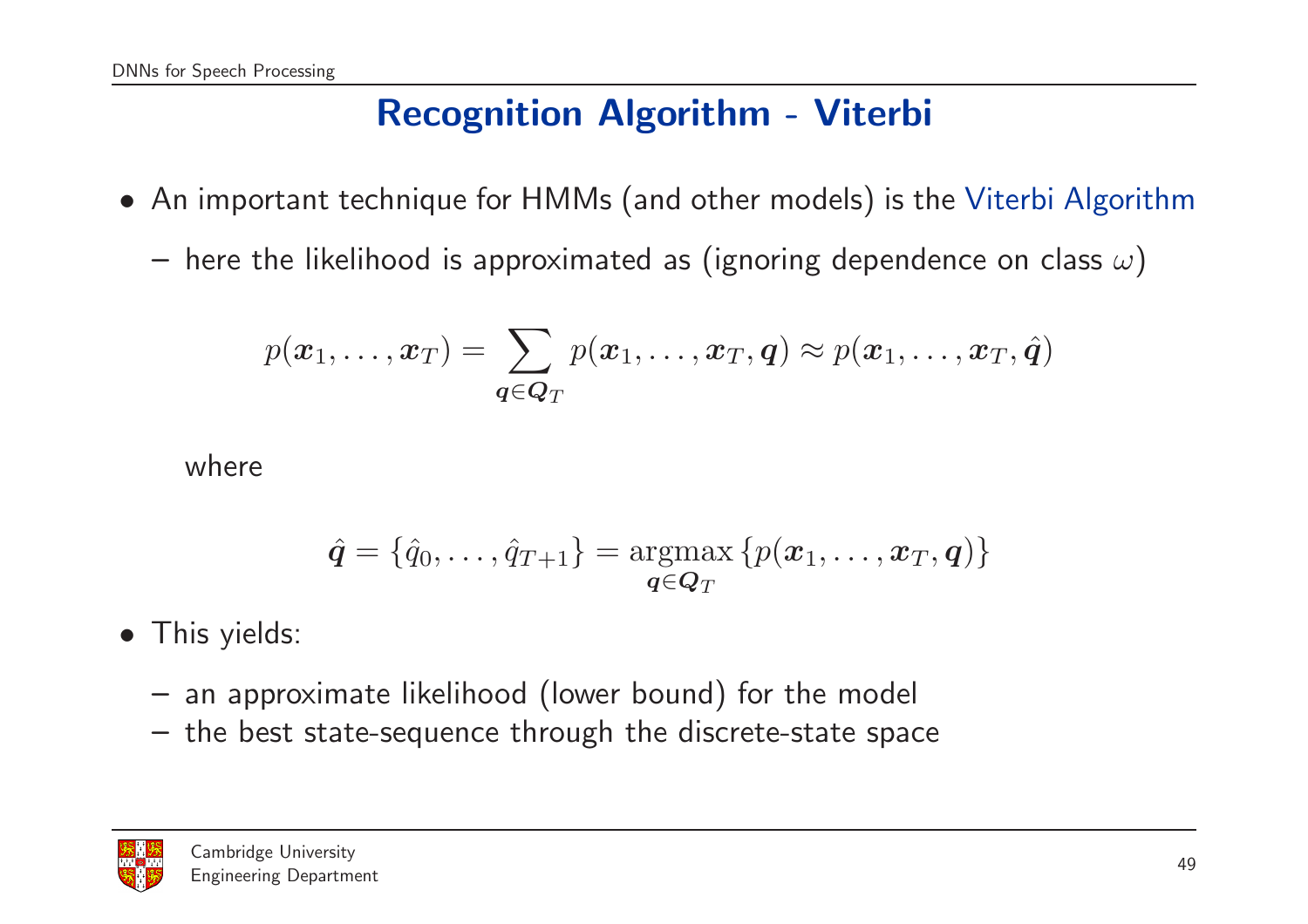## Recognition Algorithm - Viterbi

- An important technique for HMMs (and other models) is the Viterbi Algorithm
	- $-$  here the likelihood is approximated as (ignoring dependence on class  $\omega)$

$$
p(\boldsymbol{x}_1,\ldots,\boldsymbol{x}_T) = \sum_{\boldsymbol{q}\in \boldsymbol{Q}_T} p(\boldsymbol{x}_1,\ldots,\boldsymbol{x}_T,\boldsymbol{q}) \approx p(\boldsymbol{x}_1,\ldots,\boldsymbol{x}_T,\hat{\boldsymbol{q}})
$$

where

$$
\hat{\boldsymbol{q}} = \{\hat{q}_0, \ldots, \hat{q}_{T+1}\} = \operatornamewithlimits{argmax}_{\boldsymbol{q} \in \boldsymbol{Q}_T} \left\{p(\boldsymbol{x}_1, \ldots, \boldsymbol{x}_T, \boldsymbol{q})\right\}
$$

- This yields:
	- an approximate likelihood (lower bound) for the model
	- the best state-sequence through the discrete-state space

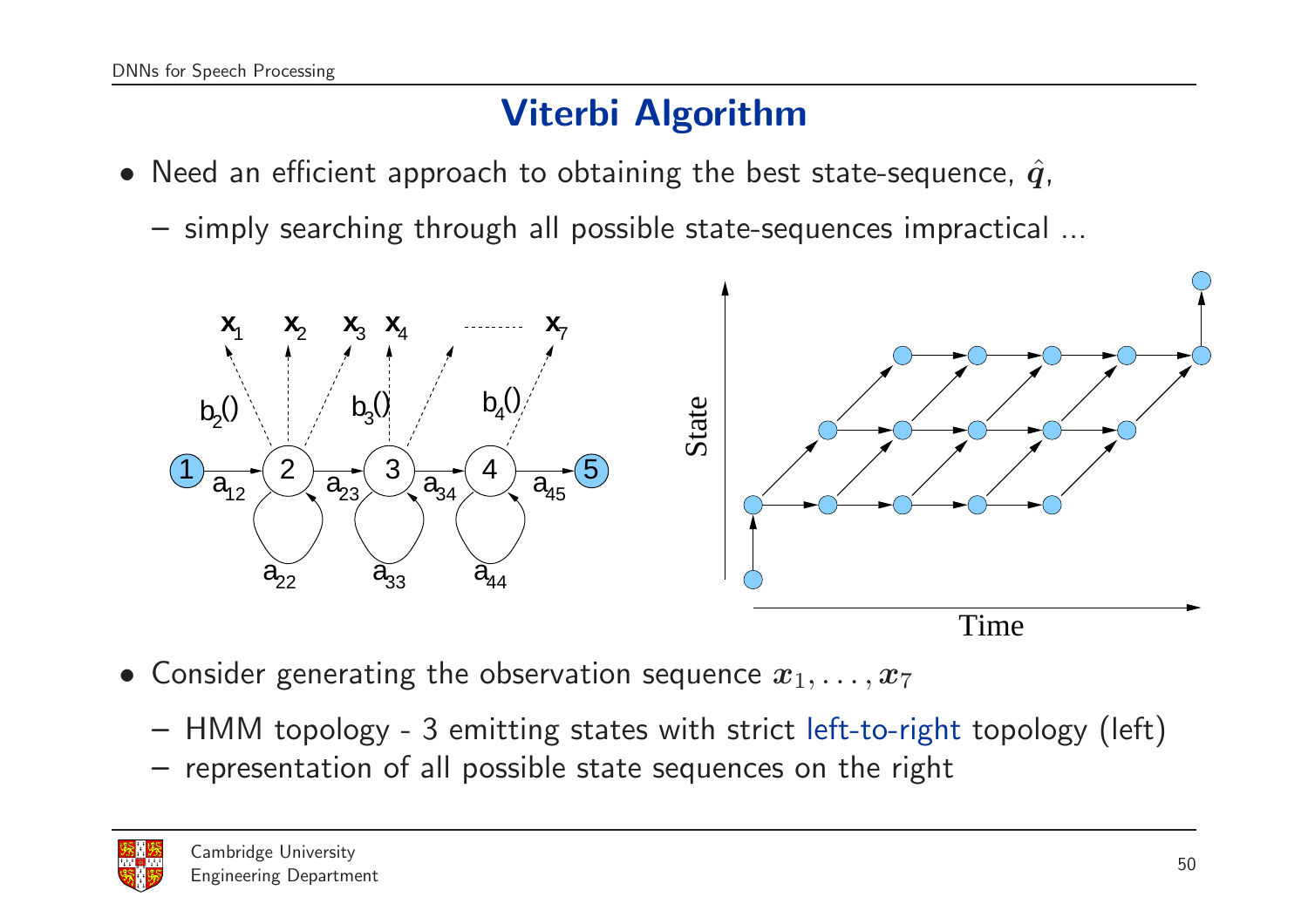## Viterbi Algorithm

- Need an efficient approach to obtaining the best state-sequence,  $\hat{q}$ ,
	- simply searching through all possible state-sequences impractical ...



- Consider generating the observation sequence  $x_1, \ldots, x_7$ 
	- HMM topology <sup>3</sup> emitting states with strict left-to-right topology (left)
	- representation of all possible state sequences on the right

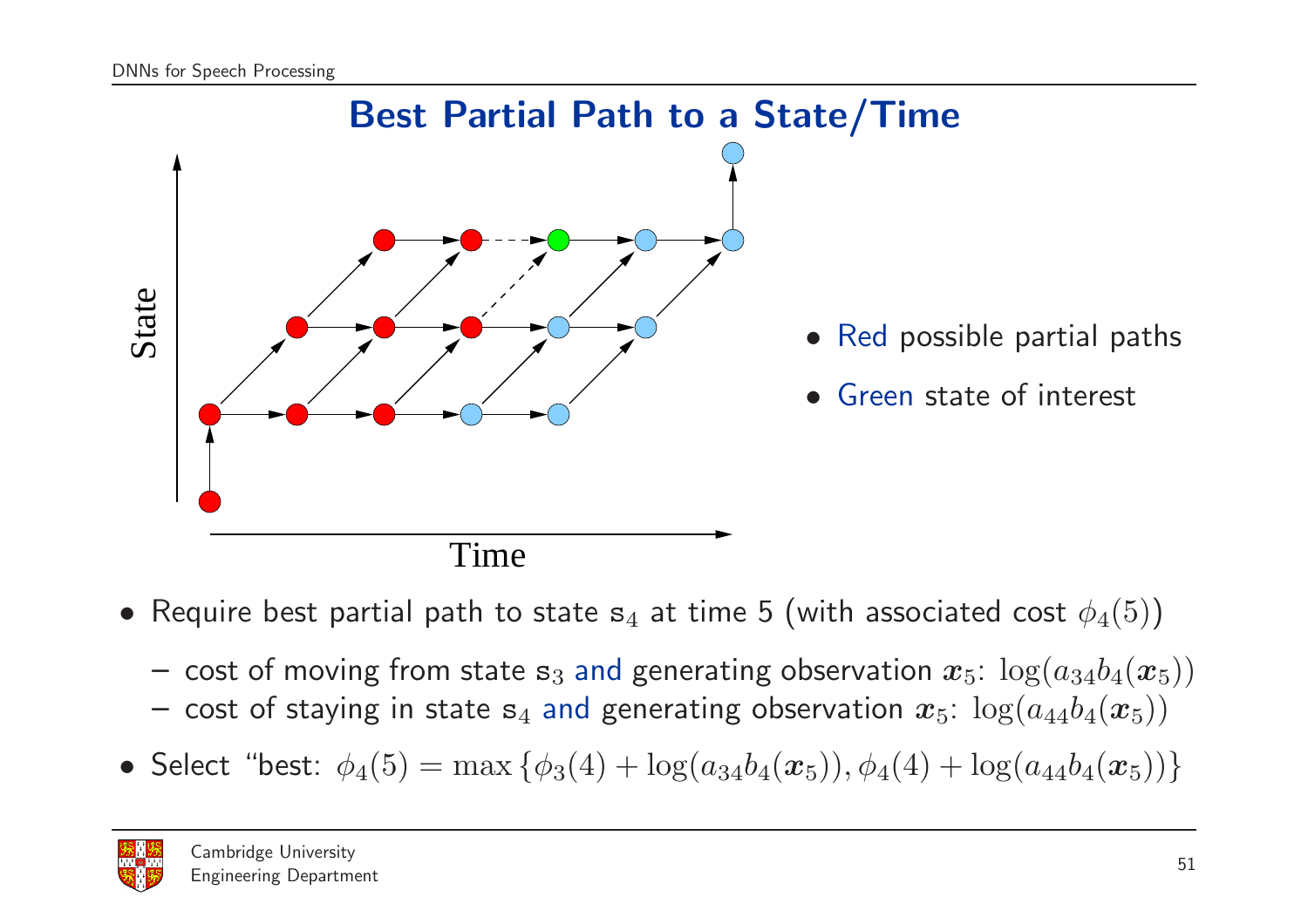

- $\bullet\,$  Require best partial path to state  ${\tt s}_4$  at time 5 (with associated cost  $\phi_4(5))$ 
	- $-$  cost of moving from state  ${\tt s}_3$  and generating observation  $\bm{x}_5$ :  $\log(a_{34}b_4(\bm{x}_5))$
	- $-$  cost of staying in state  $\mathbf{s}_4$  and generating observation  $\bm{x}_5\!\!: \log(a_{44}b_4(\bm{x}_5))$
- Select "best:  $\phi_4(5) = \max \left\{ \phi_3(4) + \log(a_{34}b_4(\boldsymbol{x}_5)), \phi_4(4) + \log(a_{44}b_4(\boldsymbol{x}_5)) \right\}$

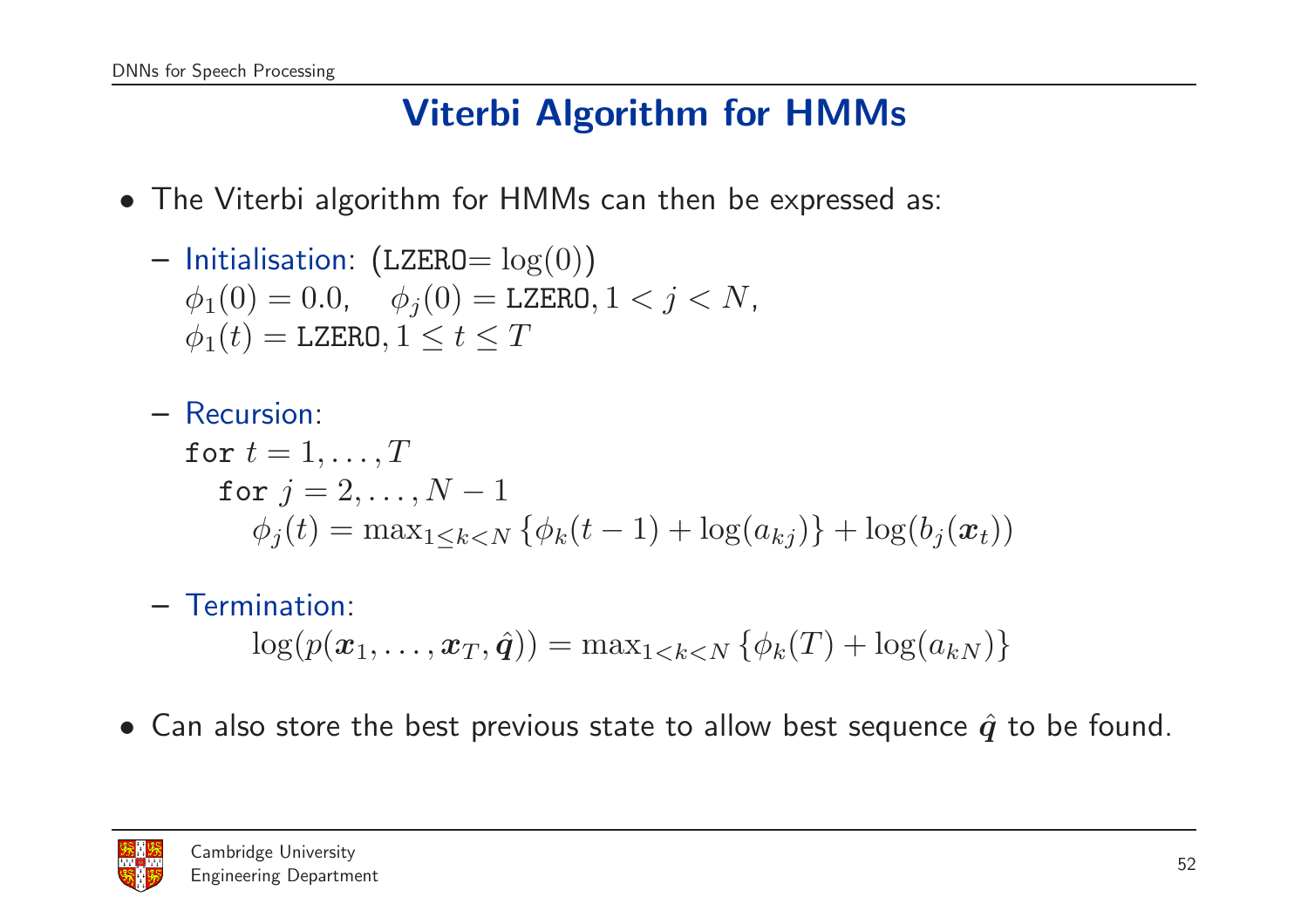## Viterbi Algorithm for HMMs

• The Viterbi algorithm for HMMs can then be expressed as:

\n- Initialisation: 
$$
(LZERO = \log(0))
$$
\n- $\phi_1(0) = 0.0, \quad \phi_j(0) = LZERO, 1 < j < N, \quad \phi_1(t) = LZERO, 1 \leq t \leq T$
\n

```
– Recursion:
for t=1,\ldots,Tfor j=2,\ldots,N-1\phi_j(t) = \max_{1 \leq k < N} \{ \phi_k(t-1) + \log(a_{kj}) \} + \log(b_j(\bm{x}_t))
```
- Termination:  $\log(p(\boldsymbol{x}_1, \dots, \boldsymbol{x}_T, \hat{\boldsymbol{q}})) = \max_{1 \leq k \leq N} \left\{\phi_k(T) + \log(a_{kN})\right\}$
- $\bullet$  Can also store the best previous state to allow best sequence  $\hat{q}$  to be found.

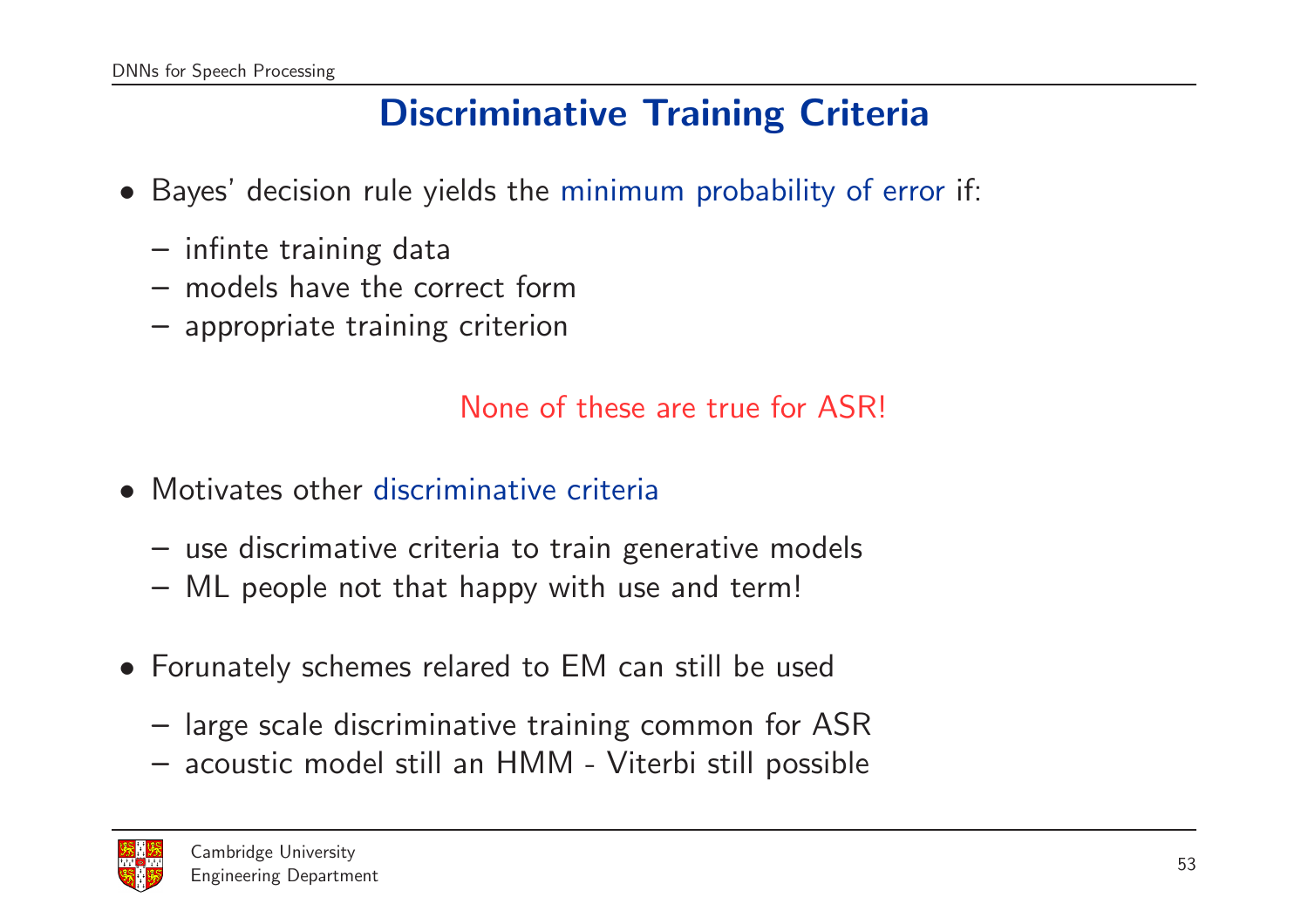#### Discriminative Training Criteria

- Bayes' decision rule yields the minimum probability of error if:
	- infinte training data
	- models have the correct form
	- appropriate training criterion

None of these are true for ASR!

- Motivates other discriminative criteria
	- use discrimative criteria to train generative models
	- ML people not that happy with use and term!
- Forunately schemes relared to EM can still be used
	- large scale discriminative training common for ASR
	- acoustic model still an HMM Viterbi still possible

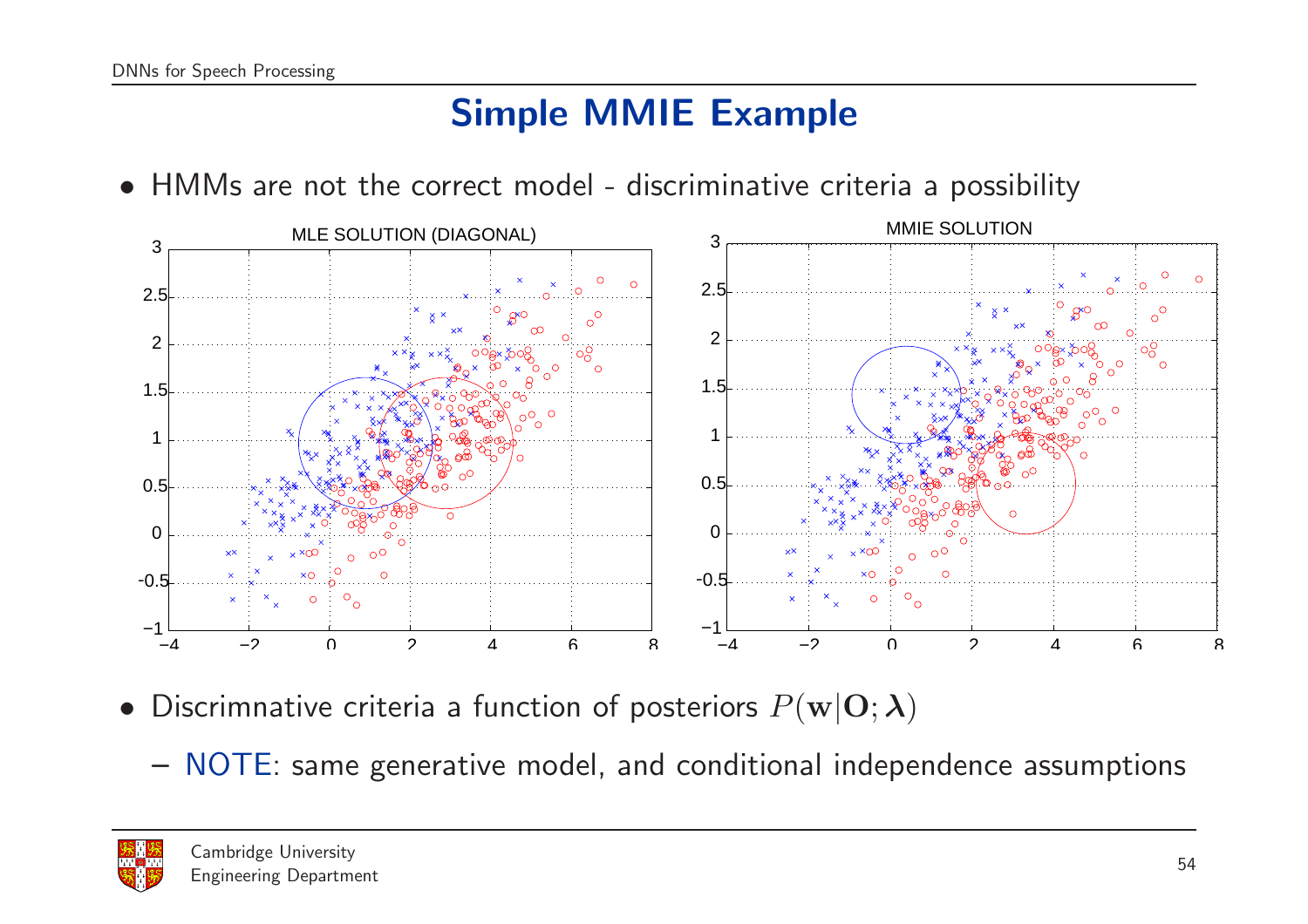## Simple MMIE Example

• HMMs are not the correct model - discriminative criteria <sup>a</sup> possibility



- Discrimnative criteria a function of posteriors  $P(\mathbf{w}|\mathbf{O};\boldsymbol{\lambda})$ 
	- NOTE: same generative model, and conditional independence assumptions

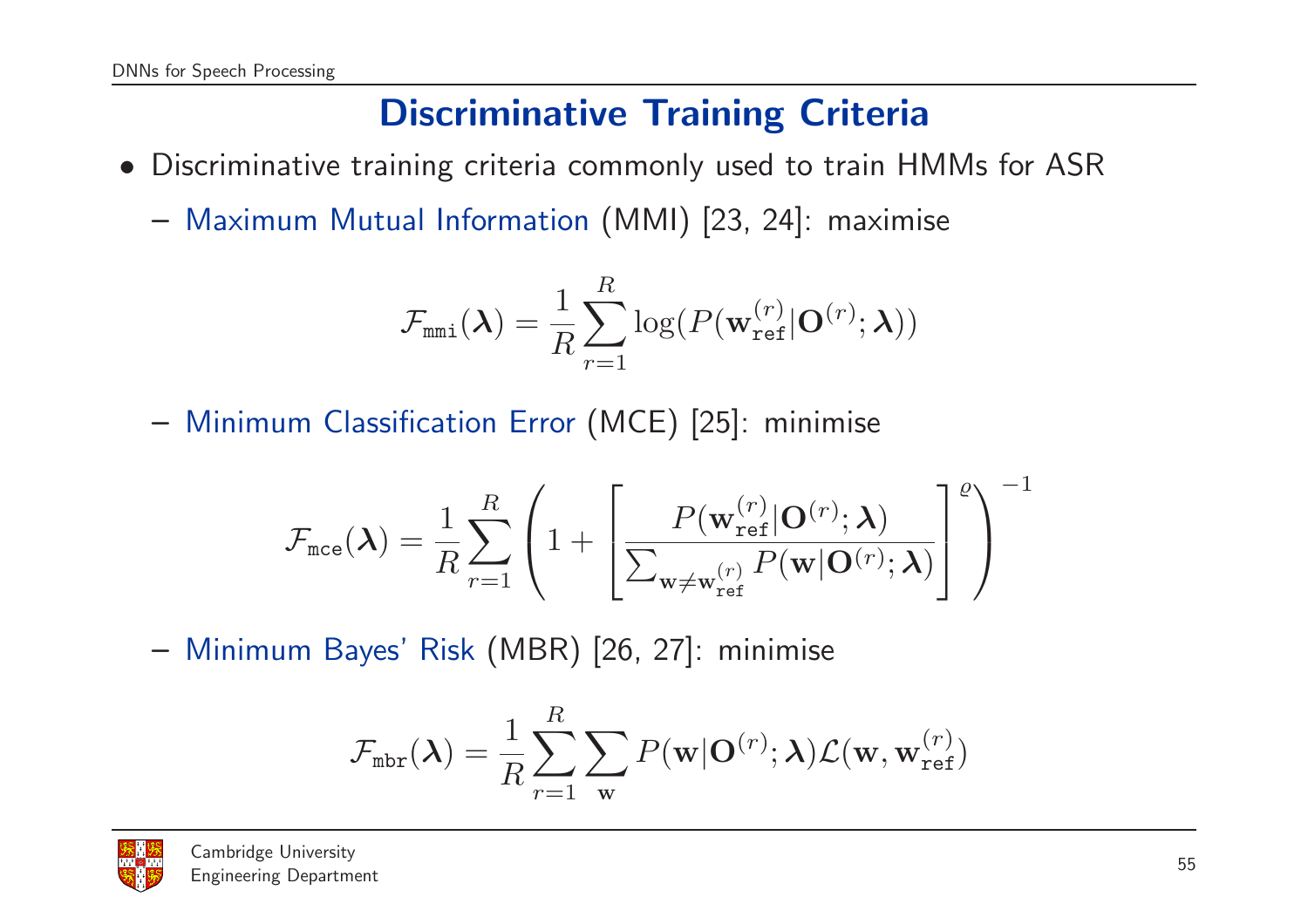### Discriminative Training Criteria

- Discriminative training criteria commonly used to train HMMs for ASR
	- Maximum Mutual Information (MMI) [23, 24]: maximise

$$
\mathcal{F}_{\texttt{mmi}}(\boldsymbol{\lambda}) = \frac{1}{R}\sum_{r=1}^R \log(P(\mathbf{w}_{\texttt{ref}}^{(r)}|\mathbf{O}^{(r)};\boldsymbol{\lambda}))
$$

– Minimum Classification Error (MCE) [25]: minimise

$$
\mathcal{F}_{\text{mce}}(\boldsymbol{\lambda}) = \frac{1}{R} \sum_{r=1}^{R} \left( 1 + \left[ \frac{P(\mathbf{w}_{\text{ref}}^{(r)}|\mathbf{O}^{(r)}; \boldsymbol{\lambda})}{\sum_{\mathbf{w} \neq \mathbf{w}_{\text{ref}}^{(r)}} P(\mathbf{w}|\mathbf{O}^{(r)}; \boldsymbol{\lambda})} \right]^{\varrho} \right)^{-1}
$$

– Minimum Bayes' Risk (MBR) [26, 27]: minimise

$$
\mathcal{F}_{\text{mbr}}(\boldsymbol{\lambda}) = \frac{1}{R} \sum_{r=1}^{R} \sum_{\mathbf{w}} P(\mathbf{w}|\mathbf{O}^{(r)}; \boldsymbol{\lambda}) \mathcal{L}(\mathbf{w}, \mathbf{w}_{\text{ref}}^{(r)})
$$

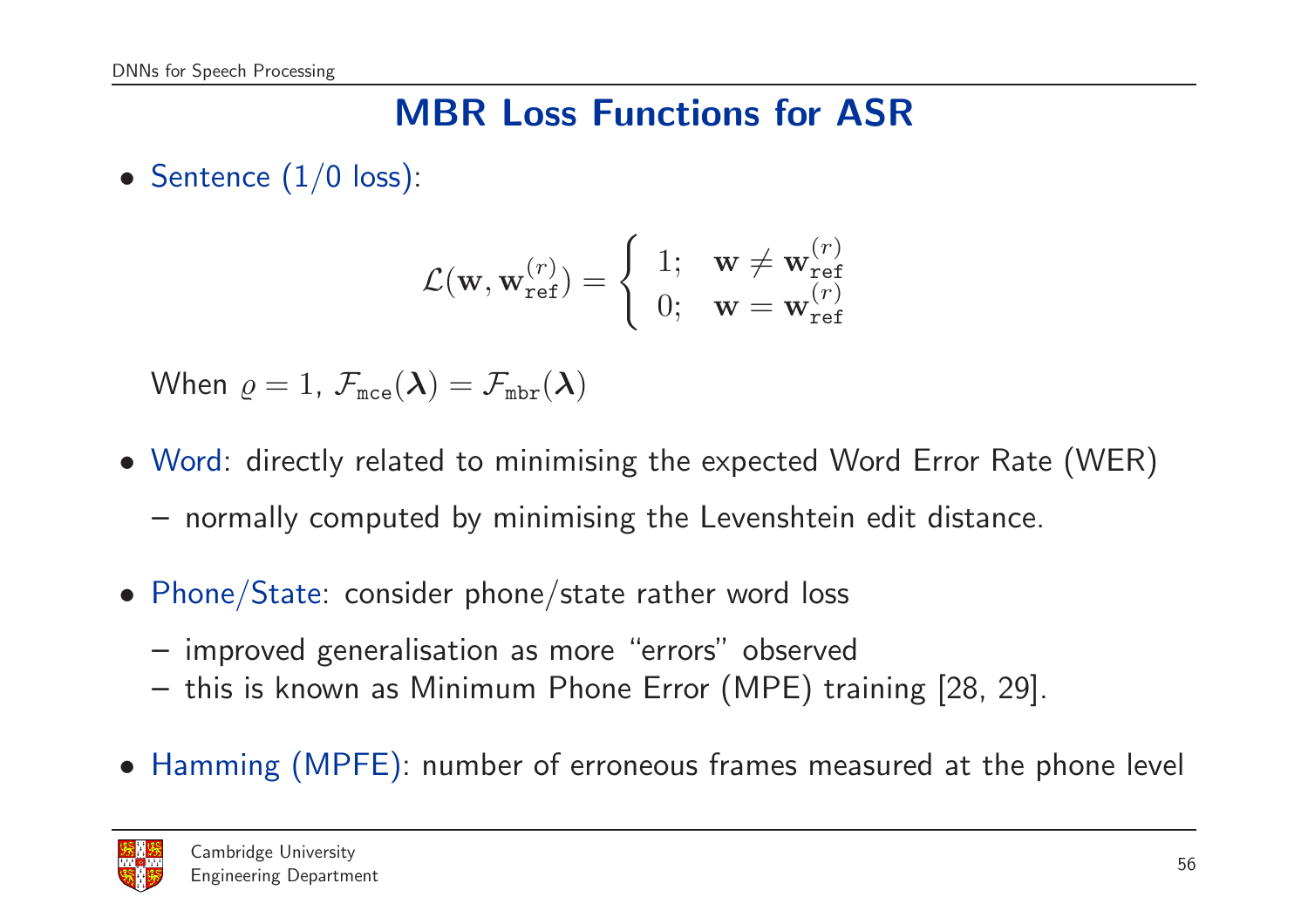#### MBR Loss Functions for ASR

• Sentence  $(1/0 \text{ loss})$ :

$$
\mathcal{L}(\mathbf{w}, \mathbf{w}_{\text{ref}}^{(r)}) = \begin{cases} 1; & \mathbf{w} \neq \mathbf{w}_{\text{ref}}^{(r)} \\ 0; & \mathbf{w} = \mathbf{w}_{\text{ref}}^{(r)} \end{cases}
$$

When  $\varrho=1$ ,  $\mathcal{F}_{\texttt{mce}}(\boldsymbol{\lambda})=\mathcal{F}_{\texttt{mbr}}(\boldsymbol{\lambda})$ 

- Word: directly related to minimising the expected Word Error Rate (WER) – normally computed by minimising the Levenshtein edit distance.
- Phone/State: consider phone/state rather word loss
	- improved generalisation as more "errors" observed
	- this is known as Minimum Phone Error (MPE) training [28, 29].
- Hamming (MPFE): number of erroneous frames measured at the phone level

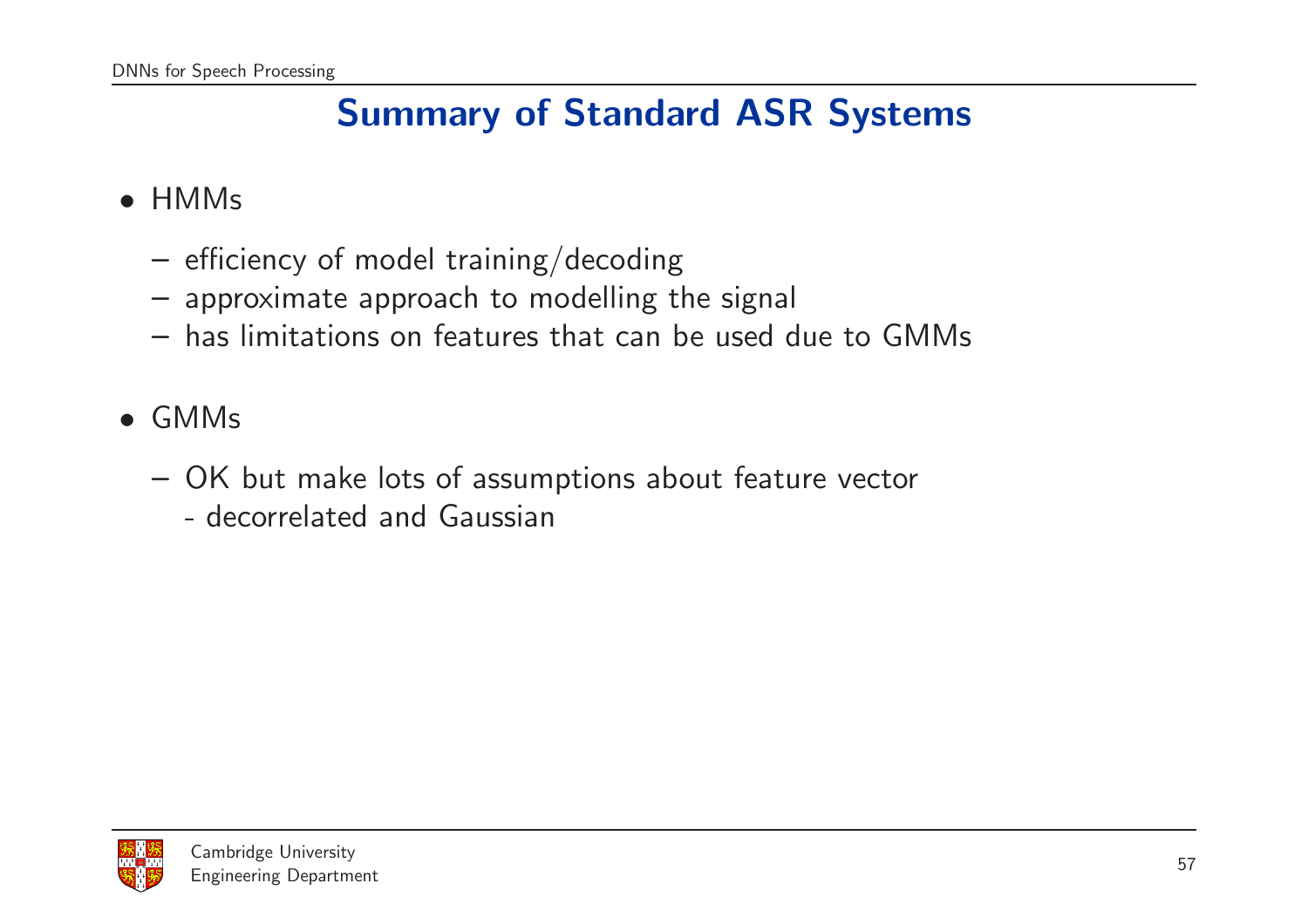## Summary of Standard ASR Systems

#### • HMMs

- efficiency of model training/decoding
- approximate approach to modelling the signal
- has limitations on features that can be used due to GMMs
- GMMs
	- OK but make lots of assumptions about feature vector
		- decorrelated and Gaussian

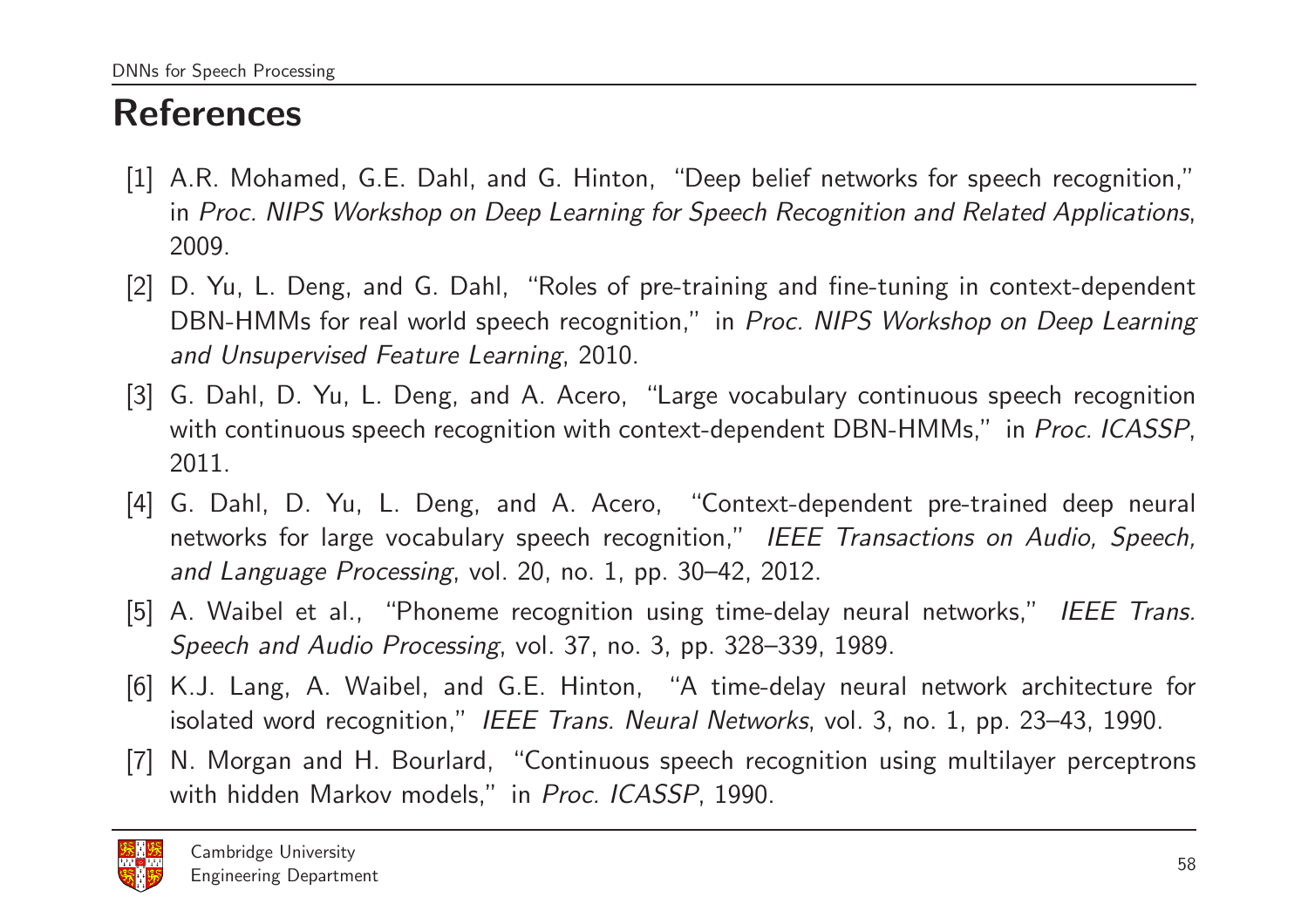## References

- [1] A.R. Mohamed, G.E. Dahl, and G. Hinton, "Deep belief networks for speech recognition," in Proc. NIPS Workshop on Deep Learning for Speech Recognition and Related Applications. 2009.
- [2] D. Yu, L. Deng, and G. Dahl, "Roles of pre-training and fine-tuning in context-dependent DBN-HMMs for real world speech recognition," in *Proc. NIPS Workshop on Deep Learning and Unsupervised Feature Learning*, 2010.
- [3] G. Dahl, D. Yu, L. Deng, and A. Acero, "Large vocabulary continuous speech recognition with continuous speech recognition with context-dependent DBN-HMMs," in *Proc. ICASSP*, 2011.
- [4] G. Dahl, D. Yu, L. Deng, and A. Acero, "Context-dependent pre-trained deep neural networks for large vocabulary speech recognition," *IEEE Transactions on Audio, Speech, and Language Processing*, vol. 20, no. 1, pp. 30–42, 2012.
- [5] A. Waibel et al., "Phoneme recognition using time-delay neural networks," *IEEE Trans. Speech and Audio Processing*, vol. 37, no. 3, pp. 328–339, 1989.
- [6] K.J. Lang, A. Waibel, and G.E. Hinton, "A time-delay neural network architecture for isolated word recognition," *IEEE Trans. Neural Networks*, vol. 3, no. 1, pp. 23–43, 1990.
- [7] N. Morgan and H. Bourlard, "Continuous speech recognition using multilayer perceptrons with hidden Markov models," in *Proc. ICASSP*, 1990.

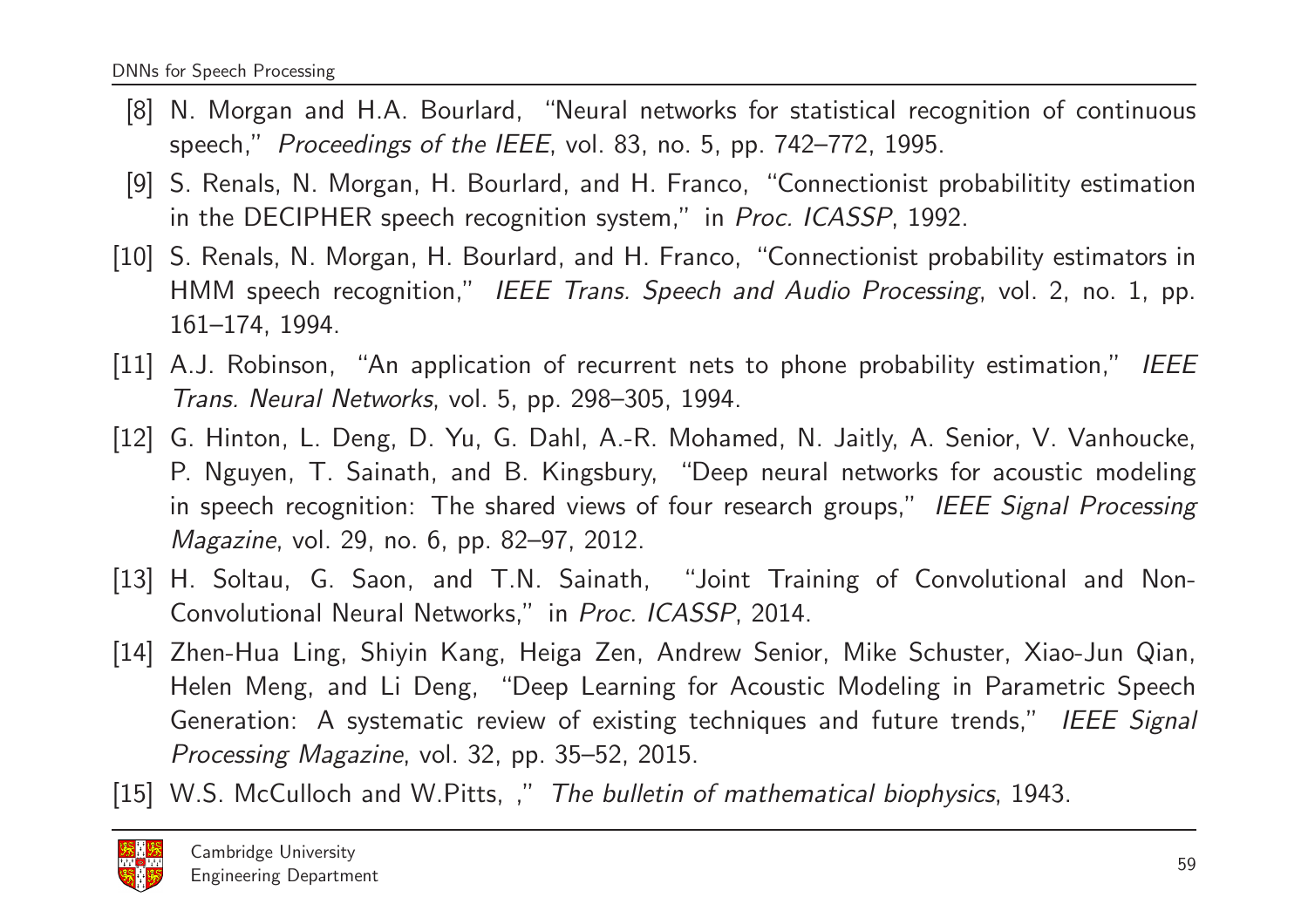- [8] N. Morgan and H.A. Bourlard, "Neural networks for statistical recognition of continuous speech," *Proceedings of the IEEE*, vol. 83, no. 5, pp. 742–772, 1995.
- [9] S. Renals, N. Morgan, H. Bourlard, and H. Franco, "Connectionist probabilitity estimation in the DECIPHER speech recognition system," in *Proc. ICASSP*, 1992.
- [10] S. Renals, N. Morgan, H. Bourlard, and H. Franco, "Connectionist probability estimators in HMM speech recognition," *IEEE Trans. Speech and Audio Processing*, vol. 2, no. 1, pp. 161–174, 1994.
- [11] A.J. Robinson, "An application of recurrent nets to phone probability estimation," *IEEE Trans. Neural Networks*, vol. 5, pp. 298–305, 1994.
- [12] G. Hinton, L. Deng, D. Yu, G. Dahl, A.-R. Mohamed, N. Jaitly, A. Senior, V. Vanhoucke, P. Nguyen, T. Sainath, and B. Kingsbury, "Deep neural networks for acoustic modeling in speech recognition: The shared views of four research groups," *IEEE Signal Processing Magazine*, vol. 29, no. 6, pp. 82–97, 2012.
- [13] H. Soltau, G. Saon, and T.N. Sainath, "Joint Training of Convolutional and Non-Convolutional Neural Networks," in *Proc. ICASSP*, 2014.
- [14] Zhen-Hua Ling, Shiyin Kang, Heiga Zen, Andrew Senior, Mike Schuster, Xiao-Jun Qian, Helen Meng, and Li Deng, "Deep Learning for Acoustic Modeling in Parametric Speech Generation: A systematic review of existing techniques and future trends," *IEEE Signal Processing Magazine*, vol. 32, pp. 35–52, 2015.
- [15] W.S. McCulloch and W.Pitts, ," *The bulletin of mathematical biophysics*, 1943.

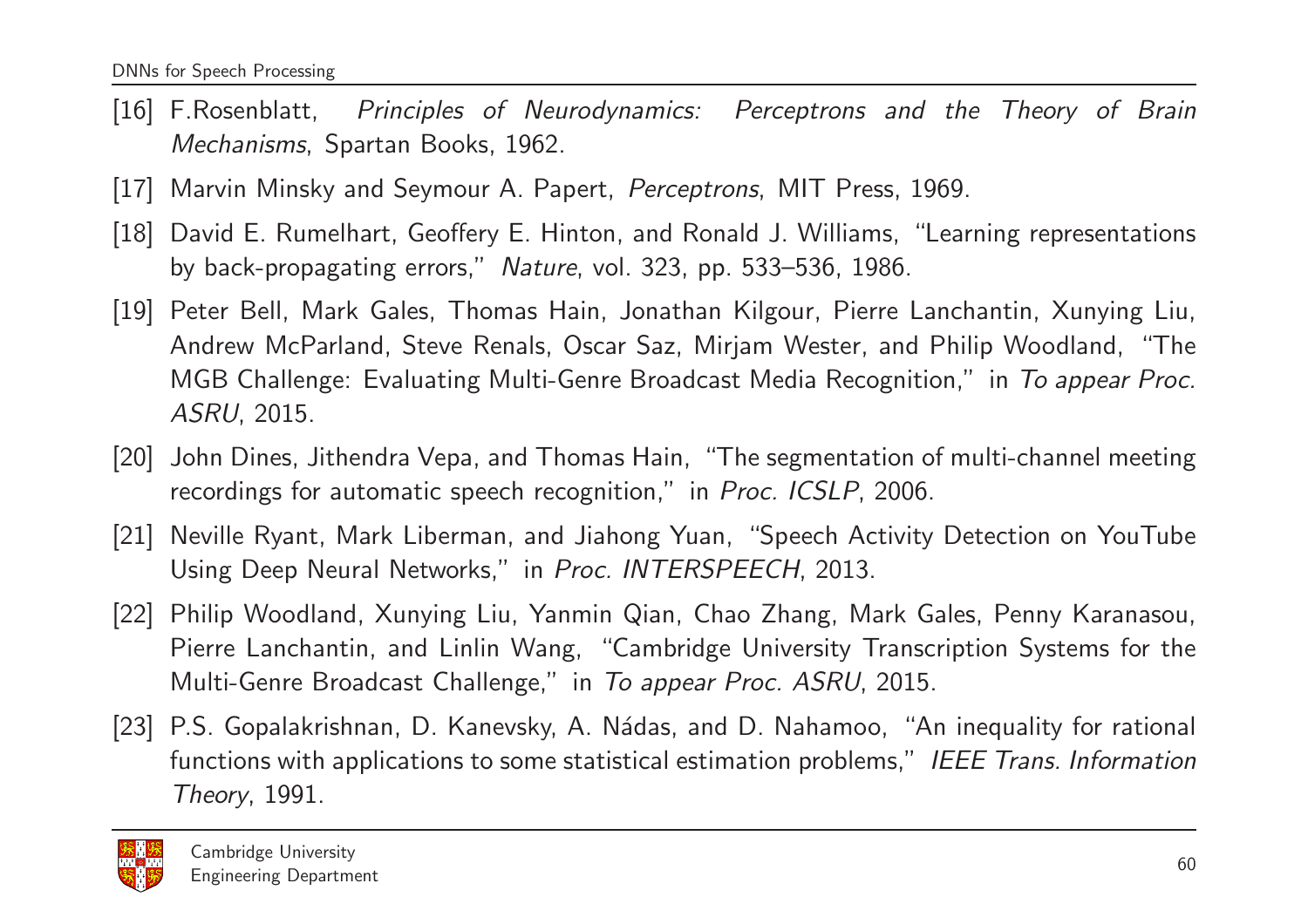- [16] F.Rosenblatt, *Principles of Neurodynamics: Perceptrons and the Theory of Brain Mechanisms*, Spartan Books, 1962.
- [17] Marvin Minsky and Seymour A. Papert, *Perceptrons*, MIT Press, 1969.
- [18] David E. Rumelhart, Geoffery E. Hinton, and Ronald J. Williams, "Learning representations by back-propagating errors," *Nature*, vol. 323, pp. 533–536, 1986.
- [19] Peter Bell, Mark Gales, Thomas Hain, Jonathan Kilgour, Pierre Lanchantin, Xunying Liu, Andrew McParland, Steve Renals, Oscar Saz, Mirjam Wester, and Philip Woodland, "The MGB Challenge: Evaluating Multi-Genre Broadcast Media Recognition," in To appear Proc. *ASRU*, 2015.
- [20] John Dines, Jithendra Vepa, and Thomas Hain, "The segmentation of multi-channel meeting recordings for automatic speech recognition," in *Proc. ICSLP*, 2006.
- [21] Neville Ryant, Mark Liberman, and Jiahong Yuan, "Speech Activity Detection on YouTube Using Deep Neural Networks," in *Proc. INTERSPEECH*, 2013.
- [22] Philip Woodland, Xunying Liu, Yanmin Qian, Chao Zhang, Mark Gales, Penny Karanasou, Pierre Lanchantin, and Linlin Wang, "Cambridge University Transcription Systems for the Multi-Genre Broadcast Challenge," in *To appear Proc. ASRU*, 2015.
- [23] P.S. Gopalakrishnan, D. Kanevsky, A. Nádas, and D. Nahamoo, "An inequality for rational functions with applications to some statistical estimation problems," *IEEE Trans. Information Theory*, 1991.